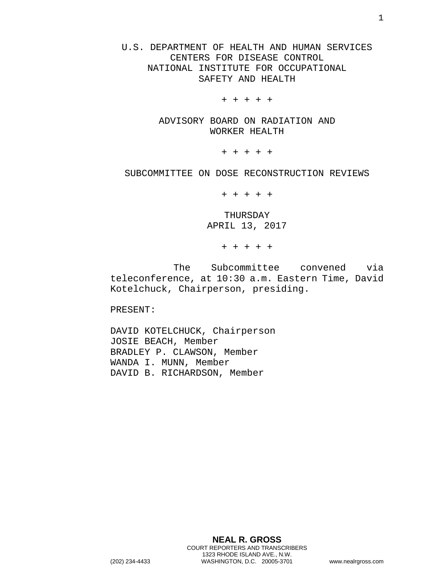U.S. DEPARTMENT OF HEALTH AND HUMAN SERVICES CENTERS FOR DISEASE CONTROL NATIONAL INSTITUTE FOR OCCUPATIONAL SAFETY AND HEALTH

+ + + + +

ADVISORY BOARD ON RADIATION AND WORKER HEALTH

+ + + + +

SUBCOMMITTEE ON DOSE RECONSTRUCTION REVIEWS

+ + + + +

THURSDAY APRIL 13, 2017

+ + + + +

The Subcommittee convened via teleconference, at 10:30 a.m. Eastern Time, David Kotelchuck, Chairperson, presiding.

PRESENT:

DAVID KOTELCHUCK, Chairperson JOSIE BEACH, Member BRADLEY P. CLAWSON, Member WANDA I. MUNN, Member DAVID B. RICHARDSON, Member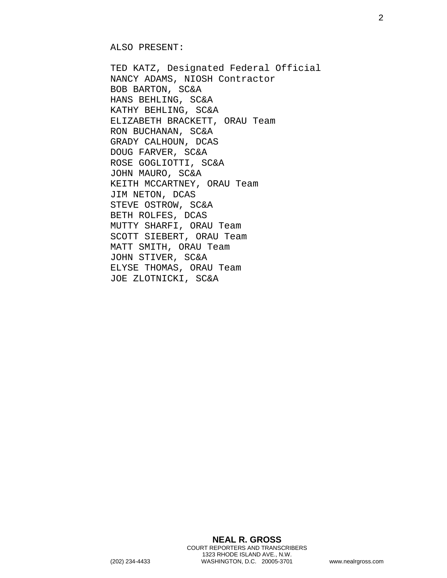ALSO PRESENT:

TED KATZ, Designated Federal Official NANCY ADAMS, NIOSH Contractor BOB BARTON, SC&A HANS BEHLING, SC&A KATHY BEHLING, SC&A ELIZABETH BRACKETT, ORAU Team RON BUCHANAN, SC&A GRADY CALHOUN, DCAS DOUG FARVER, SC&A ROSE GOGLIOTTI, SC&A JOHN MAURO, SC&A KEITH MCCARTNEY, ORAU Team JIM NETON, DCAS STEVE OSTROW, SC&A BETH ROLFES, DCAS MUTTY SHARFI, ORAU Team SCOTT SIEBERT, ORAU Team MATT SMITH, ORAU Team JOHN STIVER, SC&A ELYSE THOMAS, ORAU Team JOE ZLOTNICKI, SC&A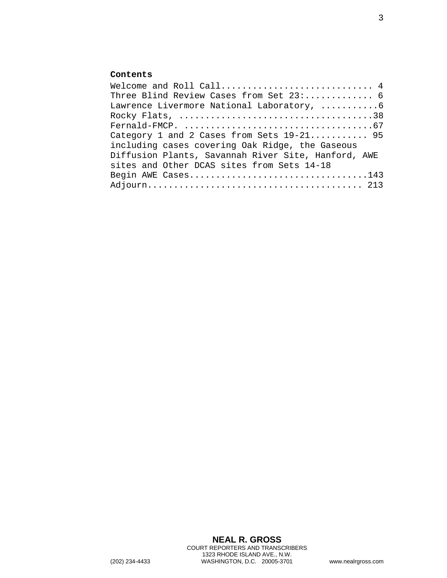## **Contents**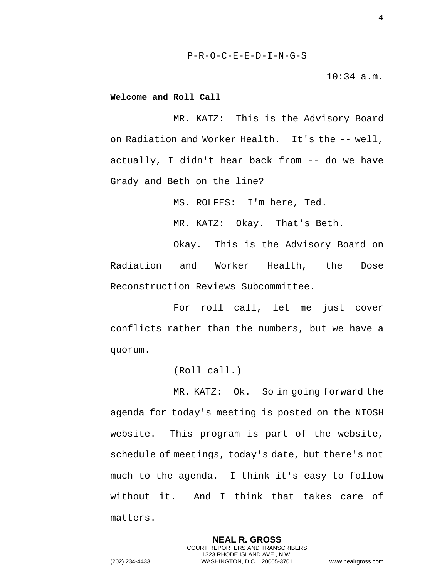10:34 a.m.

<span id="page-3-0"></span>**Welcome and Roll Call** 

MR. KATZ: This is the Advisory Board on Radiation and Worker Health. It's the -- well, actually, I didn't hear back from -- do we have Grady and Beth on the line?

MS. ROLFES: I'm here, Ted.

MR. KATZ: Okay. That's Beth.

Okay. This is the Advisory Board on Radiation and Worker Health, the Dose Reconstruction Reviews Subcommittee.

For roll call, let me just cover conflicts rather than the numbers, but we have a quorum.

(Roll call.)

MR. KATZ: Ok. So in going forward the agenda for today's meeting is posted on the NIOSH website. This program is part of the website, schedule of meetings, today's date, but there's not much to the agenda. I think it's easy to follow without it. And I think that takes care of matters.

> **NEAL R. GROSS** COURT REPORTERS AND TRANSCRIBERS 1323 RHODE ISLAND AVE., N.W.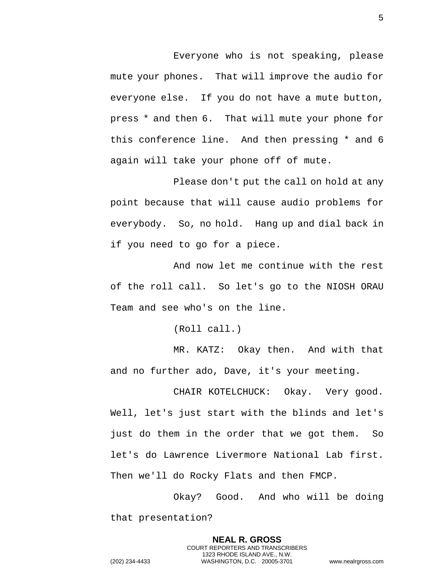Everyone who is not speaking, please mute your phones. That will improve the audio for everyone else. If you do not have a mute button, press \* and then 6. That will mute your phone for this conference line. And then pressing \* and 6 again will take your phone off of mute.

Please don't put the call on hold at any point because that will cause audio problems for everybody. So, no hold. Hang up and dial back in if you need to go for a piece.

And now let me continue with the rest of the roll call. So let's go to the NIOSH ORAU Team and see who's on the line.

(Roll call.)

MR. KATZ: Okay then. And with that and no further ado, Dave, it's your meeting.

CHAIR KOTELCHUCK: Okay. Very good. Well, let's just start with the blinds and let's just do them in the order that we got them. So let's do Lawrence Livermore National Lab first. Then we'll do Rocky Flats and then FMCP.

Okay? Good. And who will be doing that presentation?

> **NEAL R. GROSS** COURT REPORTERS AND TRANSCRIBERS 1323 RHODE ISLAND AVE., N.W.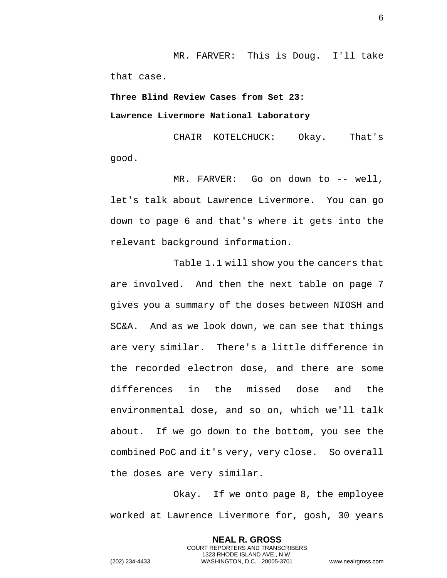MR. FARVER: This is Doug. I'll take that case.

## <span id="page-5-1"></span><span id="page-5-0"></span>**Three Blind Review Cases from Set 23: Lawrence Livermore National Laboratory**

CHAIR KOTELCHUCK: Okay. That's good.

MR. FARVER: Go on down to -- well, let's talk about Lawrence Livermore. You can go down to page 6 and that's where it gets into the relevant background information.

Table 1.1 will show you the cancers that are involved. And then the next table on page 7 gives you a summary of the doses between NIOSH and SC&A. And as we look down, we can see that things are very similar. There's a little difference in the recorded electron dose, and there are some differences in the missed dose and the environmental dose, and so on, which we'll talk about. If we go down to the bottom, you see the combined PoC and it's very, very close. So overall the doses are very similar.

Okay. If we onto page 8, the employee worked at Lawrence Livermore for, gosh, 30 years

> **NEAL R. GROSS** COURT REPORTERS AND TRANSCRIBERS 1323 RHODE ISLAND AVE., N.W.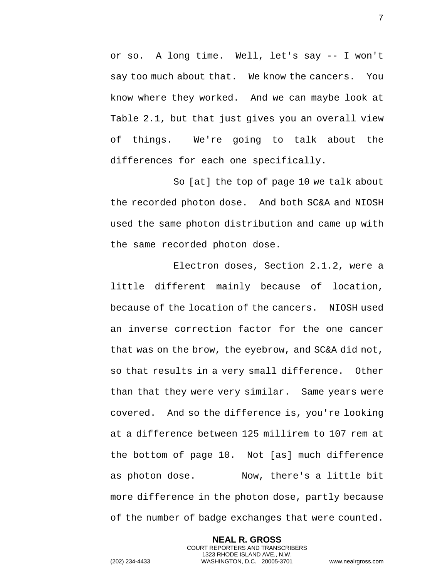or so. A long time. Well, let's say -- I won't say too much about that. We know the cancers. You know where they worked. And we can maybe look at Table 2.1, but that just gives you an overall view of things. We're going to talk about the differences for each one specifically.

So [at] the top of page 10 we talk about the recorded photon dose. And both SC&A and NIOSH used the same photon distribution and came up with the same recorded photon dose.

Electron doses, Section 2.1.2, were a little different mainly because of location, because of the location of the cancers. NIOSH used an inverse correction factor for the one cancer that was on the brow, the eyebrow, and SC&A did not, so that results in a very small difference. Other than that they were very similar. Same years were covered. And so the difference is, you're looking at a difference between 125 millirem to 107 rem at the bottom of page 10. Not [as] much difference as photon dose. Now, there's a little bit more difference in the photon dose, partly because of the number of badge exchanges that were counted.

> **NEAL R. GROSS** COURT REPORTERS AND TRANSCRIBERS 1323 RHODE ISLAND AVE., N.W.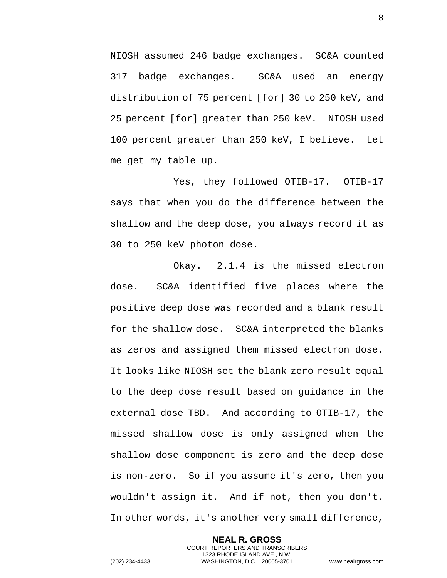NIOSH assumed 246 badge exchanges. SC&A counted 317 badge exchanges. SC&A used an energy distribution of 75 percent [for] 30 to 250 keV, and 25 percent [for] greater than 250 keV. NIOSH used 100 percent greater than 250 keV, I believe. Let me get my table up.

Yes, they followed OTIB-17. OTIB-17 says that when you do the difference between the shallow and the deep dose, you always record it as 30 to 250 keV photon dose.

Okay. 2.1.4 is the missed electron dose. SC&A identified five places where the positive deep dose was recorded and a blank result for the shallow dose. SC&A interpreted the blanks as zeros and assigned them missed electron dose. It looks like NIOSH set the blank zero result equal to the deep dose result based on guidance in the external dose TBD. And according to OTIB-17, the missed shallow dose is only assigned when the shallow dose component is zero and the deep dose is non-zero. So if you assume it's zero, then you wouldn't assign it. And if not, then you don't. In other words, it's another very small difference,

> **NEAL R. GROSS** COURT REPORTERS AND TRANSCRIBERS 1323 RHODE ISLAND AVE., N.W.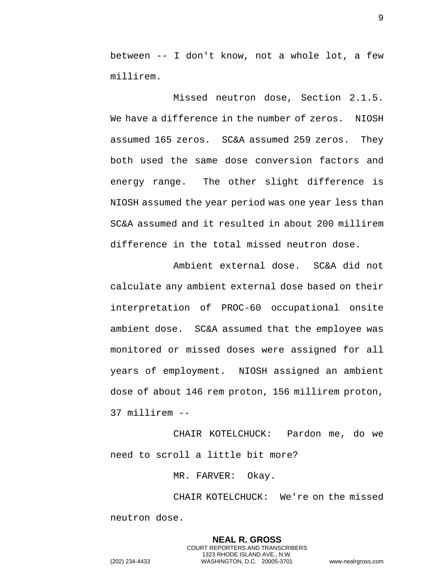between -- I don't know, not a whole lot, a few millirem.

Missed neutron dose, Section 2.1.5. We have a difference in the number of zeros. NIOSH assumed 165 zeros. SC&A assumed 259 zeros. They both used the same dose conversion factors and energy range. The other slight difference is NIOSH assumed the year period was one year less than SC&A assumed and it resulted in about 200 millirem difference in the total missed neutron dose.

Ambient external dose. SC&A did not calculate any ambient external dose based on their interpretation of PROC-60 occupational onsite ambient dose. SC&A assumed that the employee was monitored or missed doses were assigned for all years of employment. NIOSH assigned an ambient dose of about 146 rem proton, 156 millirem proton, 37 millirem --

CHAIR KOTELCHUCK: Pardon me, do we need to scroll a little bit more?

MR. FARVER: Okay.

CHAIR KOTELCHUCK: We're on the missed neutron dose.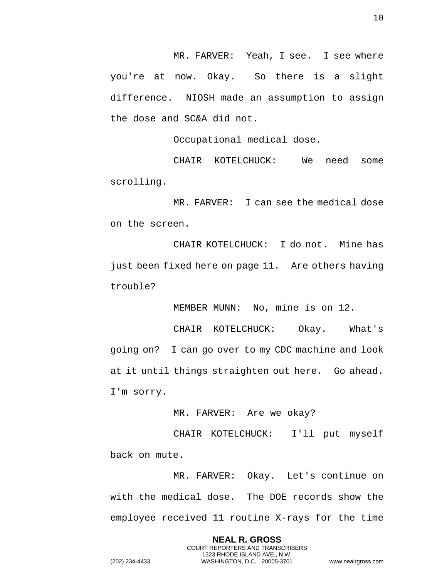MR. FARVER: Yeah, I see. I see where you're at now. Okay. So there is a slight difference. NIOSH made an assumption to assign the dose and SC&A did not.

Occupational medical dose.

CHAIR KOTELCHUCK: We need some scrolling.

MR. FARVER: I can see the medical dose on the screen.

CHAIR KOTELCHUCK: I do not. Mine has just been fixed here on page 11. Are others having trouble?

MEMBER MUNN: No, mine is on 12.

CHAIR KOTELCHUCK: Okay. What's going on? I can go over to my CDC machine and look at it until things straighten out here. Go ahead. I'm sorry.

MR. FARVER: Are we okay?

CHAIR KOTELCHUCK: I'll put myself back on mute.

MR. FARVER: Okay. Let's continue on with the medical dose. The DOE records show the employee received 11 routine X-rays for the time

> **NEAL R. GROSS** COURT REPORTERS AND TRANSCRIBERS 1323 RHODE ISLAND AVE., N.W.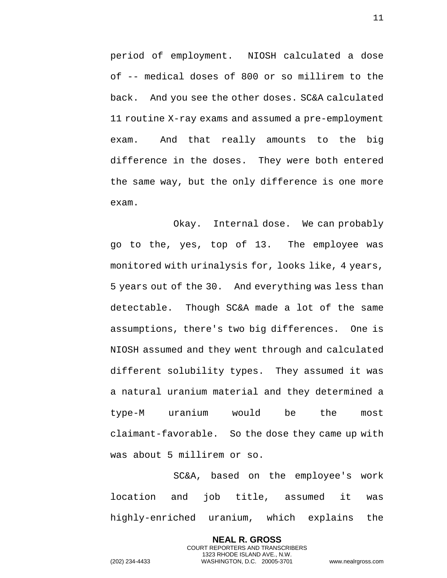period of employment. NIOSH calculated a dose of -- medical doses of 800 or so millirem to the back. And you see the other doses. SC&A calculated 11 routine X-ray exams and assumed a pre-employment exam. And that really amounts to the big difference in the doses. They were both entered the same way, but the only difference is one more exam.

Okay. Internal dose. We can probably go to the, yes, top of 13. The employee was monitored with urinalysis for, looks like, 4 years, 5 years out of the 30. And everything was less than detectable. Though SC&A made a lot of the same assumptions, there's two big differences. One is NIOSH assumed and they went through and calculated different solubility types. They assumed it was a natural uranium material and they determined a type-M uranium would be the most claimant-favorable. So the dose they came up with was about 5 millirem or so.

SC&A, based on the employee's work location and job title, assumed it was highly-enriched uranium, which explains the

> **NEAL R. GROSS** COURT REPORTERS AND TRANSCRIBERS 1323 RHODE ISLAND AVE., N.W.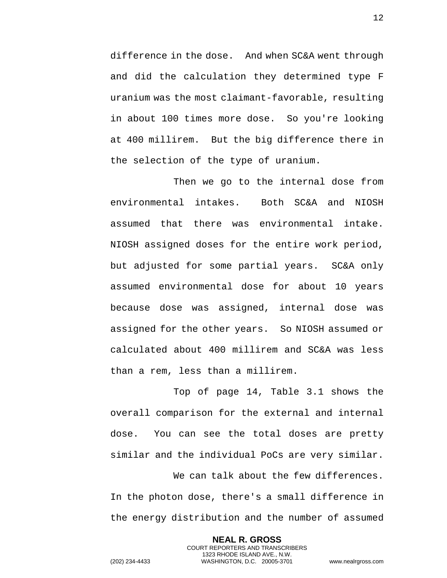difference in the dose. And when SC&A went through and did the calculation they determined type F uranium was the most claimant-favorable, resulting in about 100 times more dose. So you're looking at 400 millirem. But the big difference there in the selection of the type of uranium.

Then we go to the internal dose from environmental intakes. Both SC&A and NIOSH assumed that there was environmental intake. NIOSH assigned doses for the entire work period, but adjusted for some partial years. SC&A only assumed environmental dose for about 10 years because dose was assigned, internal dose was assigned for the other years. So NIOSH assumed or calculated about 400 millirem and SC&A was less than a rem, less than a millirem.

Top of page 14, Table 3.1 shows the overall comparison for the external and internal dose. You can see the total doses are pretty similar and the individual PoCs are very similar.

We can talk about the few differences. In the photon dose, there's a small difference in the energy distribution and the number of assumed

> **NEAL R. GROSS** COURT REPORTERS AND TRANSCRIBERS 1323 RHODE ISLAND AVE., N.W.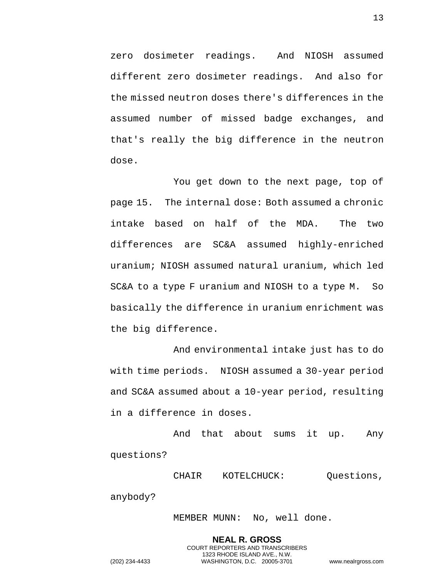zero dosimeter readings. And NIOSH assumed different zero dosimeter readings. And also for the missed neutron doses there's differences in the assumed number of missed badge exchanges, and that's really the big difference in the neutron dose.

You get down to the next page, top of page 15. The internal dose: Both assumed a chronic intake based on half of the MDA. The two differences are SC&A assumed highly-enriched uranium; NIOSH assumed natural uranium, which led SC&A to a type F uranium and NIOSH to a type M. So basically the difference in uranium enrichment was the big difference.

And environmental intake just has to do with time periods. NIOSH assumed a 30-year period and SC&A assumed about a 10-year period, resulting in a difference in doses.

And that about sums it up. Any questions?

CHAIR KOTELCHUCK: Questions, anybody?

MEMBER MUNN: No, well done.

**NEAL R. GROSS** COURT REPORTERS AND TRANSCRIBERS 1323 RHODE ISLAND AVE., N.W. (202) 234-4433 WASHINGTON, D.C. 20005-3701 www.nealrgross.com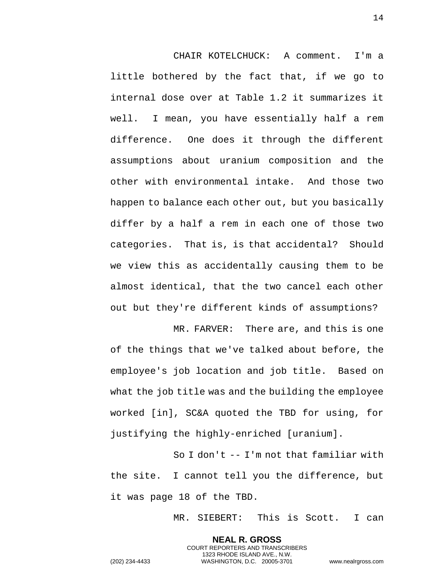CHAIR KOTELCHUCK: A comment. I'm a little bothered by the fact that, if we go to internal dose over at Table 1.2 it summarizes it well. I mean, you have essentially half a rem difference. One does it through the different assumptions about uranium composition and the other with environmental intake. And those two happen to balance each other out, but you basically differ by a half a rem in each one of those two categories. That is, is that accidental? Should we view this as accidentally causing them to be almost identical, that the two cancel each other out but they're different kinds of assumptions?

MR. FARVER: There are, and this is one of the things that we've talked about before, the employee's job location and job title. Based on what the job title was and the building the employee worked [in], SC&A quoted the TBD for using, for justifying the highly-enriched [uranium].

So I don't -- I'm not that familiar with the site. I cannot tell you the difference, but it was page 18 of the TBD.

> **NEAL R. GROSS** COURT REPORTERS AND TRANSCRIBERS 1323 RHODE ISLAND AVE., N.W.

MR. SIEBERT: This is Scott. I can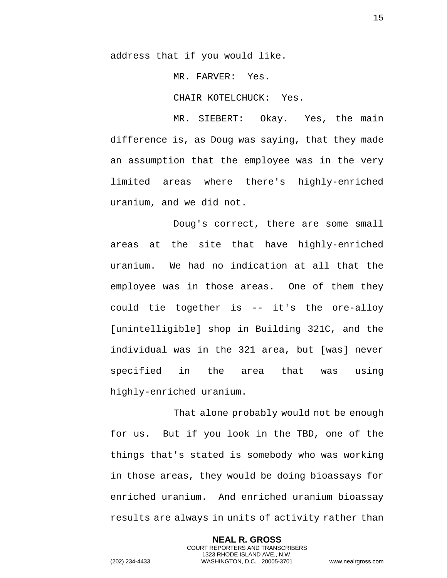address that if you would like.

MR. FARVER: Yes.

CHAIR KOTELCHUCK: Yes.

MR. SIEBERT: Okay. Yes, the main difference is, as Doug was saying, that they made an assumption that the employee was in the very limited areas where there's highly-enriched uranium, and we did not.

Doug's correct, there are some small areas at the site that have highly-enriched uranium. We had no indication at all that the employee was in those areas. One of them they could tie together is -- it's the ore-alloy [unintelligible] shop in Building 321C, and the individual was in the 321 area, but [was] never specified in the area that was using highly-enriched uranium.

That alone probably would not be enough for us. But if you look in the TBD, one of the things that's stated is somebody who was working in those areas, they would be doing bioassays for enriched uranium. And enriched uranium bioassay results are always in units of activity rather than

> **NEAL R. GROSS** COURT REPORTERS AND TRANSCRIBERS 1323 RHODE ISLAND AVE., N.W.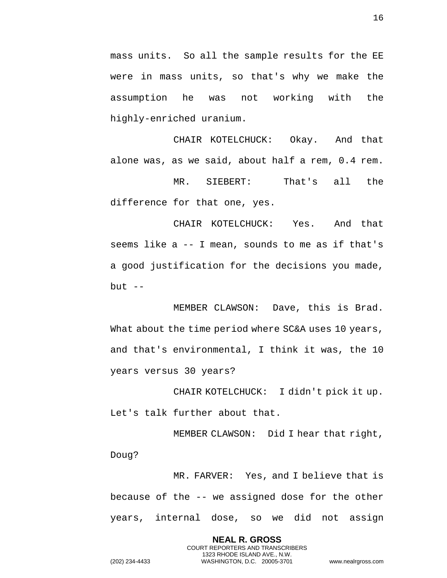mass units. So all the sample results for the EE were in mass units, so that's why we make the assumption he was not working with the highly-enriched uranium.

CHAIR KOTELCHUCK: Okay. And that alone was, as we said, about half a rem, 0.4 rem.

MR. SIEBERT: That's all the difference for that one, yes.

CHAIR KOTELCHUCK: Yes. And that seems like a -- I mean, sounds to me as if that's a good justification for the decisions you made, but  $--$ 

MEMBER CLAWSON: Dave, this is Brad. What about the time period where SC&A uses 10 years, and that's environmental, I think it was, the 10 years versus 30 years?

CHAIR KOTELCHUCK: I didn't pick it up. Let's talk further about that.

MEMBER CLAWSON: Did I hear that right, Doug?

MR. FARVER: Yes, and I believe that is because of the -- we assigned dose for the other years, internal dose, so we did not assign

> **NEAL R. GROSS** COURT REPORTERS AND TRANSCRIBERS 1323 RHODE ISLAND AVE., N.W.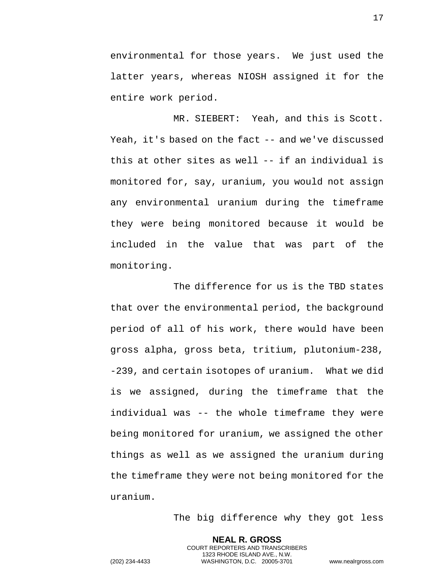environmental for those years. We just used the latter years, whereas NIOSH assigned it for the entire work period.

MR. SIEBERT: Yeah, and this is Scott. Yeah, it's based on the fact -- and we've discussed this at other sites as well -- if an individual is monitored for, say, uranium, you would not assign any environmental uranium during the timeframe they were being monitored because it would be included in the value that was part of the monitoring.

The difference for us is the TBD states that over the environmental period, the background period of all of his work, there would have been gross alpha, gross beta, tritium, plutonium-238, -239, and certain isotopes of uranium. What we did is we assigned, during the timeframe that the individual was -- the whole timeframe they were being monitored for uranium, we assigned the other things as well as we assigned the uranium during the timeframe they were not being monitored for the uranium.

The big difference why they got less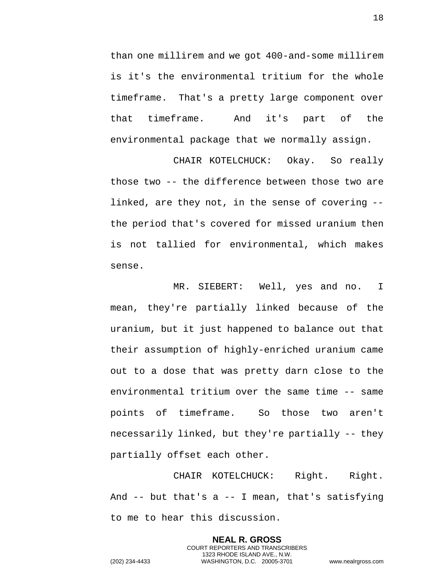than one millirem and we got 400-and-some millirem is it's the environmental tritium for the whole timeframe. That's a pretty large component over that timeframe. And it's part of the environmental package that we normally assign.

CHAIR KOTELCHUCK: Okay. So really those two -- the difference between those two are linked, are they not, in the sense of covering - the period that's covered for missed uranium then is not tallied for environmental, which makes sense.

MR. SIEBERT: Well, yes and no. I mean, they're partially linked because of the uranium, but it just happened to balance out that their assumption of highly-enriched uranium came out to a dose that was pretty darn close to the environmental tritium over the same time -- same points of timeframe. So those two aren't necessarily linked, but they're partially -- they partially offset each other.

CHAIR KOTELCHUCK: Right. Right. And  $-$  but that's a  $-$  I mean, that's satisfying to me to hear this discussion.

> **NEAL R. GROSS** COURT REPORTERS AND TRANSCRIBERS 1323 RHODE ISLAND AVE., N.W.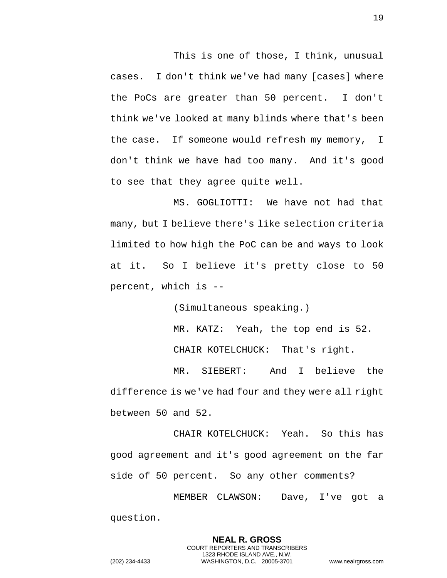This is one of those, I think, unusual cases. I don't think we've had many [cases] where the PoCs are greater than 50 percent. I don't think we've looked at many blinds where that's been the case. If someone would refresh my memory, I don't think we have had too many. And it's good to see that they agree quite well.

MS. GOGLIOTTI: We have not had that many, but I believe there's like selection criteria limited to how high the PoC can be and ways to look at it. So I believe it's pretty close to 50 percent, which is --

(Simultaneous speaking.)

MR. KATZ: Yeah, the top end is 52.

CHAIR KOTELCHUCK: That's right.

MR. SIEBERT: And I believe the difference is we've had four and they were all right between 50 and 52.

CHAIR KOTELCHUCK: Yeah. So this has good agreement and it's good agreement on the far side of 50 percent. So any other comments?

MEMBER CLAWSON: Dave, I've got a question.

> **NEAL R. GROSS** COURT REPORTERS AND TRANSCRIBERS 1323 RHODE ISLAND AVE., N.W.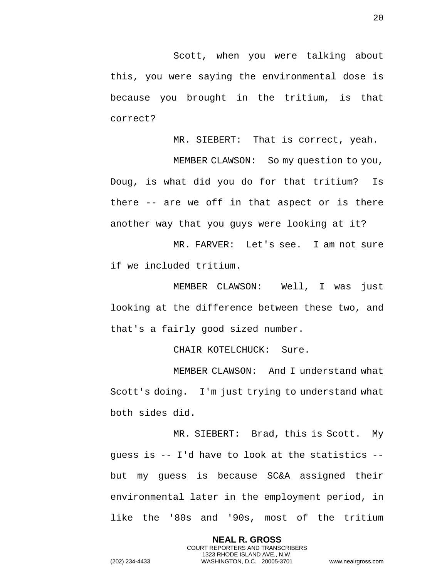Scott, when you were talking about this, you were saying the environmental dose is because you brought in the tritium, is that correct?

MR. SIEBERT: That is correct, yeah.

MEMBER CLAWSON: So my question to you, Doug, is what did you do for that tritium? Is there -- are we off in that aspect or is there another way that you guys were looking at it?

MR. FARVER: Let's see. I am not sure if we included tritium.

MEMBER CLAWSON: Well, I was just looking at the difference between these two, and that's a fairly good sized number.

CHAIR KOTELCHUCK: Sure.

MEMBER CLAWSON: And I understand what Scott's doing. I'm just trying to understand what both sides did.

MR. SIEBERT: Brad, this is Scott. My guess is -- I'd have to look at the statistics - but my guess is because SC&A assigned their environmental later in the employment period, in like the '80s and '90s, most of the tritium

> **NEAL R. GROSS** COURT REPORTERS AND TRANSCRIBERS 1323 RHODE ISLAND AVE., N.W.

20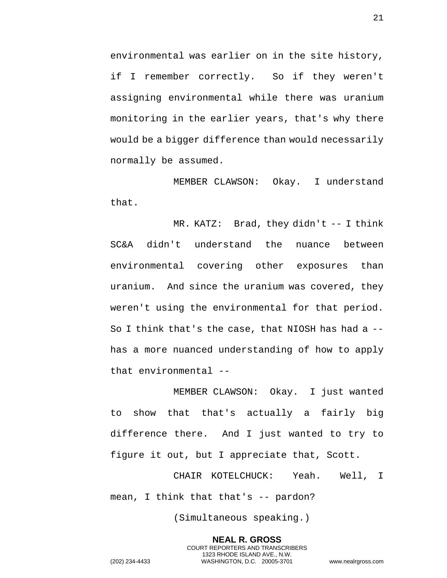environmental was earlier on in the site history, if I remember correctly. So if they weren't assigning environmental while there was uranium monitoring in the earlier years, that's why there would be a bigger difference than would necessarily normally be assumed.

MEMBER CLAWSON: Okay. I understand that.

MR. KATZ: Brad, they didn't -- I think SC&A didn't understand the nuance between environmental covering other exposures than uranium. And since the uranium was covered, they weren't using the environmental for that period. So I think that's the case, that NIOSH has had a - has a more nuanced understanding of how to apply that environmental --

MEMBER CLAWSON: Okay. I just wanted to show that that's actually a fairly big difference there. And I just wanted to try to figure it out, but I appreciate that, Scott.

CHAIR KOTELCHUCK: Yeah. Well, I mean, I think that that's -- pardon?

(Simultaneous speaking.)

**NEAL R. GROSS** COURT REPORTERS AND TRANSCRIBERS 1323 RHODE ISLAND AVE., N.W. (202) 234-4433 WASHINGTON, D.C. 20005-3701 www.nealrgross.com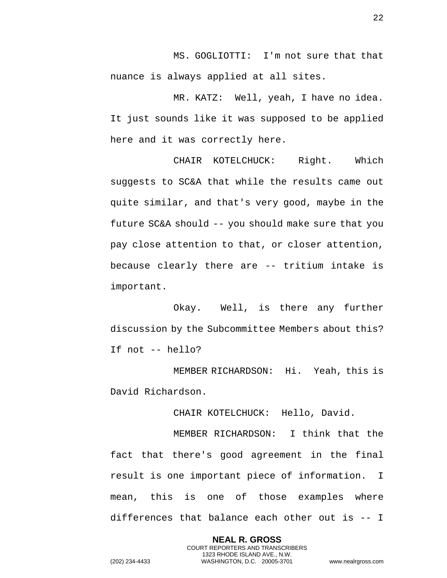MS. GOGLIOTTI: I'm not sure that that nuance is always applied at all sites.

MR. KATZ: Well, yeah, I have no idea. It just sounds like it was supposed to be applied here and it was correctly here.

CHAIR KOTELCHUCK: Right. Which suggests to SC&A that while the results came out quite similar, and that's very good, maybe in the future SC&A should -- you should make sure that you pay close attention to that, or closer attention, because clearly there are -- tritium intake is important.

Okay. Well, is there any further discussion by the Subcommittee Members about this? If not -- hello?

MEMBER RICHARDSON: Hi. Yeah, this is David Richardson.

CHAIR KOTELCHUCK: Hello, David.

MEMBER RICHARDSON: I think that the fact that there's good agreement in the final result is one important piece of information. I mean, this is one of those examples where differences that balance each other out is -- I

> **NEAL R. GROSS** COURT REPORTERS AND TRANSCRIBERS 1323 RHODE ISLAND AVE., N.W.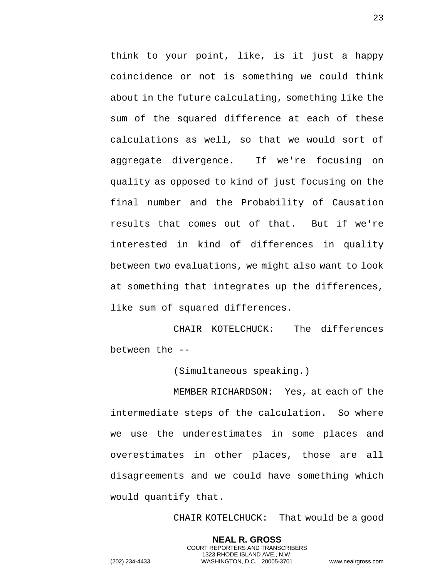think to your point, like, is it just a happy coincidence or not is something we could think about in the future calculating, something like the sum of the squared difference at each of these calculations as well, so that we would sort of aggregate divergence. If we're focusing on quality as opposed to kind of just focusing on the final number and the Probability of Causation results that comes out of that. But if we're interested in kind of differences in quality between two evaluations, we might also want to look at something that integrates up the differences, like sum of squared differences.

CHAIR KOTELCHUCK: The differences between the --

(Simultaneous speaking.)

MEMBER RICHARDSON: Yes, at each of the intermediate steps of the calculation. So where we use the underestimates in some places and overestimates in other places, those are all disagreements and we could have something which would quantify that.

CHAIR KOTELCHUCK: That would be a good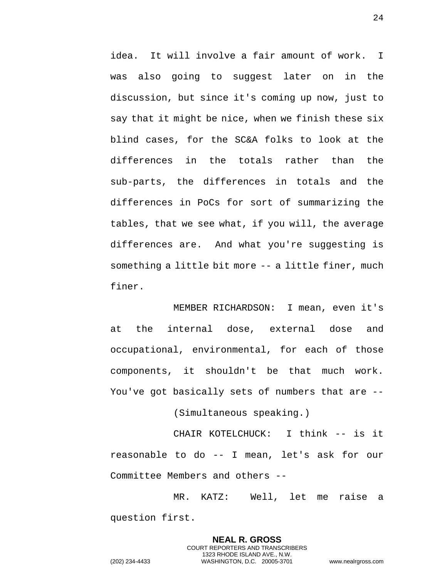idea. It will involve a fair amount of work. I was also going to suggest later on in the discussion, but since it's coming up now, just to say that it might be nice, when we finish these six blind cases, for the SC&A folks to look at the differences in the totals rather than the sub-parts, the differences in totals and the differences in PoCs for sort of summarizing the tables, that we see what, if you will, the average differences are. And what you're suggesting is something a little bit more -- a little finer, much finer.

MEMBER RICHARDSON: I mean, even it's at the internal dose, external dose and occupational, environmental, for each of those components, it shouldn't be that much work. You've got basically sets of numbers that are --

(Simultaneous speaking.)

CHAIR KOTELCHUCK: I think -- is it reasonable to do -- I mean, let's ask for our Committee Members and others --

MR. KATZ: Well, let me raise a question first.

> **NEAL R. GROSS** COURT REPORTERS AND TRANSCRIBERS 1323 RHODE ISLAND AVE., N.W.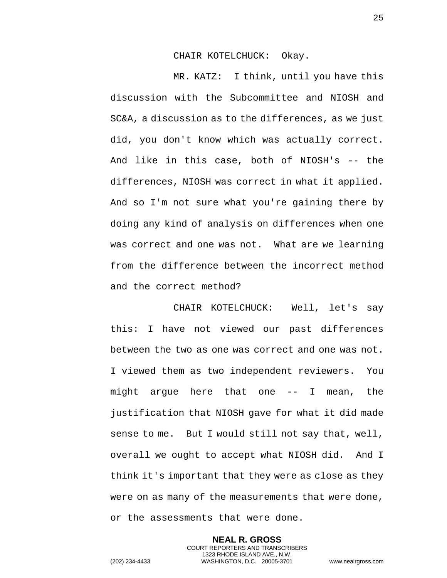CHAIR KOTELCHUCK: Okay.

MR. KATZ: I think, until you have this discussion with the Subcommittee and NIOSH and SC&A, a discussion as to the differences, as we just did, you don't know which was actually correct. And like in this case, both of NIOSH's -- the differences, NIOSH was correct in what it applied. And so I'm not sure what you're gaining there by doing any kind of analysis on differences when one was correct and one was not. What are we learning from the difference between the incorrect method and the correct method?

CHAIR KOTELCHUCK: Well, let's say this: I have not viewed our past differences between the two as one was correct and one was not. I viewed them as two independent reviewers. You might argue here that one -- I mean, the justification that NIOSH gave for what it did made sense to me. But I would still not say that, well, overall we ought to accept what NIOSH did. And I think it's important that they were as close as they were on as many of the measurements that were done, or the assessments that were done.

> **NEAL R. GROSS** COURT REPORTERS AND TRANSCRIBERS 1323 RHODE ISLAND AVE., N.W.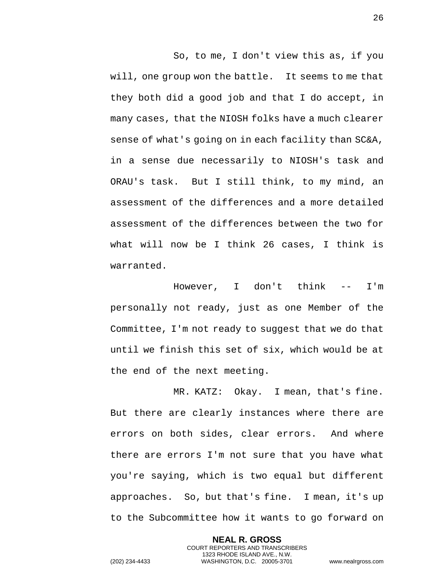So, to me, I don't view this as, if you will, one group won the battle. It seems to me that they both did a good job and that I do accept, in many cases, that the NIOSH folks have a much clearer sense of what's going on in each facility than SC&A, in a sense due necessarily to NIOSH's task and ORAU's task. But I still think, to my mind, an assessment of the differences and a more detailed assessment of the differences between the two for what will now be I think 26 cases, I think is warranted.

However, I don't think -- I'm personally not ready, just as one Member of the Committee, I'm not ready to suggest that we do that until we finish this set of six, which would be at the end of the next meeting.

MR. KATZ: Okay. I mean, that's fine. But there are clearly instances where there are errors on both sides, clear errors. And where there are errors I'm not sure that you have what you're saying, which is two equal but different approaches. So, but that's fine. I mean, it's up to the Subcommittee how it wants to go forward on

> **NEAL R. GROSS** COURT REPORTERS AND TRANSCRIBERS 1323 RHODE ISLAND AVE., N.W.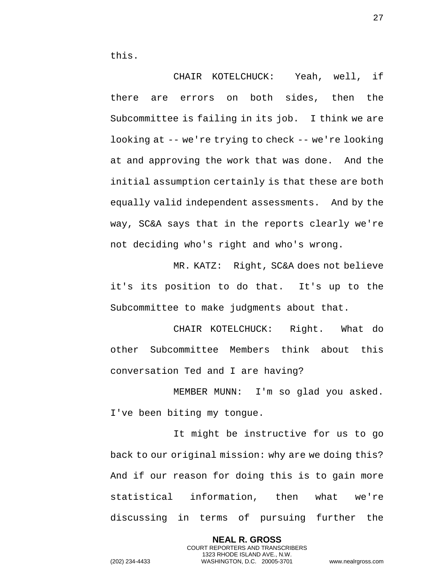CHAIR KOTELCHUCK: Yeah, well, if there are errors on both sides, then the Subcommittee is failing in its job. I think we are looking at -- we're trying to check -- we're looking at and approving the work that was done. And the initial assumption certainly is that these are both equally valid independent assessments. And by the way, SC&A says that in the reports clearly we're not deciding who's right and who's wrong.

MR. KATZ: Right, SC&A does not believe it's its position to do that. It's up to the Subcommittee to make judgments about that.

CHAIR KOTELCHUCK: Right. What do other Subcommittee Members think about this conversation Ted and I are having?

MEMBER MUNN: I'm so glad you asked. I've been biting my tongue.

It might be instructive for us to go back to our original mission: why are we doing this? And if our reason for doing this is to gain more statistical information, then what we're discussing in terms of pursuing further the

> **NEAL R. GROSS** COURT REPORTERS AND TRANSCRIBERS 1323 RHODE ISLAND AVE., N.W.

27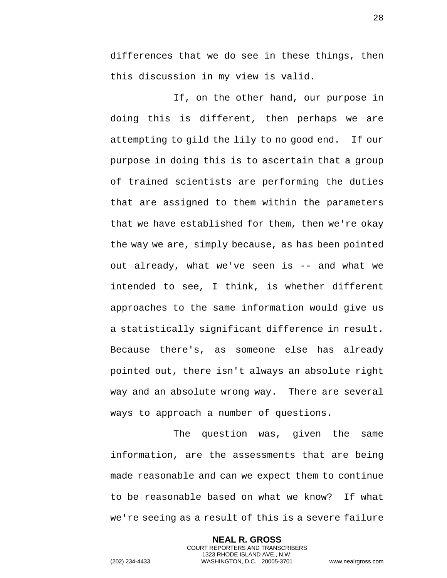differences that we do see in these things, then this discussion in my view is valid.

If, on the other hand, our purpose in doing this is different, then perhaps we are attempting to gild the lily to no good end. If our purpose in doing this is to ascertain that a group of trained scientists are performing the duties that are assigned to them within the parameters that we have established for them, then we're okay the way we are, simply because, as has been pointed out already, what we've seen is -- and what we intended to see, I think, is whether different approaches to the same information would give us a statistically significant difference in result. Because there's, as someone else has already pointed out, there isn't always an absolute right way and an absolute wrong way. There are several ways to approach a number of questions.

The question was, given the same information, are the assessments that are being made reasonable and can we expect them to continue to be reasonable based on what we know? If what we're seeing as a result of this is a severe failure

> **NEAL R. GROSS** COURT REPORTERS AND TRANSCRIBERS 1323 RHODE ISLAND AVE., N.W.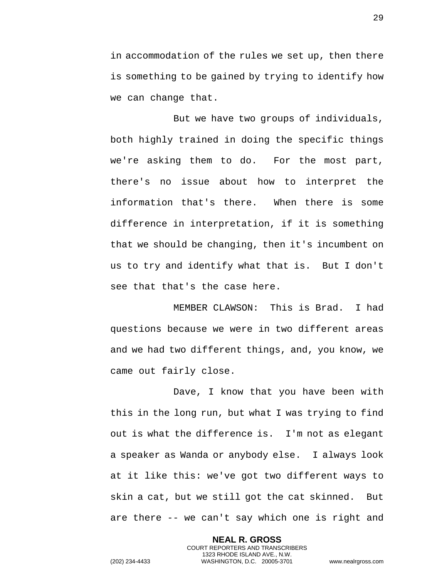in accommodation of the rules we set up, then there is something to be gained by trying to identify how we can change that.

But we have two groups of individuals, both highly trained in doing the specific things we're asking them to do. For the most part, there's no issue about how to interpret the information that's there. When there is some difference in interpretation, if it is something that we should be changing, then it's incumbent on us to try and identify what that is. But I don't see that that's the case here.

MEMBER CLAWSON: This is Brad. I had questions because we were in two different areas and we had two different things, and, you know, we came out fairly close.

Dave, I know that you have been with this in the long run, but what I was trying to find out is what the difference is. I'm not as elegant a speaker as Wanda or anybody else. I always look at it like this: we've got two different ways to skin a cat, but we still got the cat skinned. But are there -- we can't say which one is right and

> **NEAL R. GROSS** COURT REPORTERS AND TRANSCRIBERS 1323 RHODE ISLAND AVE., N.W.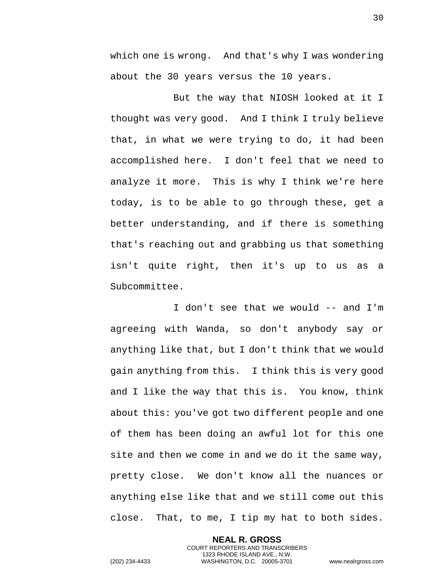which one is wrong. And that's why I was wondering about the 30 years versus the 10 years.

But the way that NIOSH looked at it I thought was very good. And I think I truly believe that, in what we were trying to do, it had been accomplished here. I don't feel that we need to analyze it more. This is why I think we're here today, is to be able to go through these, get a better understanding, and if there is something that's reaching out and grabbing us that something isn't quite right, then it's up to us as a Subcommittee.

I don't see that we would -- and I'm agreeing with Wanda, so don't anybody say or anything like that, but I don't think that we would gain anything from this. I think this is very good and I like the way that this is. You know, think about this: you've got two different people and one of them has been doing an awful lot for this one site and then we come in and we do it the same way, pretty close. We don't know all the nuances or anything else like that and we still come out this close. That, to me, I tip my hat to both sides.

> **NEAL R. GROSS** COURT REPORTERS AND TRANSCRIBERS 1323 RHODE ISLAND AVE., N.W.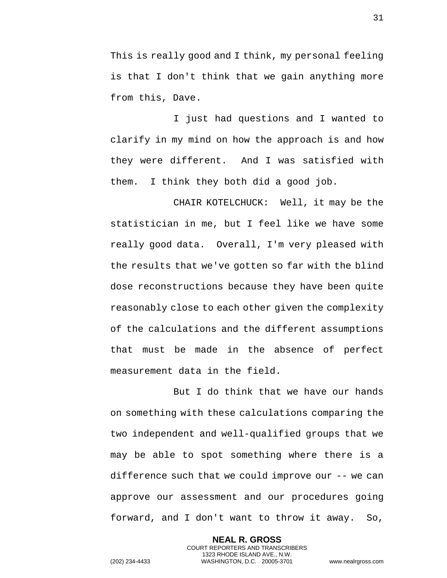This is really good and I think, my personal feeling is that I don't think that we gain anything more from this, Dave.

I just had questions and I wanted to clarify in my mind on how the approach is and how they were different. And I was satisfied with them. I think they both did a good job.

CHAIR KOTELCHUCK: Well, it may be the statistician in me, but I feel like we have some really good data. Overall, I'm very pleased with the results that we've gotten so far with the blind dose reconstructions because they have been quite reasonably close to each other given the complexity of the calculations and the different assumptions that must be made in the absence of perfect measurement data in the field.

But I do think that we have our hands on something with these calculations comparing the two independent and well-qualified groups that we may be able to spot something where there is a difference such that we could improve our -- we can approve our assessment and our procedures going forward, and I don't want to throw it away. So,

> **NEAL R. GROSS** COURT REPORTERS AND TRANSCRIBERS 1323 RHODE ISLAND AVE., N.W.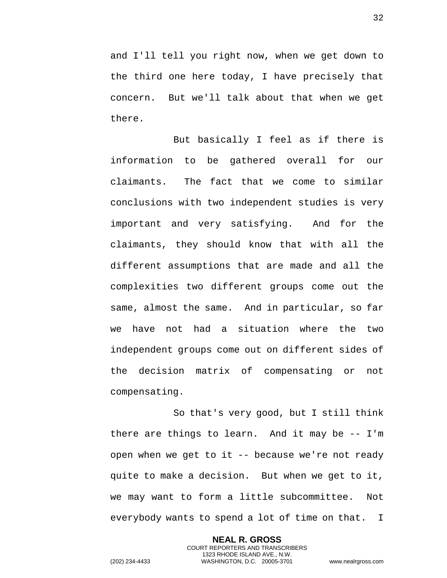and I'll tell you right now, when we get down to the third one here today, I have precisely that concern. But we'll talk about that when we get there.

But basically I feel as if there is information to be gathered overall for our claimants. The fact that we come to similar conclusions with two independent studies is very important and very satisfying. And for the claimants, they should know that with all the different assumptions that are made and all the complexities two different groups come out the same, almost the same. And in particular, so far we have not had a situation where the two independent groups come out on different sides of the decision matrix of compensating or not compensating.

So that's very good, but I still think there are things to learn. And it may be -- I'm open when we get to it -- because we're not ready quite to make a decision. But when we get to it, we may want to form a little subcommittee. Not everybody wants to spend a lot of time on that. I

> **NEAL R. GROSS** COURT REPORTERS AND TRANSCRIBERS 1323 RHODE ISLAND AVE., N.W.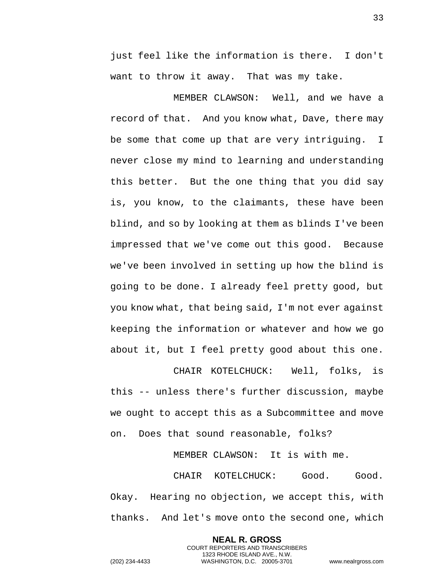just feel like the information is there. I don't want to throw it away. That was my take.

MEMBER CLAWSON: Well, and we have a record of that. And you know what, Dave, there may be some that come up that are very intriguing. I never close my mind to learning and understanding this better. But the one thing that you did say is, you know, to the claimants, these have been blind, and so by looking at them as blinds I've been impressed that we've come out this good. Because we've been involved in setting up how the blind is going to be done. I already feel pretty good, but you know what, that being said, I'm not ever against keeping the information or whatever and how we go about it, but I feel pretty good about this one.

CHAIR KOTELCHUCK: Well, folks, is this -- unless there's further discussion, maybe we ought to accept this as a Subcommittee and move on. Does that sound reasonable, folks?

MEMBER CLAWSON: It is with me.

CHAIR KOTELCHUCK: Good. Good. Okay. Hearing no objection, we accept this, with thanks. And let's move onto the second one, which

> **NEAL R. GROSS** COURT REPORTERS AND TRANSCRIBERS 1323 RHODE ISLAND AVE., N.W.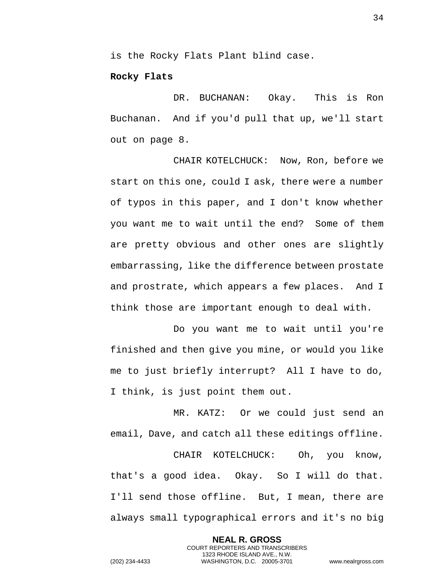is the Rocky Flats Plant blind case.

## **Rocky Flats**

DR. BUCHANAN: Okay. This is Ron Buchanan. And if you'd pull that up, we'll start out on page 8.

CHAIR KOTELCHUCK: Now, Ron, before we start on this one, could I ask, there were a number of typos in this paper, and I don't know whether you want me to wait until the end? Some of them are pretty obvious and other ones are slightly embarrassing, like the difference between prostate and prostrate, which appears a few places. And I think those are important enough to deal with.

Do you want me to wait until you're finished and then give you mine, or would you like me to just briefly interrupt? All I have to do, I think, is just point them out.

MR. KATZ: Or we could just send an email, Dave, and catch all these editings offline.

CHAIR KOTELCHUCK: Oh, you know, that's a good idea. Okay. So I will do that. I'll send those offline. But, I mean, there are always small typographical errors and it's no big

> **NEAL R. GROSS** COURT REPORTERS AND TRANSCRIBERS 1323 RHODE ISLAND AVE., N.W.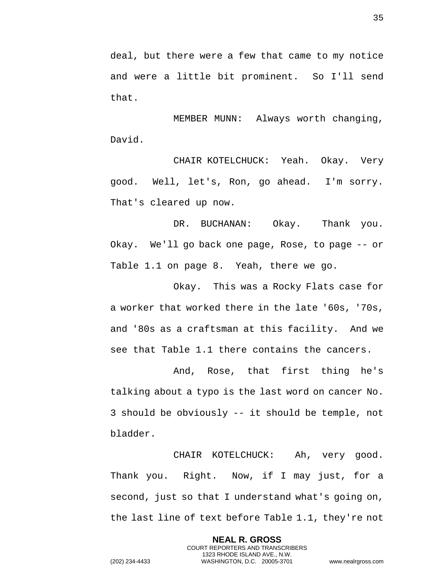35

deal, but there were a few that came to my notice and were a little bit prominent. So I'll send that.

MEMBER MUNN: Always worth changing, David.

CHAIR KOTELCHUCK: Yeah. Okay. Very good. Well, let's, Ron, go ahead. I'm sorry. That's cleared up now.

DR. BUCHANAN: Okay. Thank you. Okay. We'll go back one page, Rose, to page -- or Table 1.1 on page 8. Yeah, there we go.

Okay. This was a Rocky Flats case for a worker that worked there in the late '60s, '70s, and '80s as a craftsman at this facility. And we see that Table 1.1 there contains the cancers.

And, Rose, that first thing he's talking about a typo is the last word on cancer No. 3 should be obviously -- it should be temple, not bladder.

CHAIR KOTELCHUCK: Ah, very good. Thank you. Right. Now, if I may just, for a second, just so that I understand what's going on, the last line of text before Table 1.1, they're not

> **NEAL R. GROSS** COURT REPORTERS AND TRANSCRIBERS 1323 RHODE ISLAND AVE., N.W.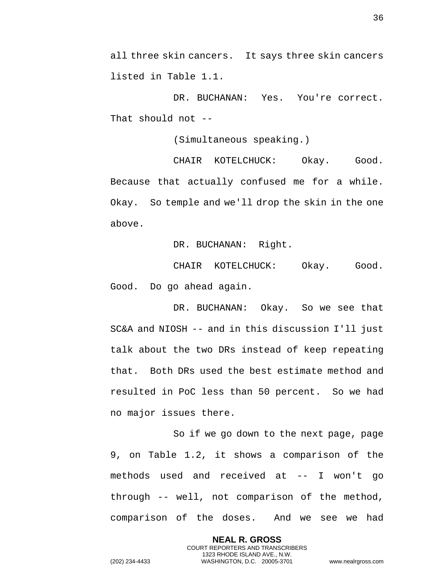all three skin cancers. It says three skin cancers listed in Table 1.1.

DR. BUCHANAN: Yes. You're correct. That should not --

(Simultaneous speaking.)

CHAIR KOTELCHUCK: Okay. Good. Because that actually confused me for a while. Okay. So temple and we'll drop the skin in the one above.

DR. BUCHANAN: Right.

CHAIR KOTELCHUCK: Okay. Good. Good. Do go ahead again.

DR. BUCHANAN: Okay. So we see that SC&A and NIOSH -- and in this discussion I'll just talk about the two DRs instead of keep repeating that. Both DRs used the best estimate method and resulted in PoC less than 50 percent. So we had no major issues there.

So if we go down to the next page, page 9, on Table 1.2, it shows a comparison of the methods used and received at -- I won't go through -- well, not comparison of the method, comparison of the doses. And we see we had

> **NEAL R. GROSS** COURT REPORTERS AND TRANSCRIBERS 1323 RHODE ISLAND AVE., N.W.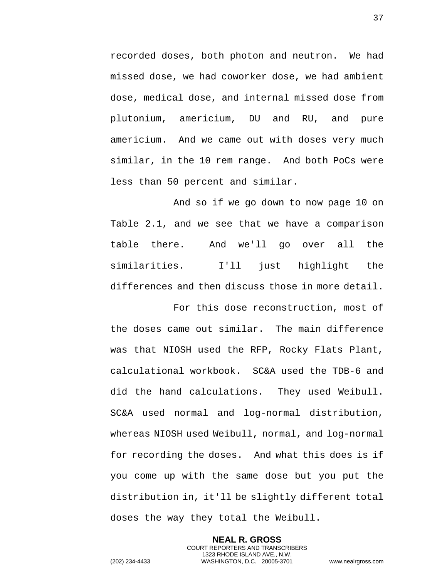recorded doses, both photon and neutron. We had missed dose, we had coworker dose, we had ambient dose, medical dose, and internal missed dose from plutonium, americium, DU and RU, and pure americium. And we came out with doses very much similar, in the 10 rem range. And both PoCs were less than 50 percent and similar.

And so if we go down to now page 10 on Table 2.1, and we see that we have a comparison table there. And we'll go over all the similarities. I'll just highlight the differences and then discuss those in more detail.

For this dose reconstruction, most of the doses came out similar. The main difference was that NIOSH used the RFP, Rocky Flats Plant, calculational workbook. SC&A used the TDB-6 and did the hand calculations. They used Weibull. SC&A used normal and log-normal distribution, whereas NIOSH used Weibull, normal, and log-normal for recording the doses. And what this does is if you come up with the same dose but you put the distribution in, it'll be slightly different total doses the way they total the Weibull.

> **NEAL R. GROSS** COURT REPORTERS AND TRANSCRIBERS 1323 RHODE ISLAND AVE., N.W.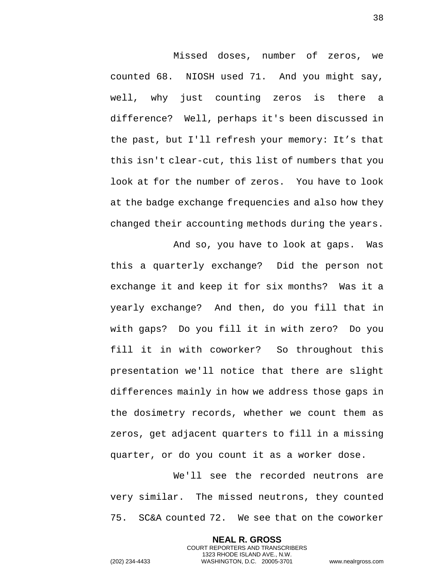Missed doses, number of zeros, we counted 68. NIOSH used 71. And you might say, well, why just counting zeros is there a difference? Well, perhaps it's been discussed in the past, but I'll refresh your memory: It's that this isn't clear-cut, this list of numbers that you look at for the number of zeros. You have to look at the badge exchange frequencies and also how they changed their accounting methods during the years.

And so, you have to look at gaps. Was this a quarterly exchange? Did the person not exchange it and keep it for six months? Was it a yearly exchange? And then, do you fill that in with gaps? Do you fill it in with zero? Do you fill it in with coworker? So throughout this presentation we'll notice that there are slight differences mainly in how we address those gaps in the dosimetry records, whether we count them as zeros, get adjacent quarters to fill in a missing quarter, or do you count it as a worker dose.

We'll see the recorded neutrons are very similar. The missed neutrons, they counted 75. SC&A counted 72. We see that on the coworker

> **NEAL R. GROSS** COURT REPORTERS AND TRANSCRIBERS 1323 RHODE ISLAND AVE., N.W.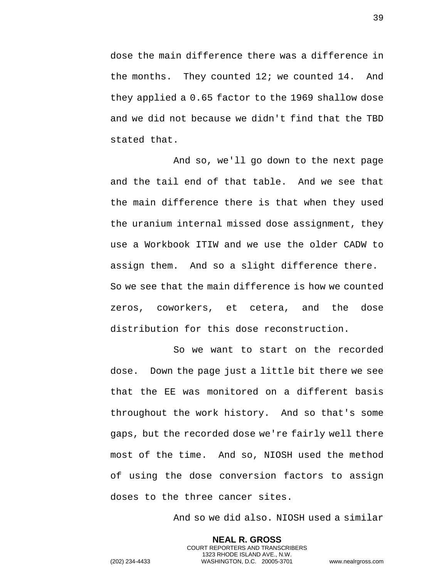dose the main difference there was a difference in the months. They counted 12; we counted 14. And they applied a 0.65 factor to the 1969 shallow dose and we did not because we didn't find that the TBD stated that.

And so, we'll go down to the next page and the tail end of that table. And we see that the main difference there is that when they used the uranium internal missed dose assignment, they use a Workbook ITIW and we use the older CADW to assign them. And so a slight difference there. So we see that the main difference is how we counted zeros, coworkers, et cetera, and the dose distribution for this dose reconstruction.

So we want to start on the recorded dose. Down the page just a little bit there we see that the EE was monitored on a different basis throughout the work history. And so that's some gaps, but the recorded dose we're fairly well there most of the time. And so, NIOSH used the method of using the dose conversion factors to assign doses to the three cancer sites.

And so we did also. NIOSH used a similar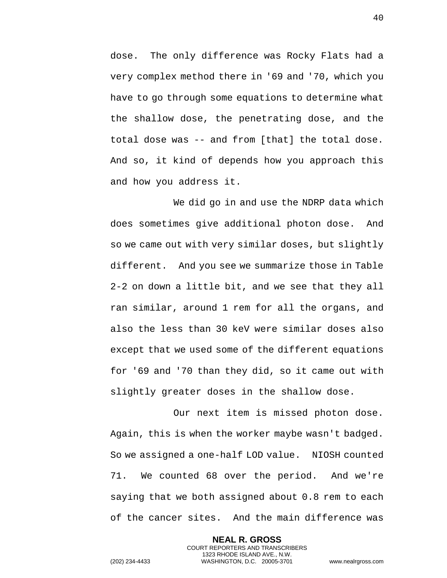dose. The only difference was Rocky Flats had a very complex method there in '69 and '70, which you have to go through some equations to determine what the shallow dose, the penetrating dose, and the total dose was -- and from [that] the total dose. And so, it kind of depends how you approach this and how you address it.

We did go in and use the NDRP data which does sometimes give additional photon dose. And so we came out with very similar doses, but slightly different. And you see we summarize those in Table 2-2 on down a little bit, and we see that they all ran similar, around 1 rem for all the organs, and also the less than 30 keV were similar doses also except that we used some of the different equations for '69 and '70 than they did, so it came out with slightly greater doses in the shallow dose.

Our next item is missed photon dose. Again, this is when the worker maybe wasn't badged. So we assigned a one-half LOD value. NIOSH counted 71. We counted 68 over the period. And we're saying that we both assigned about 0.8 rem to each of the cancer sites. And the main difference was

> **NEAL R. GROSS** COURT REPORTERS AND TRANSCRIBERS 1323 RHODE ISLAND AVE., N.W.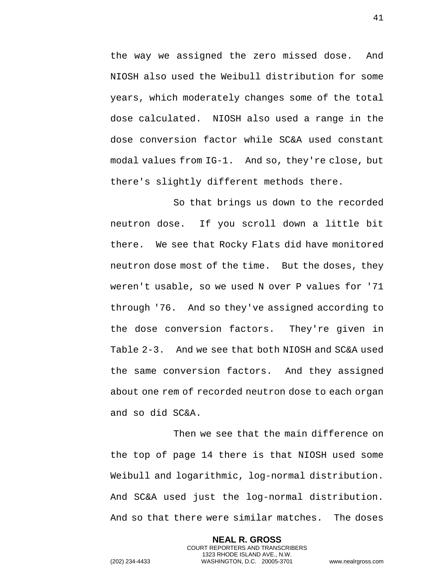the way we assigned the zero missed dose. And NIOSH also used the Weibull distribution for some years, which moderately changes some of the total dose calculated. NIOSH also used a range in the dose conversion factor while SC&A used constant modal values from IG-1. And so, they're close, but there's slightly different methods there.

So that brings us down to the recorded neutron dose. If you scroll down a little bit there. We see that Rocky Flats did have monitored neutron dose most of the time. But the doses, they weren't usable, so we used N over P values for '71 through '76. And so they've assigned according to the dose conversion factors. They're given in Table 2-3. And we see that both NIOSH and SC&A used the same conversion factors. And they assigned about one rem of recorded neutron dose to each organ and so did SC&A.

Then we see that the main difference on the top of page 14 there is that NIOSH used some Weibull and logarithmic, log-normal distribution. And SC&A used just the log-normal distribution. And so that there were similar matches. The doses

> **NEAL R. GROSS** COURT REPORTERS AND TRANSCRIBERS 1323 RHODE ISLAND AVE., N.W.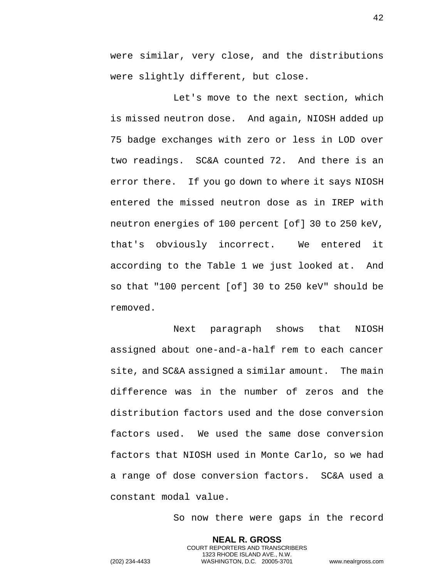were similar, very close, and the distributions were slightly different, but close.

Let's move to the next section, which is missed neutron dose. And again, NIOSH added up 75 badge exchanges with zero or less in LOD over two readings. SC&A counted 72. And there is an error there. If you go down to where it says NIOSH entered the missed neutron dose as in IREP with neutron energies of 100 percent [of] 30 to 250 keV, that's obviously incorrect. We entered it according to the Table 1 we just looked at. And so that "100 percent [of] 30 to 250 keV" should be removed.

Next paragraph shows that NIOSH assigned about one-and-a-half rem to each cancer site, and SC&A assigned a similar amount. The main difference was in the number of zeros and the distribution factors used and the dose conversion factors used. We used the same dose conversion factors that NIOSH used in Monte Carlo, so we had a range of dose conversion factors. SC&A used a constant modal value.

So now there were gaps in the record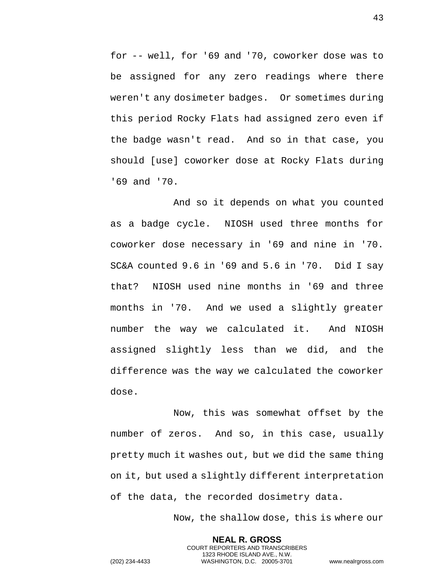for -- well, for '69 and '70, coworker dose was to be assigned for any zero readings where there weren't any dosimeter badges. Or sometimes during this period Rocky Flats had assigned zero even if the badge wasn't read. And so in that case, you should [use] coworker dose at Rocky Flats during '69 and '70.

And so it depends on what you counted as a badge cycle. NIOSH used three months for coworker dose necessary in '69 and nine in '70. SC&A counted 9.6 in '69 and 5.6 in '70. Did I say that? NIOSH used nine months in '69 and three months in '70. And we used a slightly greater number the way we calculated it. And NIOSH assigned slightly less than we did, and the difference was the way we calculated the coworker dose.

Now, this was somewhat offset by the number of zeros. And so, in this case, usually pretty much it washes out, but we did the same thing on it, but used a slightly different interpretation of the data, the recorded dosimetry data.

> **NEAL R. GROSS** COURT REPORTERS AND TRANSCRIBERS 1323 RHODE ISLAND AVE., N.W.

Now, the shallow dose, this is where our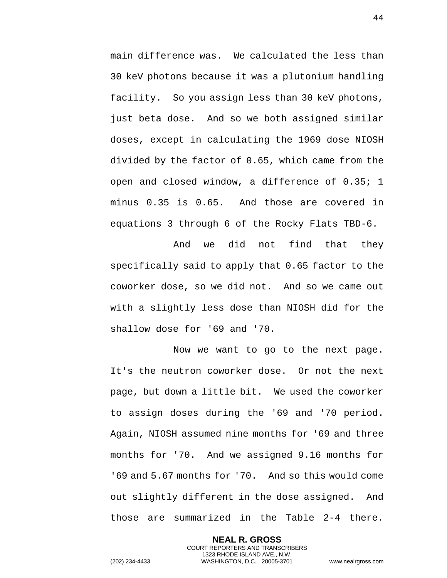main difference was. We calculated the less than 30 keV photons because it was a plutonium handling facility. So you assign less than 30 keV photons, just beta dose. And so we both assigned similar doses, except in calculating the 1969 dose NIOSH divided by the factor of 0.65, which came from the open and closed window, a difference of 0.35; 1 minus 0.35 is 0.65. And those are covered in equations 3 through 6 of the Rocky Flats TBD-6.

And we did not find that they specifically said to apply that 0.65 factor to the coworker dose, so we did not. And so we came out with a slightly less dose than NIOSH did for the shallow dose for '69 and '70.

Now we want to go to the next page. It's the neutron coworker dose. Or not the next page, but down a little bit. We used the coworker to assign doses during the '69 and '70 period. Again, NIOSH assumed nine months for '69 and three months for '70. And we assigned 9.16 months for '69 and 5.67 months for '70. And so this would come out slightly different in the dose assigned. And those are summarized in the Table 2-4 there.

> **NEAL R. GROSS** COURT REPORTERS AND TRANSCRIBERS 1323 RHODE ISLAND AVE., N.W.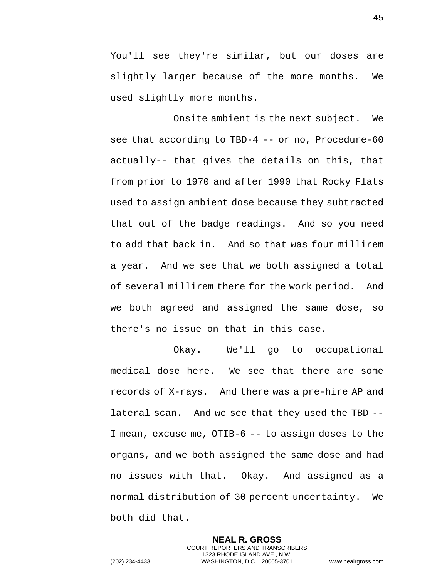You'll see they're similar, but our doses are slightly larger because of the more months. We used slightly more months.

Onsite ambient is the next subject. We see that according to TBD-4 -- or no, Procedure-60 actually-- that gives the details on this, that from prior to 1970 and after 1990 that Rocky Flats used to assign ambient dose because they subtracted that out of the badge readings. And so you need to add that back in. And so that was four millirem a year. And we see that we both assigned a total of several millirem there for the work period. And we both agreed and assigned the same dose, so there's no issue on that in this case.

Okay. We'll go to occupational medical dose here. We see that there are some records of X-rays. And there was a pre-hire AP and lateral scan. And we see that they used the TBD -- I mean, excuse me, OTIB-6 -- to assign doses to the organs, and we both assigned the same dose and had no issues with that. Okay. And assigned as a normal distribution of 30 percent uncertainty. We both did that.

> **NEAL R. GROSS** COURT REPORTERS AND TRANSCRIBERS 1323 RHODE ISLAND AVE., N.W.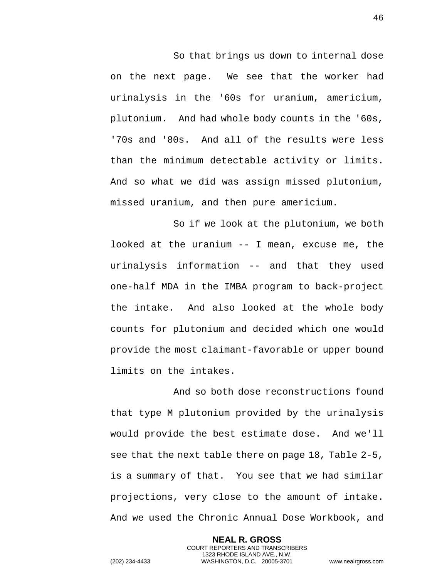So that brings us down to internal dose on the next page. We see that the worker had urinalysis in the '60s for uranium, americium, plutonium. And had whole body counts in the '60s, '70s and '80s. And all of the results were less than the minimum detectable activity or limits. And so what we did was assign missed plutonium, missed uranium, and then pure americium.

So if we look at the plutonium, we both looked at the uranium -- I mean, excuse me, the urinalysis information -- and that they used one-half MDA in the IMBA program to back-project the intake. And also looked at the whole body counts for plutonium and decided which one would provide the most claimant-favorable or upper bound limits on the intakes.

And so both dose reconstructions found that type M plutonium provided by the urinalysis would provide the best estimate dose. And we'll see that the next table there on page 18, Table 2-5, is a summary of that. You see that we had similar projections, very close to the amount of intake. And we used the Chronic Annual Dose Workbook, and

> **NEAL R. GROSS** COURT REPORTERS AND TRANSCRIBERS 1323 RHODE ISLAND AVE., N.W.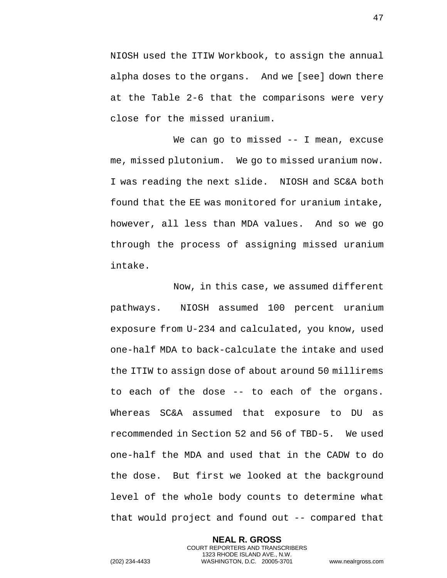NIOSH used the ITIW Workbook, to assign the annual alpha doses to the organs. And we [see] down there at the Table 2-6 that the comparisons were very close for the missed uranium.

We can go to missed -- I mean, excuse me, missed plutonium. We go to missed uranium now. I was reading the next slide. NIOSH and SC&A both found that the EE was monitored for uranium intake, however, all less than MDA values. And so we go through the process of assigning missed uranium intake.

Now, in this case, we assumed different pathways. NIOSH assumed 100 percent uranium exposure from U-234 and calculated, you know, used one-half MDA to back-calculate the intake and used the ITIW to assign dose of about around 50 millirems to each of the dose -- to each of the organs. Whereas SC&A assumed that exposure to DU as recommended in Section 52 and 56 of TBD-5. We used one-half the MDA and used that in the CADW to do the dose. But first we looked at the background level of the whole body counts to determine what that would project and found out -- compared that

> **NEAL R. GROSS** COURT REPORTERS AND TRANSCRIBERS 1323 RHODE ISLAND AVE., N.W.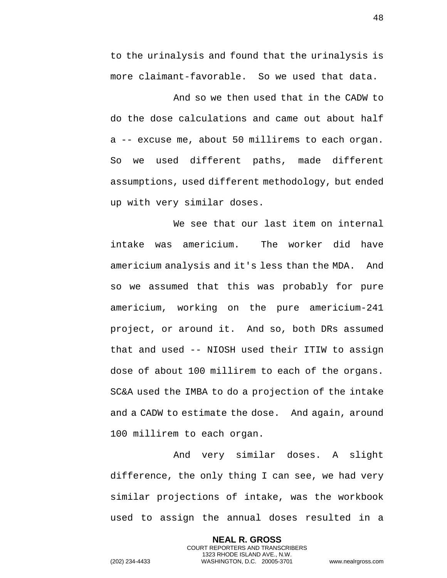to the urinalysis and found that the urinalysis is more claimant-favorable. So we used that data.

And so we then used that in the CADW to do the dose calculations and came out about half a -- excuse me, about 50 millirems to each organ. So we used different paths, made different assumptions, used different methodology, but ended up with very similar doses.

We see that our last item on internal intake was americium. The worker did have americium analysis and it's less than the MDA. And so we assumed that this was probably for pure americium, working on the pure americium-241 project, or around it. And so, both DRs assumed that and used -- NIOSH used their ITIW to assign dose of about 100 millirem to each of the organs. SC&A used the IMBA to do a projection of the intake and a CADW to estimate the dose. And again, around 100 millirem to each organ.

And very similar doses. A slight difference, the only thing I can see, we had very similar projections of intake, was the workbook used to assign the annual doses resulted in a

> **NEAL R. GROSS** COURT REPORTERS AND TRANSCRIBERS 1323 RHODE ISLAND AVE., N.W.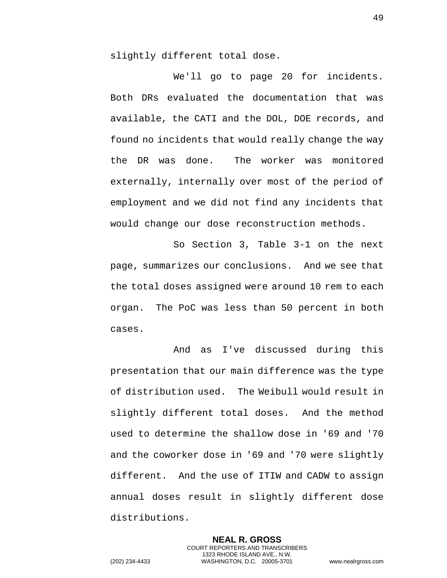slightly different total dose.

We'll go to page 20 for incidents. Both DRs evaluated the documentation that was available, the CATI and the DOL, DOE records, and found no incidents that would really change the way the DR was done. The worker was monitored externally, internally over most of the period of employment and we did not find any incidents that would change our dose reconstruction methods.

So Section 3, Table 3-1 on the next page, summarizes our conclusions. And we see that the total doses assigned were around 10 rem to each organ. The PoC was less than 50 percent in both cases.

And as I've discussed during this presentation that our main difference was the type of distribution used. The Weibull would result in slightly different total doses. And the method used to determine the shallow dose in '69 and '70 and the coworker dose in '69 and '70 were slightly different. And the use of ITIW and CADW to assign annual doses result in slightly different dose distributions.

> **NEAL R. GROSS** COURT REPORTERS AND TRANSCRIBERS 1323 RHODE ISLAND AVE., N.W.

49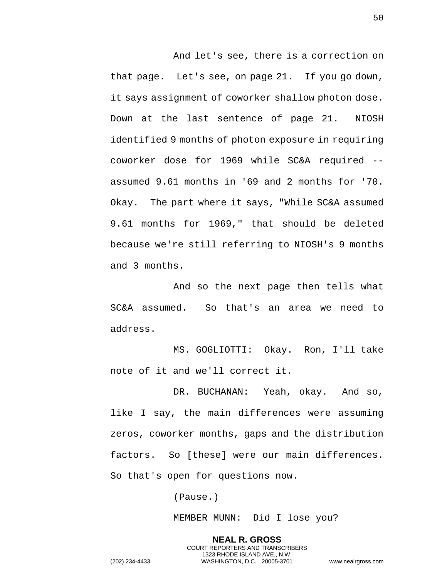And let's see, there is a correction on that page. Let's see, on page 21. If you go down, it says assignment of coworker shallow photon dose. Down at the last sentence of page 21. NIOSH identified 9 months of photon exposure in requiring coworker dose for 1969 while SC&A required - assumed 9.61 months in '69 and 2 months for '70. Okay. The part where it says, "While SC&A assumed 9.61 months for 1969," that should be deleted because we're still referring to NIOSH's 9 months and 3 months.

And so the next page then tells what SC&A assumed. So that's an area we need to address.

MS. GOGLIOTTI: Okay. Ron, I'll take note of it and we'll correct it.

DR. BUCHANAN: Yeah, okay. And so, like I say, the main differences were assuming zeros, coworker months, gaps and the distribution factors. So [these] were our main differences. So that's open for questions now.

(Pause.)

MEMBER MUNN: Did I lose you?

**NEAL R. GROSS** COURT REPORTERS AND TRANSCRIBERS 1323 RHODE ISLAND AVE., N.W. (202) 234-4433 WASHINGTON, D.C. 20005-3701 www.nealrgross.com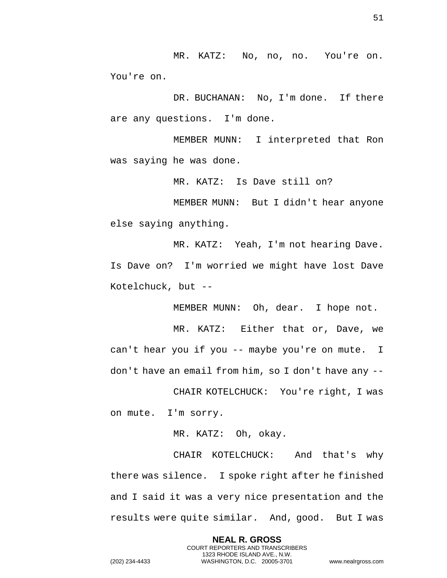MR. KATZ: No, no, no. You're on. You're on.

DR. BUCHANAN: No, I'm done. If there are any questions. I'm done.

MEMBER MUNN: I interpreted that Ron was saying he was done.

MR. KATZ: Is Dave still on?

MEMBER MUNN: But I didn't hear anyone else saying anything.

MR. KATZ: Yeah, I'm not hearing Dave. Is Dave on? I'm worried we might have lost Dave Kotelchuck, but --

MEMBER MUNN: Oh, dear. I hope not.

MR. KATZ: Either that or, Dave, we can't hear you if you -- maybe you're on mute. I don't have an email from him, so I don't have any --

CHAIR KOTELCHUCK: You're right, I was on mute. I'm sorry.

MR. KATZ: Oh, okay.

CHAIR KOTELCHUCK: And that's why there was silence. I spoke right after he finished and I said it was a very nice presentation and the results were quite similar. And, good. But I was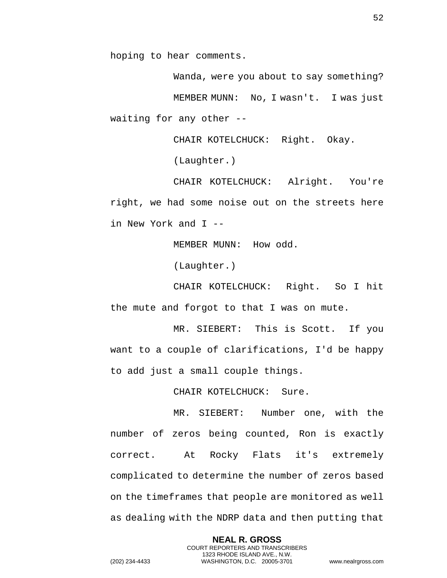hoping to hear comments.

Wanda, were you about to say something? MEMBER MUNN: No, I wasn't. I was just waiting for any other --

CHAIR KOTELCHUCK: Right. Okay.

(Laughter.)

CHAIR KOTELCHUCK: Alright. You're right, we had some noise out on the streets here in New York and I --

MEMBER MUNN: How odd.

(Laughter.)

CHAIR KOTELCHUCK: Right. So I hit the mute and forgot to that I was on mute.

MR. SIEBERT: This is Scott. If you want to a couple of clarifications, I'd be happy to add just a small couple things.

CHAIR KOTELCHUCK: Sure.

MR. SIEBERT: Number one, with the number of zeros being counted, Ron is exactly correct. At Rocky Flats it's extremely complicated to determine the number of zeros based on the timeframes that people are monitored as well as dealing with the NDRP data and then putting that

> **NEAL R. GROSS** COURT REPORTERS AND TRANSCRIBERS 1323 RHODE ISLAND AVE., N.W.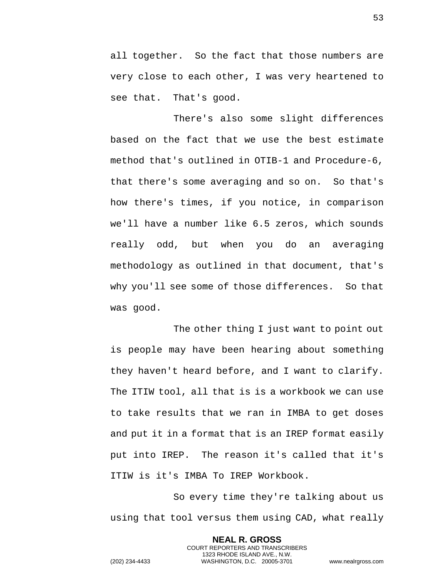all together. So the fact that those numbers are very close to each other, I was very heartened to see that. That's good.

There's also some slight differences based on the fact that we use the best estimate method that's outlined in OTIB-1 and Procedure-6, that there's some averaging and so on. So that's how there's times, if you notice, in comparison we'll have a number like 6.5 zeros, which sounds really odd, but when you do an averaging methodology as outlined in that document, that's why you'll see some of those differences. So that was good.

The other thing I just want to point out is people may have been hearing about something they haven't heard before, and I want to clarify. The ITIW tool, all that is is a workbook we can use to take results that we ran in IMBA to get doses and put it in a format that is an IREP format easily put into IREP. The reason it's called that it's ITIW is it's IMBA To IREP Workbook.

So every time they're talking about us using that tool versus them using CAD, what really

> **NEAL R. GROSS** COURT REPORTERS AND TRANSCRIBERS 1323 RHODE ISLAND AVE., N.W.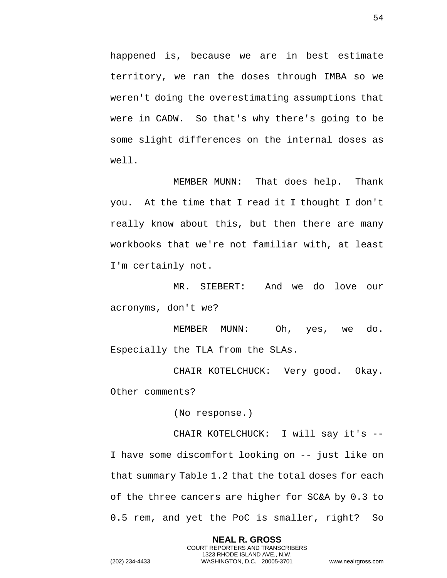happened is, because we are in best estimate territory, we ran the doses through IMBA so we weren't doing the overestimating assumptions that were in CADW. So that's why there's going to be some slight differences on the internal doses as well.

MEMBER MUNN: That does help. Thank you. At the time that I read it I thought I don't really know about this, but then there are many workbooks that we're not familiar with, at least I'm certainly not.

MR. SIEBERT: And we do love our acronyms, don't we?

MEMBER MUNN: Oh, yes, we do. Especially the TLA from the SLAs.

CHAIR KOTELCHUCK: Very good. Okay. Other comments?

(No response.)

CHAIR KOTELCHUCK: I will say it's -- I have some discomfort looking on -- just like on that summary Table 1.2 that the total doses for each of the three cancers are higher for SC&A by 0.3 to 0.5 rem, and yet the PoC is smaller, right? So

> **NEAL R. GROSS** COURT REPORTERS AND TRANSCRIBERS 1323 RHODE ISLAND AVE., N.W.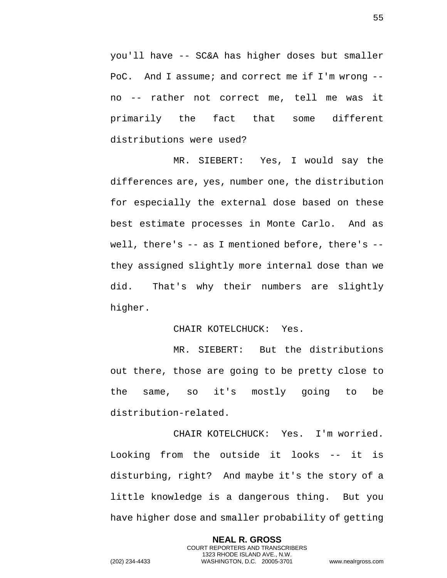you'll have -- SC&A has higher doses but smaller PoC. And I assume; and correct me if I'm wrong - no -- rather not correct me, tell me was it primarily the fact that some different distributions were used?

MR. SIEBERT: Yes, I would say the differences are, yes, number one, the distribution for especially the external dose based on these best estimate processes in Monte Carlo. And as well, there's -- as I mentioned before, there's - they assigned slightly more internal dose than we did. That's why their numbers are slightly higher.

## CHAIR KOTELCHUCK: Yes.

MR. SIEBERT: But the distributions out there, those are going to be pretty close to the same, so it's mostly going to be distribution-related.

CHAIR KOTELCHUCK: Yes. I'm worried. Looking from the outside it looks -- it is disturbing, right? And maybe it's the story of a little knowledge is a dangerous thing. But you have higher dose and smaller probability of getting

> **NEAL R. GROSS** COURT REPORTERS AND TRANSCRIBERS 1323 RHODE ISLAND AVE., N.W.

55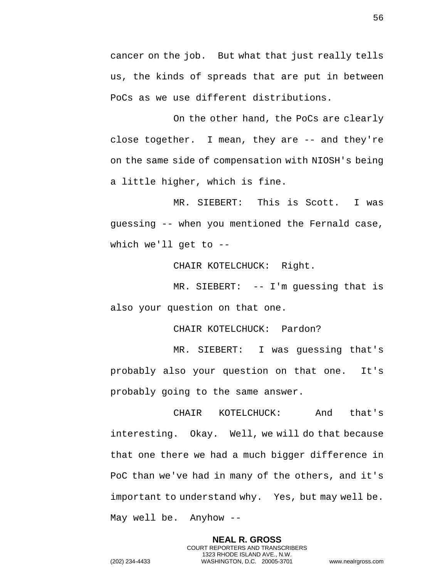cancer on the job. But what that just really tells us, the kinds of spreads that are put in between PoCs as we use different distributions.

On the other hand, the PoCs are clearly close together. I mean, they are -- and they're on the same side of compensation with NIOSH's being a little higher, which is fine.

MR. SIEBERT: This is Scott. I was guessing -- when you mentioned the Fernald case, which we'll get to --

CHAIR KOTELCHUCK: Right.

MR. SIEBERT: -- I'm guessing that is also your question on that one.

CHAIR KOTELCHUCK: Pardon?

MR. SIEBERT: I was guessing that's probably also your question on that one. It's probably going to the same answer.

CHAIR KOTELCHUCK: And that's interesting. Okay. Well, we will do that because that one there we had a much bigger difference in PoC than we've had in many of the others, and it's important to understand why. Yes, but may well be. May well be. Anyhow --

> **NEAL R. GROSS** COURT REPORTERS AND TRANSCRIBERS 1323 RHODE ISLAND AVE., N.W.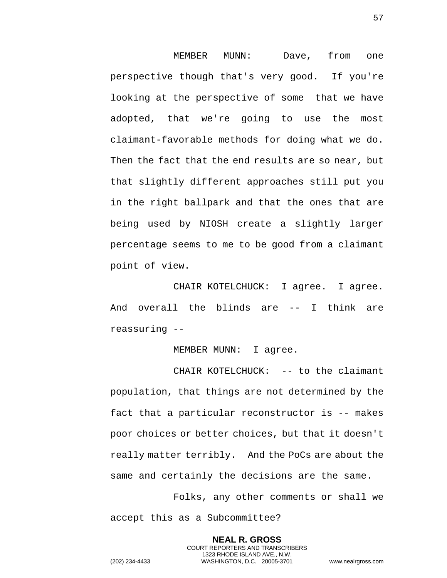MEMBER MUNN: Dave, from one perspective though that's very good. If you're looking at the perspective of some that we have adopted, that we're going to use the most claimant-favorable methods for doing what we do. Then the fact that the end results are so near, but that slightly different approaches still put you in the right ballpark and that the ones that are being used by NIOSH create a slightly larger percentage seems to me to be good from a claimant point of view.

CHAIR KOTELCHUCK: I agree. I agree. And overall the blinds are -- I think are reassuring --

MEMBER MUNN: I agree.

CHAIR KOTELCHUCK: -- to the claimant population, that things are not determined by the fact that a particular reconstructor is -- makes poor choices or better choices, but that it doesn't really matter terribly. And the PoCs are about the same and certainly the decisions are the same.

Folks, any other comments or shall we accept this as a Subcommittee?

> **NEAL R. GROSS** COURT REPORTERS AND TRANSCRIBERS 1323 RHODE ISLAND AVE., N.W.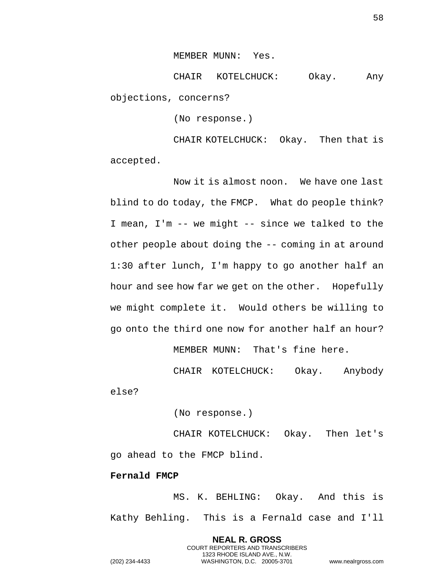MEMBER MUNN: Yes.

CHAIR KOTELCHUCK: Okay. Any objections, concerns?

(No response.)

CHAIR KOTELCHUCK: Okay. Then that is accepted.

Now it is almost noon. We have one last blind to do today, the FMCP. What do people think? I mean, I'm -- we might -- since we talked to the other people about doing the -- coming in at around 1:30 after lunch, I'm happy to go another half an hour and see how far we get on the other. Hopefully we might complete it. Would others be willing to go onto the third one now for another half an hour?

MEMBER MUNN: That's fine here.

CHAIR KOTELCHUCK: Okay. Anybody else?

(No response.)

CHAIR KOTELCHUCK: Okay. Then let's go ahead to the FMCP blind.

**Fernald FMCP**

MS. K. BEHLING: Okay. And this is Kathy Behling. This is a Fernald case and I'll

> **NEAL R. GROSS** COURT REPORTERS AND TRANSCRIBERS 1323 RHODE ISLAND AVE., N.W.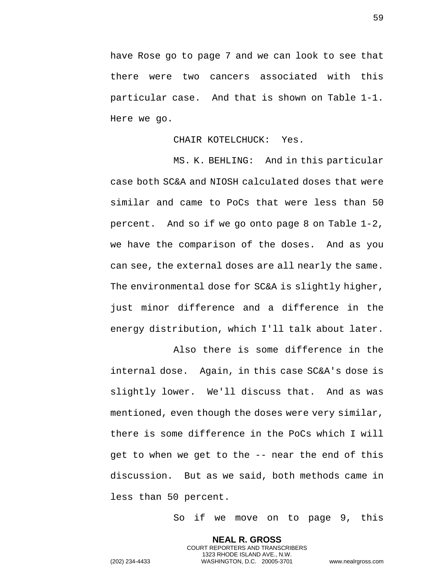have Rose go to page 7 and we can look to see that there were two cancers associated with this particular case. And that is shown on Table 1-1. Here we go.

## CHAIR KOTELCHUCK: Yes.

MS. K. BEHLING: And in this particular case both SC&A and NIOSH calculated doses that were similar and came to PoCs that were less than 50 percent. And so if we go onto page 8 on Table 1-2, we have the comparison of the doses. And as you can see, the external doses are all nearly the same. The environmental dose for SC&A is slightly higher, just minor difference and a difference in the energy distribution, which I'll talk about later.

Also there is some difference in the internal dose. Again, in this case SC&A's dose is slightly lower. We'll discuss that. And as was mentioned, even though the doses were very similar, there is some difference in the PoCs which I will get to when we get to the -- near the end of this discussion. But as we said, both methods came in less than 50 percent.

> **NEAL R. GROSS** COURT REPORTERS AND TRANSCRIBERS 1323 RHODE ISLAND AVE., N.W.

So if we move on to page 9, this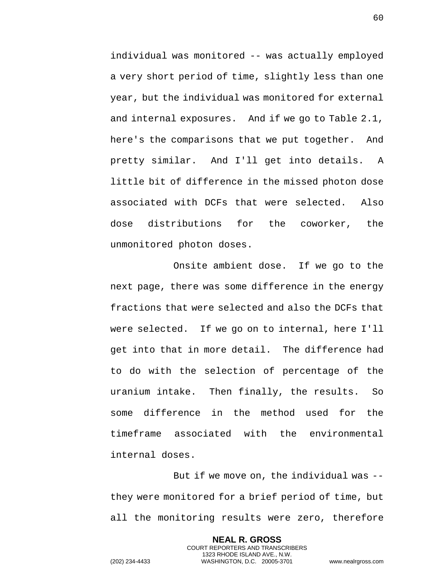individual was monitored -- was actually employed a very short period of time, slightly less than one year, but the individual was monitored for external and internal exposures. And if we go to Table 2.1, here's the comparisons that we put together. And pretty similar. And I'll get into details. A little bit of difference in the missed photon dose associated with DCFs that were selected. Also dose distributions for the coworker, the unmonitored photon doses.

Onsite ambient dose. If we go to the next page, there was some difference in the energy fractions that were selected and also the DCFs that were selected. If we go on to internal, here I'll get into that in more detail. The difference had to do with the selection of percentage of the uranium intake. Then finally, the results. So some difference in the method used for the timeframe associated with the environmental internal doses.

But if we move on, the individual was - they were monitored for a brief period of time, but all the monitoring results were zero, therefore

> **NEAL R. GROSS** COURT REPORTERS AND TRANSCRIBERS 1323 RHODE ISLAND AVE., N.W.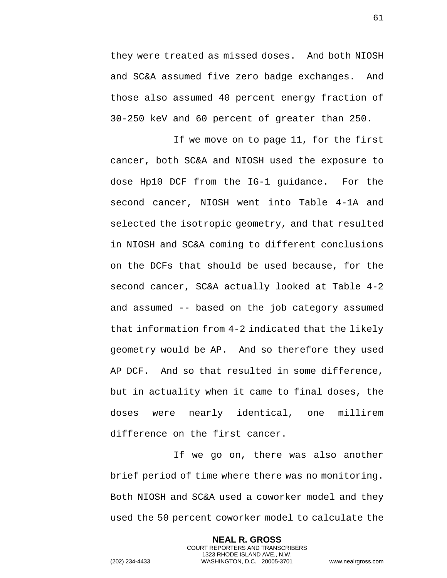they were treated as missed doses. And both NIOSH and SC&A assumed five zero badge exchanges. And those also assumed 40 percent energy fraction of 30-250 keV and 60 percent of greater than 250.

If we move on to page 11, for the first cancer, both SC&A and NIOSH used the exposure to dose Hp10 DCF from the IG-1 guidance. For the second cancer, NIOSH went into Table 4-1A and selected the isotropic geometry, and that resulted in NIOSH and SC&A coming to different conclusions on the DCFs that should be used because, for the second cancer, SC&A actually looked at Table 4-2 and assumed -- based on the job category assumed that information from 4-2 indicated that the likely geometry would be AP. And so therefore they used AP DCF. And so that resulted in some difference, but in actuality when it came to final doses, the doses were nearly identical, one millirem difference on the first cancer.

If we go on, there was also another brief period of time where there was no monitoring. Both NIOSH and SC&A used a coworker model and they used the 50 percent coworker model to calculate the

> **NEAL R. GROSS** COURT REPORTERS AND TRANSCRIBERS 1323 RHODE ISLAND AVE., N.W.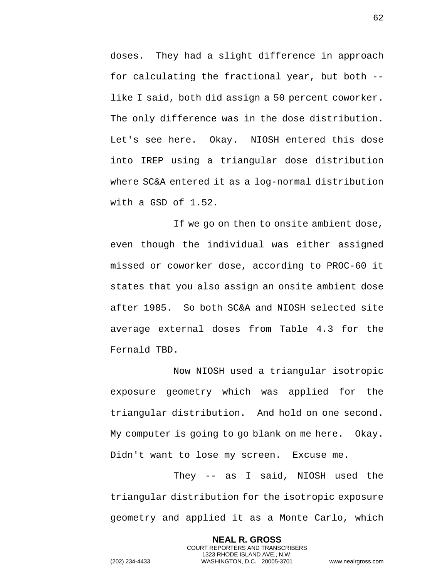doses. They had a slight difference in approach for calculating the fractional year, but both - like I said, both did assign a 50 percent coworker. The only difference was in the dose distribution. Let's see here. Okay. NIOSH entered this dose into IREP using a triangular dose distribution where SC&A entered it as a log-normal distribution with a GSD of 1.52.

If we go on then to onsite ambient dose, even though the individual was either assigned missed or coworker dose, according to PROC-60 it states that you also assign an onsite ambient dose after 1985. So both SC&A and NIOSH selected site average external doses from Table 4.3 for the Fernald TBD.

Now NIOSH used a triangular isotropic exposure geometry which was applied for the triangular distribution. And hold on one second. My computer is going to go blank on me here. Okay. Didn't want to lose my screen. Excuse me.

They -- as I said, NIOSH used the triangular distribution for the isotropic exposure geometry and applied it as a Monte Carlo, which

> **NEAL R. GROSS** COURT REPORTERS AND TRANSCRIBERS 1323 RHODE ISLAND AVE., N.W.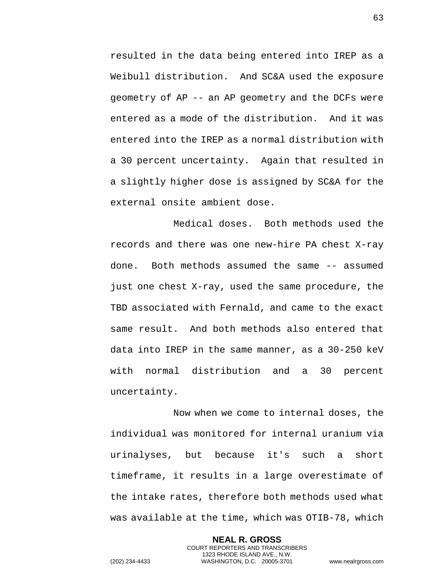resulted in the data being entered into IREP as a Weibull distribution. And SC&A used the exposure geometry of AP -- an AP geometry and the DCFs were entered as a mode of the distribution. And it was entered into the IREP as a normal distribution with a 30 percent uncertainty. Again that resulted in a slightly higher dose is assigned by SC&A for the external onsite ambient dose.

Medical doses. Both methods used the records and there was one new-hire PA chest X-ray done. Both methods assumed the same -- assumed just one chest X-ray, used the same procedure, the TBD associated with Fernald, and came to the exact same result. And both methods also entered that data into IREP in the same manner, as a 30-250 keV with normal distribution and a 30 percent uncertainty.

Now when we come to internal doses, the individual was monitored for internal uranium via urinalyses, but because it's such a short timeframe, it results in a large overestimate of the intake rates, therefore both methods used what was available at the time, which was OTIB-78, which

> **NEAL R. GROSS** COURT REPORTERS AND TRANSCRIBERS 1323 RHODE ISLAND AVE., N.W.

63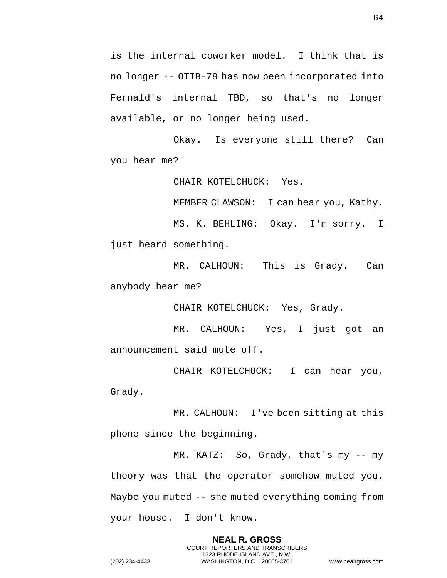is the internal coworker model. I think that is no longer -- OTIB-78 has now been incorporated into Fernald's internal TBD, so that's no longer available, or no longer being used.

Okay. Is everyone still there? Can you hear me?

CHAIR KOTELCHUCK: Yes.

MEMBER CLAWSON: I can hear you, Kathy. MS. K. BEHLING: Okay. I'm sorry. I

just heard something.

MR. CALHOUN: This is Grady. Can anybody hear me?

CHAIR KOTELCHUCK: Yes, Grady.

MR. CALHOUN: Yes, I just got an announcement said mute off.

CHAIR KOTELCHUCK: I can hear you, Grady.

MR. CALHOUN: I've been sitting at this phone since the beginning.

MR. KATZ: So, Grady, that's my -- my theory was that the operator somehow muted you. Maybe you muted -- she muted everything coming from your house. I don't know.

> **NEAL R. GROSS** COURT REPORTERS AND TRANSCRIBERS 1323 RHODE ISLAND AVE., N.W.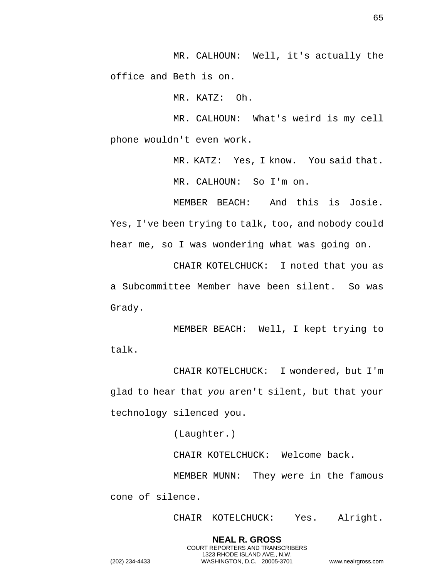MR. CALHOUN: Well, it's actually the office and Beth is on.

MR. KATZ: Oh.

MR. CALHOUN: What's weird is my cell phone wouldn't even work.

> MR. KATZ: Yes, I know. You said that. MR. CALHOUN: So I'm on.

MEMBER BEACH: And this is Josie. Yes, I've been trying to talk, too, and nobody could hear me, so I was wondering what was going on.

CHAIR KOTELCHUCK: I noted that you as a Subcommittee Member have been silent. So was Grady.

MEMBER BEACH: Well, I kept trying to talk.

CHAIR KOTELCHUCK: I wondered, but I'm glad to hear that *you* aren't silent, but that your technology silenced you.

(Laughter.)

CHAIR KOTELCHUCK: Welcome back.

MEMBER MUNN: They were in the famous cone of silence.

> **NEAL R. GROSS** COURT REPORTERS AND TRANSCRIBERS 1323 RHODE ISLAND AVE., N.W.

CHAIR KOTELCHUCK: Yes. Alright.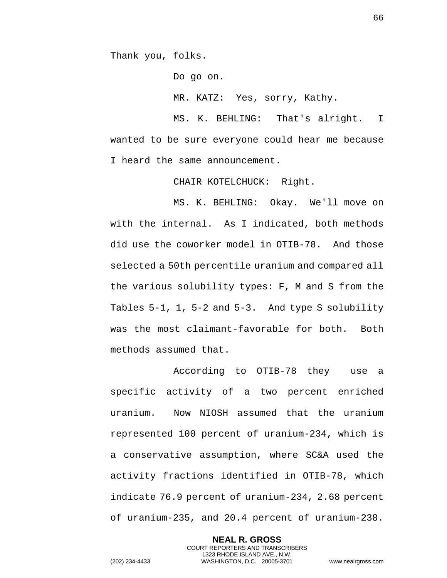Thank you, folks.

Do go on. MR. KATZ: Yes, sorry, Kathy.

MS. K. BEHLING: That's alright. I wanted to be sure everyone could hear me because I heard the same announcement.

CHAIR KOTELCHUCK: Right.

MS. K. BEHLING: Okay. We'll move on with the internal. As I indicated, both methods did use the coworker model in OTIB-78. And those selected a 50th percentile uranium and compared all the various solubility types: F, M and S from the Tables 5-1, 1, 5-2 and 5-3. And type S solubility was the most claimant-favorable for both. Both methods assumed that.

According to OTIB-78 they use a specific activity of a two percent enriched uranium. Now NIOSH assumed that the uranium represented 100 percent of uranium-234, which is a conservative assumption, where SC&A used the activity fractions identified in OTIB-78, which indicate 76.9 percent of uranium-234, 2.68 percent of uranium-235, and 20.4 percent of uranium-238.

> **NEAL R. GROSS** COURT REPORTERS AND TRANSCRIBERS 1323 RHODE ISLAND AVE., N.W.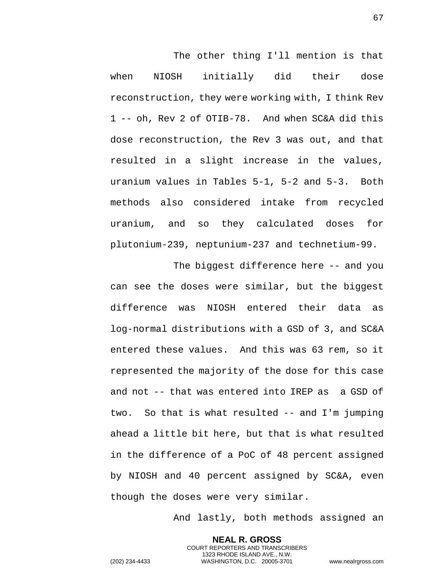The other thing I'll mention is that when NIOSH initially did their dose reconstruction, they were working with, I think Rev 1 -- oh, Rev 2 of OTIB-78. And when SC&A did this dose reconstruction, the Rev 3 was out, and that resulted in a slight increase in the values, uranium values in Tables 5-1, 5-2 and 5-3. Both methods also considered intake from recycled uranium, and so they calculated doses for plutonium-239, neptunium-237 and technetium-99.

The biggest difference here -- and you can see the doses were similar, but the biggest difference was NIOSH entered their data as log-normal distributions with a GSD of 3, and SC&A entered these values. And this was 63 rem, so it represented the majority of the dose for this case and not -- that was entered into IREP as a GSD of two. So that is what resulted -- and I'm jumping ahead a little bit here, but that is what resulted in the difference of a PoC of 48 percent assigned by NIOSH and 40 percent assigned by SC&A, even though the doses were very similar.

And lastly, both methods assigned an

**NEAL R. GROSS** COURT REPORTERS AND TRANSCRIBERS 1323 RHODE ISLAND AVE., N.W. (202) 234-4433 WASHINGTON, D.C. 20005-3701 www.nealrgross.com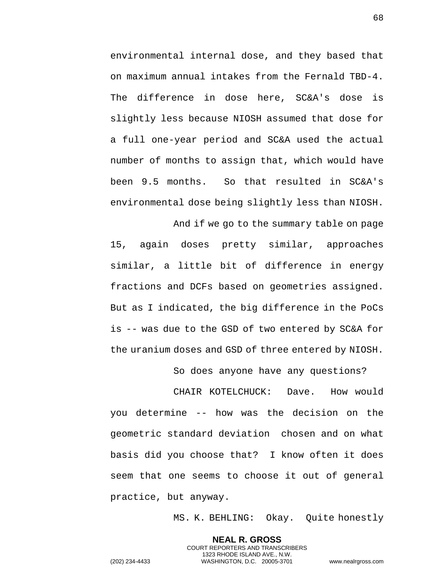environmental internal dose, and they based that on maximum annual intakes from the Fernald TBD-4. The difference in dose here, SC&A's dose is slightly less because NIOSH assumed that dose for a full one-year period and SC&A used the actual number of months to assign that, which would have been 9.5 months. So that resulted in SC&A's environmental dose being slightly less than NIOSH.

And if we go to the summary table on page 15, again doses pretty similar, approaches similar, a little bit of difference in energy fractions and DCFs based on geometries assigned. But as I indicated, the big difference in the PoCs is -- was due to the GSD of two entered by SC&A for the uranium doses and GSD of three entered by NIOSH.

So does anyone have any questions?

CHAIR KOTELCHUCK: Dave. How would you determine -- how was the decision on the geometric standard deviation chosen and on what basis did you choose that? I know often it does seem that one seems to choose it out of general practice, but anyway.

MS. K. BEHLING: Okay. Quite honestly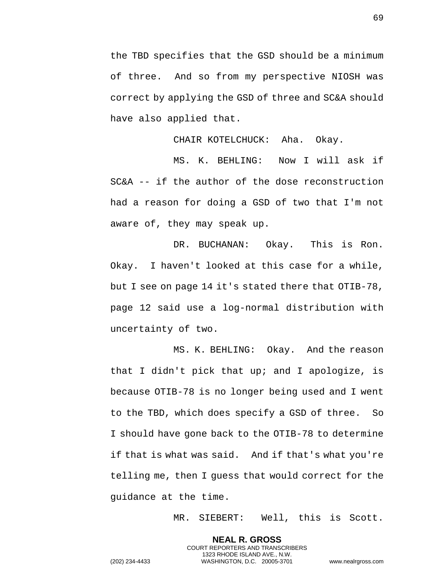the TBD specifies that the GSD should be a minimum of three. And so from my perspective NIOSH was correct by applying the GSD of three and SC&A should have also applied that.

CHAIR KOTELCHUCK: Aha. Okay.

MS. K. BEHLING: Now I will ask if SC&A -- if the author of the dose reconstruction had a reason for doing a GSD of two that I'm not aware of, they may speak up.

DR. BUCHANAN: Okay. This is Ron. Okay. I haven't looked at this case for a while, but I see on page 14 it's stated there that OTIB-78, page 12 said use a log-normal distribution with uncertainty of two.

MS. K. BEHLING: Okay. And the reason that I didn't pick that up; and I apologize, is because OTIB-78 is no longer being used and I went to the TBD, which does specify a GSD of three. So I should have gone back to the OTIB-78 to determine if that is what was said. And if that's what you're telling me, then I guess that would correct for the guidance at the time.

> **NEAL R. GROSS** COURT REPORTERS AND TRANSCRIBERS 1323 RHODE ISLAND AVE., N.W.

MR. SIEBERT: Well, this is Scott.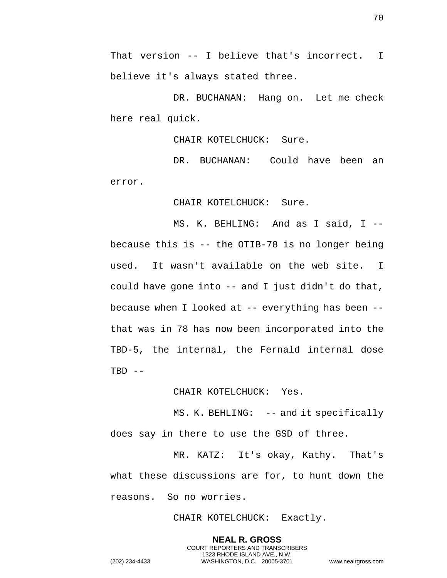That version -- I believe that's incorrect. I believe it's always stated three.

DR. BUCHANAN: Hang on. Let me check here real quick.

CHAIR KOTELCHUCK: Sure.

DR. BUCHANAN: Could have been an error.

CHAIR KOTELCHUCK: Sure.

MS. K. BEHLING: And as I said, I - because this is -- the OTIB-78 is no longer being used. It wasn't available on the web site. I could have gone into -- and I just didn't do that, because when I looked at -- everything has been - that was in 78 has now been incorporated into the TBD-5, the internal, the Fernald internal dose  $TBD$  --

CHAIR KOTELCHUCK: Yes.

MS. K. BEHLING: -- and it specifically does say in there to use the GSD of three.

MR. KATZ: It's okay, Kathy. That's what these discussions are for, to hunt down the reasons. So no worries.

CHAIR KOTELCHUCK: Exactly.

**NEAL R. GROSS** COURT REPORTERS AND TRANSCRIBERS 1323 RHODE ISLAND AVE., N.W.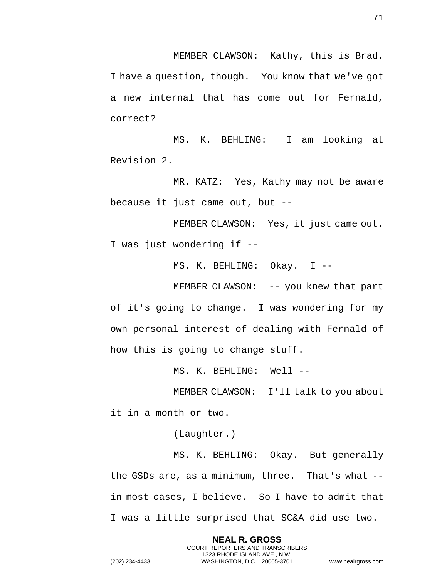MEMBER CLAWSON: Kathy, this is Brad. I have a question, though. You know that we've got a new internal that has come out for Fernald, correct?

MS. K. BEHLING: I am looking at Revision 2.

MR. KATZ: Yes, Kathy may not be aware because it just came out, but --

MEMBER CLAWSON: Yes, it just came out. I was just wondering if --

MS. K. BEHLING: Okay. I --

MEMBER CLAWSON: -- you knew that part

of it's going to change. I was wondering for my own personal interest of dealing with Fernald of how this is going to change stuff.

MS. K. BEHLING: Well --

MEMBER CLAWSON: I'll talk to you about it in a month or two.

(Laughter.)

MS. K. BEHLING: Okay. But generally the GSDs are, as a minimum, three. That's what - in most cases, I believe. So I have to admit that I was a little surprised that SC&A did use two.

> **NEAL R. GROSS** COURT REPORTERS AND TRANSCRIBERS 1323 RHODE ISLAND AVE., N.W.

71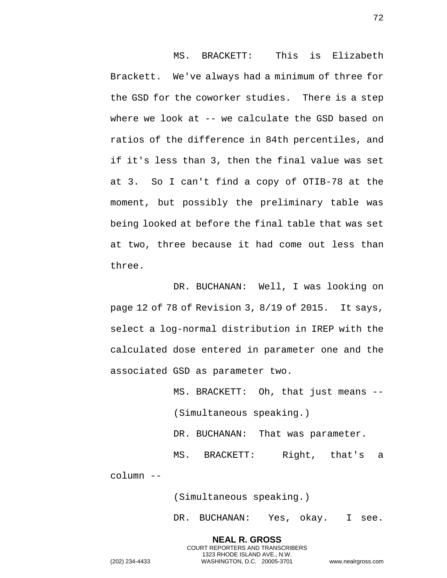MS. BRACKETT: This is Elizabeth Brackett. We've always had a minimum of three for the GSD for the coworker studies. There is a step where we look at -- we calculate the GSD based on ratios of the difference in 84th percentiles, and if it's less than 3, then the final value was set at 3. So I can't find a copy of OTIB-78 at the moment, but possibly the preliminary table was being looked at before the final table that was set at two, three because it had come out less than three.

DR. BUCHANAN: Well, I was looking on page 12 of 78 of Revision 3, 8/19 of 2015. It says, select a log-normal distribution in IREP with the calculated dose entered in parameter one and the associated GSD as parameter two.

> MS. BRACKETT: Oh, that just means -- (Simultaneous speaking.) DR. BUCHANAN: That was parameter. MS. BRACKETT: Right, that's a

(Simultaneous speaking.)

**NEAL R. GROSS** COURT REPORTERS AND TRANSCRIBERS 1323 RHODE ISLAND AVE., N.W.

DR. BUCHANAN: Yes, okay. I see.

72

column --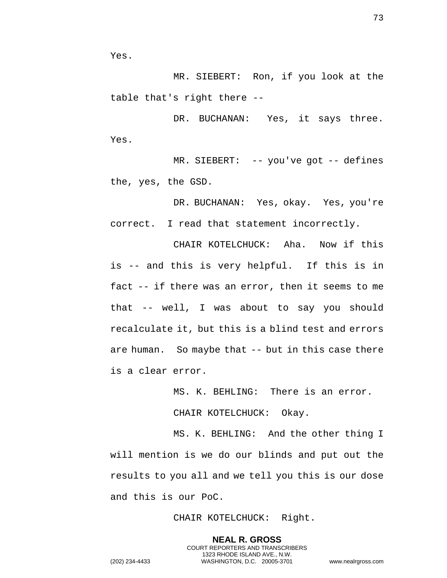Yes.

MR. SIEBERT: Ron, if you look at the table that's right there --

DR. BUCHANAN: Yes, it says three. Yes.

MR. SIEBERT: -- you've got -- defines the, yes, the GSD.

DR. BUCHANAN: Yes, okay. Yes, you're correct. I read that statement incorrectly.

CHAIR KOTELCHUCK: Aha. Now if this is -- and this is very helpful. If this is in fact -- if there was an error, then it seems to me that -- well, I was about to say you should recalculate it, but this is a blind test and errors are human. So maybe that -- but in this case there is a clear error.

MS. K. BEHLING: There is an error.

CHAIR KOTELCHUCK: Okay.

MS. K. BEHLING: And the other thing I will mention is we do our blinds and put out the results to you all and we tell you this is our dose and this is our PoC.

CHAIR KOTELCHUCK: Right.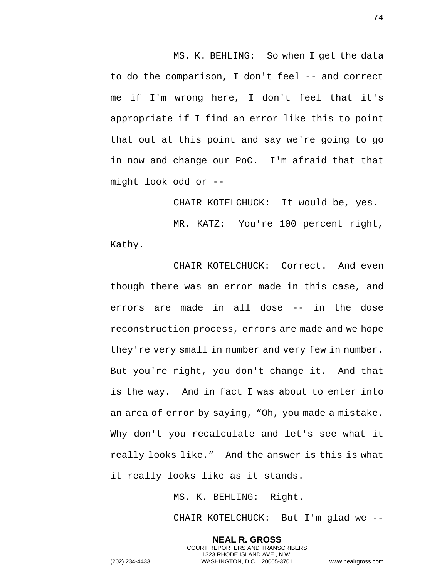MS. K. BEHLING: So when I get the data to do the comparison, I don't feel -- and correct me if I'm wrong here, I don't feel that it's appropriate if I find an error like this to point that out at this point and say we're going to go in now and change our PoC. I'm afraid that that might look odd or --

CHAIR KOTELCHUCK: It would be, yes. MR. KATZ: You're 100 percent right, Kathy.

CHAIR KOTELCHUCK: Correct. And even though there was an error made in this case, and errors are made in all dose -- in the dose reconstruction process, errors are made and we hope they're very small in number and very few in number. But you're right, you don't change it. And that is the way. And in fact I was about to enter into an area of error by saying, "Oh, you made a mistake. Why don't you recalculate and let's see what it really looks like." And the answer is this is what it really looks like as it stands.

MS. K. BEHLING: Right.

**NEAL R. GROSS** COURT REPORTERS AND TRANSCRIBERS 1323 RHODE ISLAND AVE., N.W.

CHAIR KOTELCHUCK: But I'm glad we --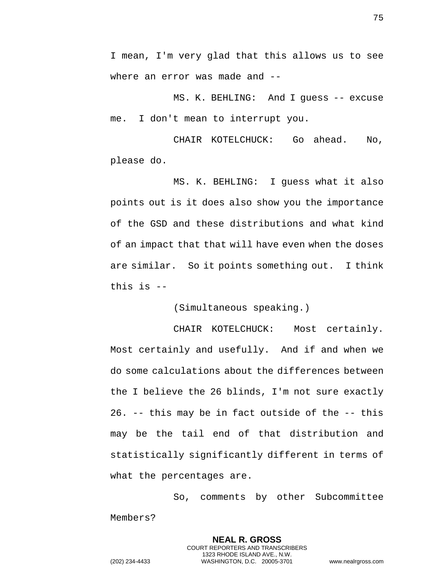I mean, I'm very glad that this allows us to see where an error was made and --

MS. K. BEHLING: And I guess -- excuse me. I don't mean to interrupt you.

CHAIR KOTELCHUCK: Go ahead. No, please do.

MS. K. BEHLING: I guess what it also points out is it does also show you the importance of the GSD and these distributions and what kind of an impact that that will have even when the doses are similar. So it points something out. I think this is --

(Simultaneous speaking.)

CHAIR KOTELCHUCK: Most certainly. Most certainly and usefully. And if and when we do some calculations about the differences between the I believe the 26 blinds, I'm not sure exactly 26. -- this may be in fact outside of the -- this may be the tail end of that distribution and statistically significantly different in terms of what the percentages are.

So, comments by other Subcommittee Members?

> **NEAL R. GROSS** COURT REPORTERS AND TRANSCRIBERS 1323 RHODE ISLAND AVE., N.W.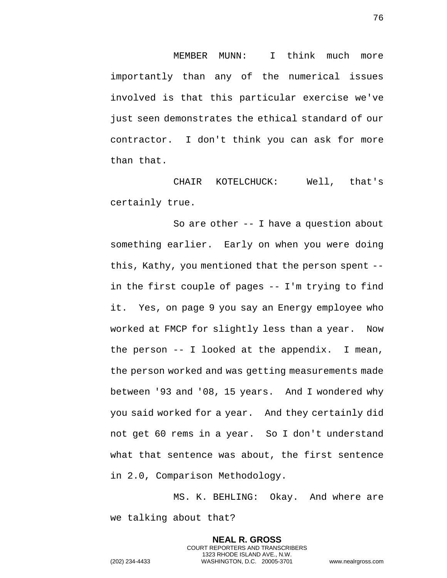MEMBER MUNN: I think much more importantly than any of the numerical issues involved is that this particular exercise we've just seen demonstrates the ethical standard of our contractor. I don't think you can ask for more than that.

CHAIR KOTELCHUCK: Well, that's certainly true.

So are other -- I have a question about something earlier. Early on when you were doing this, Kathy, you mentioned that the person spent - in the first couple of pages -- I'm trying to find it. Yes, on page 9 you say an Energy employee who worked at FMCP for slightly less than a year. Now the person -- I looked at the appendix. I mean, the person worked and was getting measurements made between '93 and '08, 15 years. And I wondered why you said worked for a year. And they certainly did not get 60 rems in a year. So I don't understand what that sentence was about, the first sentence in 2.0, Comparison Methodology.

MS. K. BEHLING: Okay. And where are we talking about that?

> **NEAL R. GROSS** COURT REPORTERS AND TRANSCRIBERS 1323 RHODE ISLAND AVE., N.W.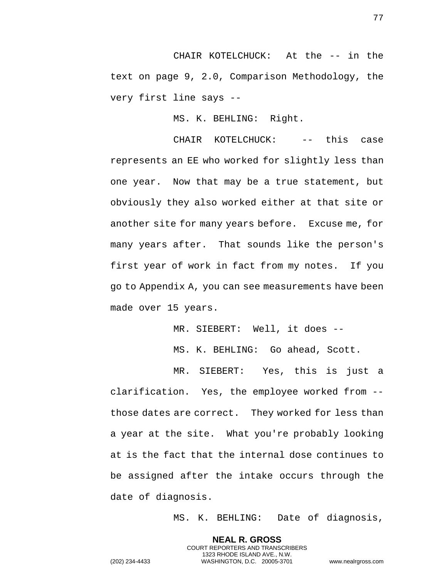CHAIR KOTELCHUCK: At the -- in the text on page 9, 2.0, Comparison Methodology, the very first line says --

MS. K. BEHLING: Right.

CHAIR KOTELCHUCK: -- this case represents an EE who worked for slightly less than one year. Now that may be a true statement, but obviously they also worked either at that site or another site for many years before. Excuse me, for many years after. That sounds like the person's first year of work in fact from my notes. If you go to Appendix A, you can see measurements have been made over 15 years.

MR. SIEBERT: Well, it does --

MS. K. BEHLING: Go ahead, Scott.

MR. SIEBERT: Yes, this is just a clarification. Yes, the employee worked from - those dates are correct. They worked for less than a year at the site. What you're probably looking at is the fact that the internal dose continues to be assigned after the intake occurs through the date of diagnosis.

> **NEAL R. GROSS** COURT REPORTERS AND TRANSCRIBERS 1323 RHODE ISLAND AVE., N.W.

MS. K. BEHLING: Date of diagnosis,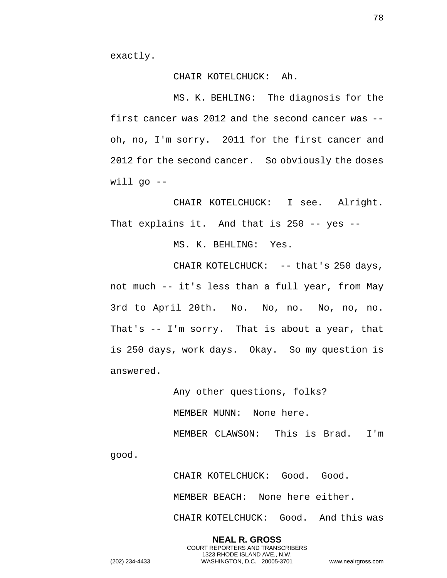exactly.

## CHAIR KOTELCHUCK: Ah.

MS. K. BEHLING: The diagnosis for the first cancer was 2012 and the second cancer was - oh, no, I'm sorry. 2011 for the first cancer and 2012 for the second cancer. So obviously the doses  $will qo --$ 

CHAIR KOTELCHUCK: I see. Alright. That explains it. And that is 250 -- yes --

MS. K. BEHLING: Yes.

CHAIR KOTELCHUCK: -- that's 250 days, not much -- it's less than a full year, from May 3rd to April 20th. No. No, no. No, no, no. That's -- I'm sorry. That is about a year, that is 250 days, work days. Okay. So my question is answered.

> Any other questions, folks? MEMBER MUNN: None here. MEMBER CLAWSON: This is Brad. I'm

good.

CHAIR KOTELCHUCK: Good. Good. MEMBER BEACH: None here either. CHAIR KOTELCHUCK: Good. And this was

**NEAL R. GROSS** COURT REPORTERS AND TRANSCRIBERS 1323 RHODE ISLAND AVE., N.W. (202) 234-4433 WASHINGTON, D.C. 20005-3701 www.nealrgross.com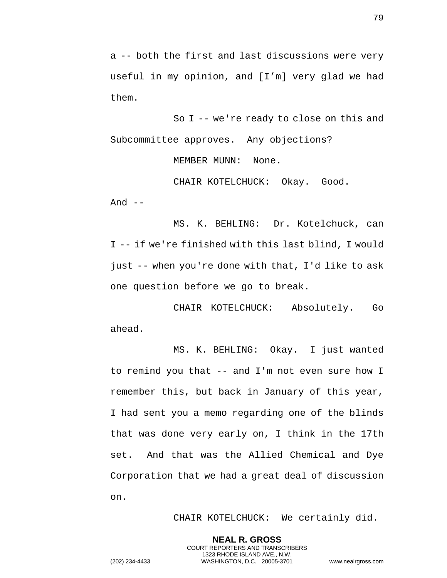a -- both the first and last discussions were very useful in my opinion, and [I'm] very glad we had

them.

So I -- we're ready to close on this and Subcommittee approves. Any objections?

MEMBER MUNN: None.

CHAIR KOTELCHUCK: Okay. Good. And  $--$ 

MS. K. BEHLING: Dr. Kotelchuck, can I -- if we're finished with this last blind, I would just -- when you're done with that, I'd like to ask one question before we go to break.

CHAIR KOTELCHUCK: Absolutely. Go ahead.

MS. K. BEHLING: Okay. I just wanted to remind you that -- and I'm not even sure how I remember this, but back in January of this year, I had sent you a memo regarding one of the blinds that was done very early on, I think in the 17th set. And that was the Allied Chemical and Dye Corporation that we had a great deal of discussion on.

> **NEAL R. GROSS** COURT REPORTERS AND TRANSCRIBERS 1323 RHODE ISLAND AVE., N.W.

CHAIR KOTELCHUCK: We certainly did.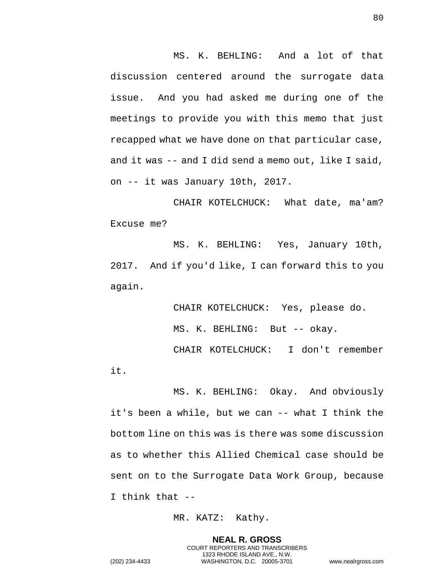MS. K. BEHLING: And a lot of that discussion centered around the surrogate data issue. And you had asked me during one of the meetings to provide you with this memo that just recapped what we have done on that particular case, and it was -- and I did send a memo out, like I said, on -- it was January 10th, 2017.

CHAIR KOTELCHUCK: What date, ma'am? Excuse me?

MS. K. BEHLING: Yes, January 10th, 2017. And if you'd like, I can forward this to you again.

> CHAIR KOTELCHUCK: Yes, please do. MS. K. BEHLING: But -- okay.

CHAIR KOTELCHUCK: I don't remember it.

MS. K. BEHLING: Okay. And obviously it's been a while, but we can -- what I think the bottom line on this was is there was some discussion as to whether this Allied Chemical case should be sent on to the Surrogate Data Work Group, because I think that --

MR. KATZ: Kathy.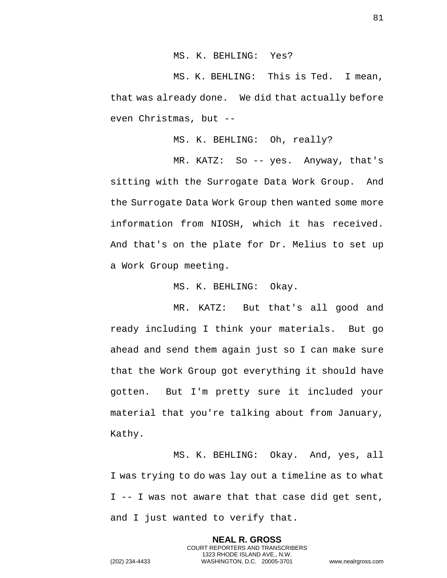MS. K. BEHLING: Yes?

MS. K. BEHLING: This is Ted. I mean, that was already done. We did that actually before even Christmas, but --

MS. K. BEHLING: Oh, really?

MR. KATZ: So -- yes. Anyway, that's sitting with the Surrogate Data Work Group. And the Surrogate Data Work Group then wanted some more information from NIOSH, which it has received. And that's on the plate for Dr. Melius to set up a Work Group meeting.

MS. K. BEHLING: Okay.

MR. KATZ: But that's all good and ready including I think your materials. But go ahead and send them again just so I can make sure that the Work Group got everything it should have gotten. But I'm pretty sure it included your material that you're talking about from January, Kathy.

MS. K. BEHLING: Okay. And, yes, all I was trying to do was lay out a timeline as to what I -- I was not aware that that case did get sent, and I just wanted to verify that.

> **NEAL R. GROSS** COURT REPORTERS AND TRANSCRIBERS 1323 RHODE ISLAND AVE., N.W.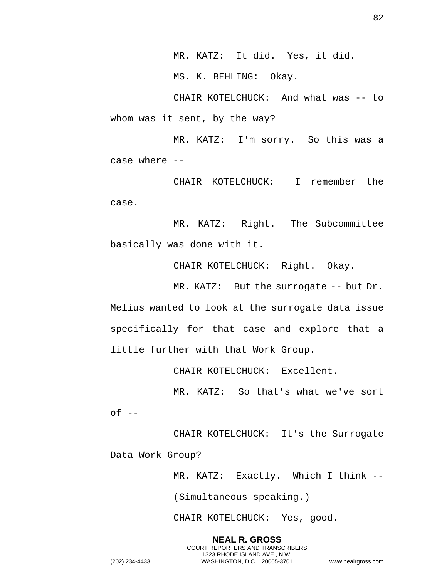MR. KATZ: It did. Yes, it did.

MS. K. BEHLING: Okay.

CHAIR KOTELCHUCK: And what was -- to whom was it sent, by the way?

MR. KATZ: I'm sorry. So this was a case where --

CHAIR KOTELCHUCK: I remember the case.

MR. KATZ: Right. The Subcommittee basically was done with it.

CHAIR KOTELCHUCK: Right. Okay.

MR. KATZ: But the surrogate -- but Dr. Melius wanted to look at the surrogate data issue specifically for that case and explore that a little further with that Work Group.

CHAIR KOTELCHUCK: Excellent.

MR. KATZ: So that's what we've sort  $of --$ 

CHAIR KOTELCHUCK: It's the Surrogate Data Work Group?

> MR. KATZ: Exactly. Which I think -- (Simultaneous speaking.)

CHAIR KOTELCHUCK: Yes, good.

**NEAL R. GROSS** COURT REPORTERS AND TRANSCRIBERS 1323 RHODE ISLAND AVE., N.W. (202) 234-4433 WASHINGTON, D.C. 20005-3701 www.nealrgross.com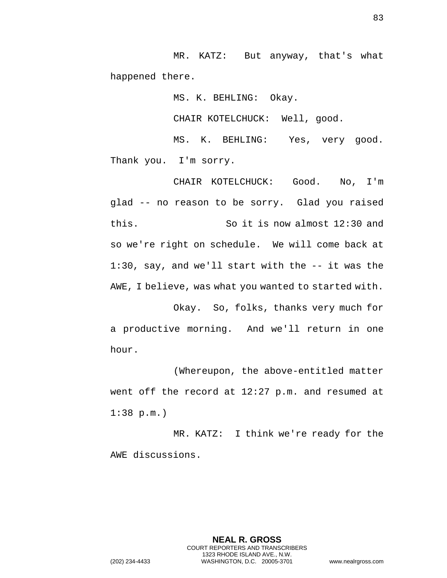MR. KATZ: But anyway, that's what happened there.

MS. K. BEHLING: Okay.

CHAIR KOTELCHUCK: Well, good.

MS. K. BEHLING: Yes, very good. Thank you. I'm sorry.

CHAIR KOTELCHUCK: Good. No, I'm glad -- no reason to be sorry. Glad you raised this. So it is now almost 12:30 and so we're right on schedule. We will come back at 1:30, say, and we'll start with the -- it was the AWE, I believe, was what you wanted to started with.

Okay. So, folks, thanks very much for a productive morning. And we'll return in one hour.

(Whereupon, the above-entitled matter went off the record at 12:27 p.m. and resumed at 1:38 p.m.)

MR. KATZ: I think we're ready for the AWE discussions.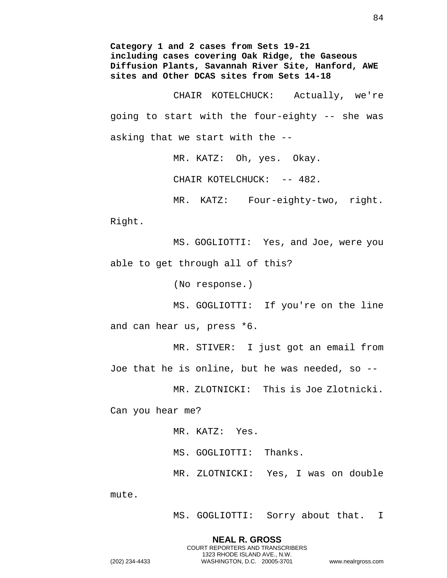**Category 1 and 2 cases from Sets 19-21 including cases covering Oak Ridge, the Gaseous Diffusion Plants, Savannah River Site, Hanford, AWE sites and Other DCAS sites from Sets 14-18**

CHAIR KOTELCHUCK: Actually, we're going to start with the four-eighty -- she was asking that we start with the --

MR. KATZ: Oh, yes. Okay.

CHAIR KOTELCHUCK: -- 482.

MR. KATZ: Four-eighty-two, right. Right.

MS. GOGLIOTTI: Yes, and Joe, were you able to get through all of this?

(No response.)

MS. GOGLIOTTI: If you're on the line and can hear us, press \*6.

MR. STIVER: I just got an email from Joe that he is online, but he was needed, so --

MR. ZLOTNICKI: This is Joe Zlotnicki.

Can you hear me?

MR. KATZ: Yes. MS. GOGLIOTTI: Thanks. MR. ZLOTNICKI: Yes, I was on double

mute.

MS. GOGLIOTTI: Sorry about that. I

**NEAL R. GROSS** COURT REPORTERS AND TRANSCRIBERS 1323 RHODE ISLAND AVE., N.W.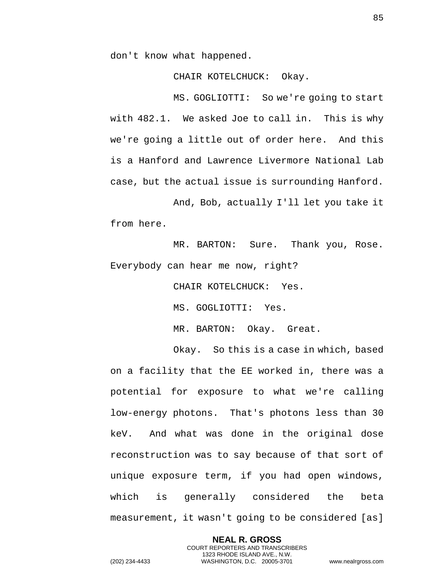don't know what happened.

CHAIR KOTELCHUCK: Okay.

MS. GOGLIOTTI: So we're going to start with 482.1. We asked Joe to call in. This is why we're going a little out of order here. And this is a Hanford and Lawrence Livermore National Lab case, but the actual issue is surrounding Hanford.

And, Bob, actually I'll let you take it from here.

MR. BARTON: Sure. Thank you, Rose. Everybody can hear me now, right?

CHAIR KOTELCHUCK: Yes.

MS. GOGLIOTTI: Yes.

MR. BARTON: Okay. Great.

Okay. So this is a case in which, based on a facility that the EE worked in, there was a potential for exposure to what we're calling low-energy photons. That's photons less than 30 keV. And what was done in the original dose reconstruction was to say because of that sort of unique exposure term, if you had open windows, which is generally considered the beta measurement, it wasn't going to be considered [as]

> **NEAL R. GROSS** COURT REPORTERS AND TRANSCRIBERS 1323 RHODE ISLAND AVE., N.W.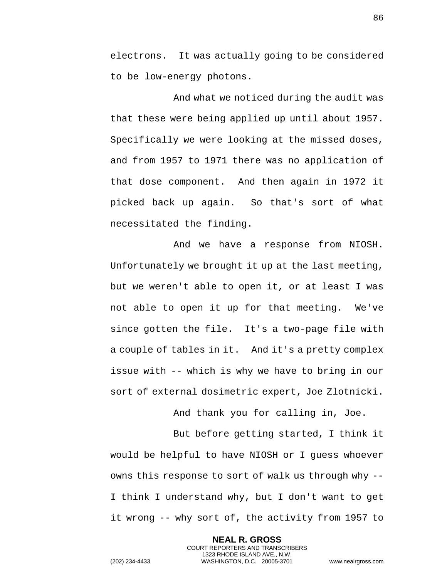electrons. It was actually going to be considered to be low-energy photons.

And what we noticed during the audit was that these were being applied up until about 1957. Specifically we were looking at the missed doses, and from 1957 to 1971 there was no application of that dose component. And then again in 1972 it picked back up again. So that's sort of what necessitated the finding.

And we have a response from NIOSH. Unfortunately we brought it up at the last meeting, but we weren't able to open it, or at least I was not able to open it up for that meeting. We've since gotten the file. It's a two-page file with a couple of tables in it. And it's a pretty complex issue with -- which is why we have to bring in our sort of external dosimetric expert, Joe Zlotnicki.

And thank you for calling in, Joe.

But before getting started, I think it would be helpful to have NIOSH or I guess whoever owns this response to sort of walk us through why -- I think I understand why, but I don't want to get it wrong -- why sort of, the activity from 1957 to

> **NEAL R. GROSS** COURT REPORTERS AND TRANSCRIBERS 1323 RHODE ISLAND AVE., N.W.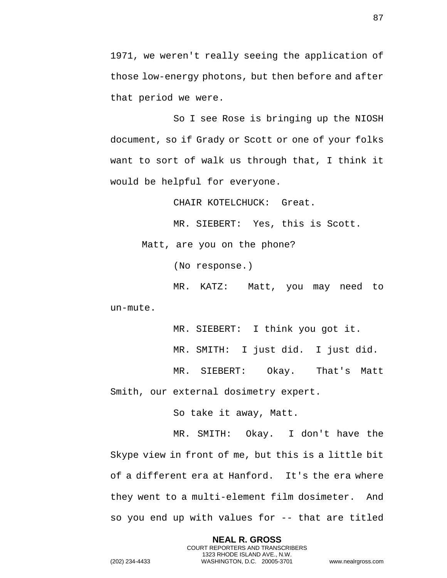1971, we weren't really seeing the application of those low-energy photons, but then before and after that period we were.

So I see Rose is bringing up the NIOSH document, so if Grady or Scott or one of your folks want to sort of walk us through that, I think it would be helpful for everyone.

CHAIR KOTELCHUCK: Great.

MR. SIEBERT: Yes, this is Scott.

Matt, are you on the phone?

(No response.)

MR. KATZ: Matt, you may need to un-mute.

MR. SIEBERT: I think you got it.

MR. SMITH: I just did. I just did.

MR. SIEBERT: Okay. That's Matt Smith, our external dosimetry expert.

So take it away, Matt.

MR. SMITH: Okay. I don't have the Skype view in front of me, but this is a little bit of a different era at Hanford. It's the era where they went to a multi-element film dosimeter. And so you end up with values for -- that are titled

> **NEAL R. GROSS** COURT REPORTERS AND TRANSCRIBERS 1323 RHODE ISLAND AVE., N.W.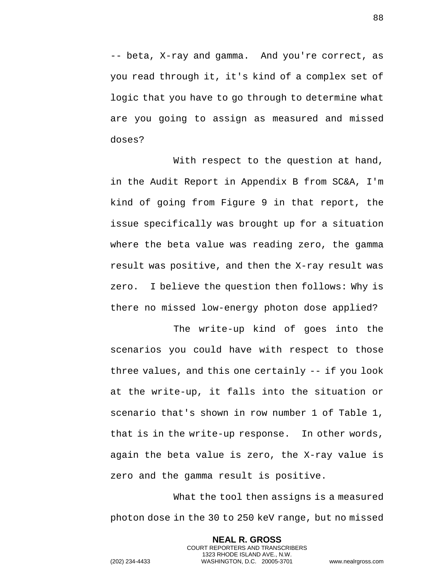-- beta, X-ray and gamma. And you're correct, as you read through it, it's kind of a complex set of logic that you have to go through to determine what are you going to assign as measured and missed doses?

With respect to the question at hand, in the Audit Report in Appendix B from SC&A, I'm kind of going from Figure 9 in that report, the issue specifically was brought up for a situation where the beta value was reading zero, the gamma result was positive, and then the X-ray result was zero. I believe the question then follows: Why is there no missed low-energy photon dose applied?

The write-up kind of goes into the scenarios you could have with respect to those three values, and this one certainly -- if you look at the write-up, it falls into the situation or scenario that's shown in row number 1 of Table 1, that is in the write-up response. In other words, again the beta value is zero, the X-ray value is zero and the gamma result is positive.

What the tool then assigns is a measured photon dose in the 30 to 250 keV range, but no missed

> **NEAL R. GROSS** COURT REPORTERS AND TRANSCRIBERS 1323 RHODE ISLAND AVE., N.W.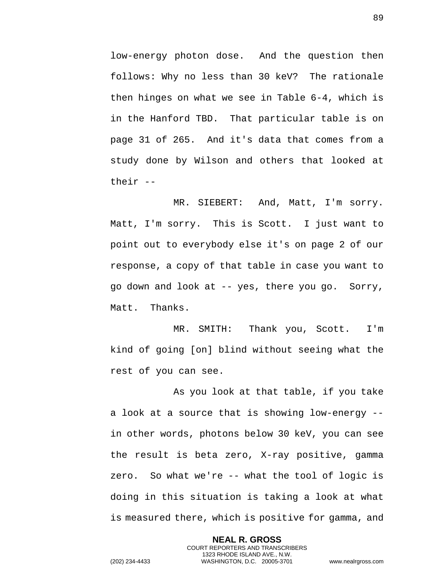low-energy photon dose. And the question then follows: Why no less than 30 keV? The rationale then hinges on what we see in Table 6-4, which is in the Hanford TBD. That particular table is on page 31 of 265. And it's data that comes from a study done by Wilson and others that looked at their --

MR. SIEBERT: And, Matt, I'm sorry. Matt, I'm sorry. This is Scott. I just want to point out to everybody else it's on page 2 of our response, a copy of that table in case you want to go down and look at -- yes, there you go. Sorry, Matt. Thanks.

MR. SMITH: Thank you, Scott. I'm kind of going [on] blind without seeing what the rest of you can see.

As you look at that table, if you take a look at a source that is showing low-energy - in other words, photons below 30 keV, you can see the result is beta zero, X-ray positive, gamma zero. So what we're -- what the tool of logic is doing in this situation is taking a look at what is measured there, which is positive for gamma, and

> **NEAL R. GROSS** COURT REPORTERS AND TRANSCRIBERS 1323 RHODE ISLAND AVE., N.W.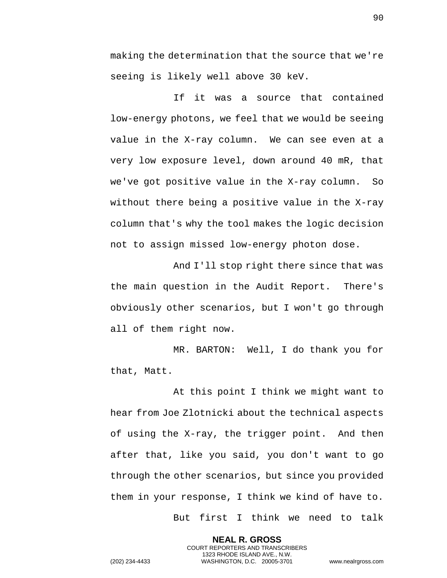making the determination that the source that we're seeing is likely well above 30 keV.

If it was a source that contained low-energy photons, we feel that we would be seeing value in the X-ray column. We can see even at a very low exposure level, down around 40 mR, that we've got positive value in the X-ray column. So without there being a positive value in the X-ray column that's why the tool makes the logic decision not to assign missed low-energy photon dose.

And I'll stop right there since that was the main question in the Audit Report. There's obviously other scenarios, but I won't go through all of them right now.

MR. BARTON: Well, I do thank you for that, Matt.

At this point I think we might want to hear from Joe Zlotnicki about the technical aspects of using the X-ray, the trigger point. And then after that, like you said, you don't want to go through the other scenarios, but since you provided them in your response, I think we kind of have to.

> **NEAL R. GROSS** COURT REPORTERS AND TRANSCRIBERS 1323 RHODE ISLAND AVE., N.W.

But first I think we need to talk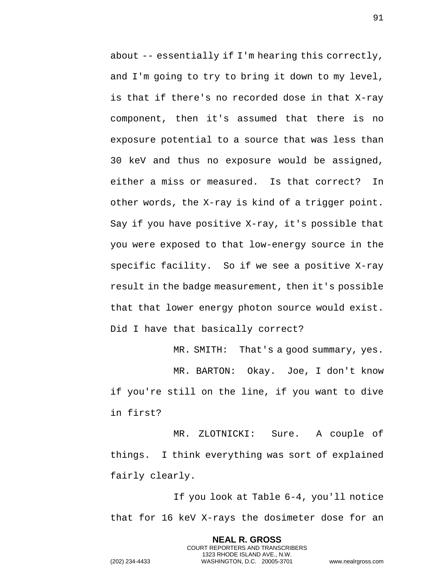about -- essentially if I'm hearing this correctly, and I'm going to try to bring it down to my level, is that if there's no recorded dose in that X-ray component, then it's assumed that there is no exposure potential to a source that was less than 30 keV and thus no exposure would be assigned, either a miss or measured. Is that correct? In other words, the X-ray is kind of a trigger point. Say if you have positive X-ray, it's possible that you were exposed to that low-energy source in the specific facility. So if we see a positive X-ray result in the badge measurement, then it's possible that that lower energy photon source would exist. Did I have that basically correct?

MR. SMITH: That's a good summary, yes. MR. BARTON: Okay. Joe, I don't know if you're still on the line, if you want to dive in first?

MR. ZLOTNICKI: Sure. A couple of things. I think everything was sort of explained fairly clearly.

If you look at Table 6-4, you'll notice that for 16 keV X-rays the dosimeter dose for an

**NEAL R. GROSS**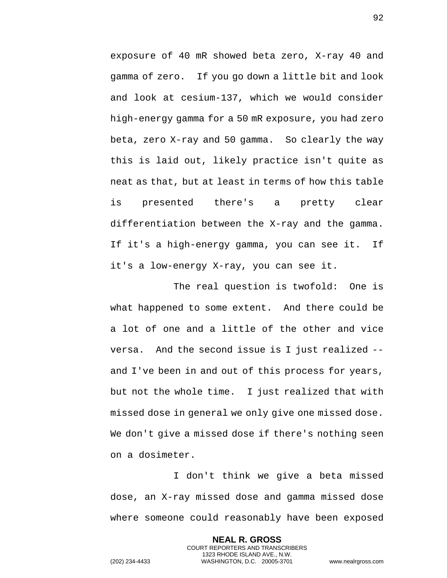exposure of 40 mR showed beta zero, X-ray 40 and gamma of zero. If you go down a little bit and look and look at cesium-137, which we would consider high-energy gamma for a 50 mR exposure, you had zero beta, zero X-ray and 50 gamma. So clearly the way this is laid out, likely practice isn't quite as neat as that, but at least in terms of how this table is presented there's a pretty clear differentiation between the X-ray and the gamma. If it's a high-energy gamma, you can see it. If it's a low-energy X-ray, you can see it.

The real question is twofold: One is what happened to some extent. And there could be a lot of one and a little of the other and vice versa. And the second issue is I just realized - and I've been in and out of this process for years, but not the whole time. I just realized that with missed dose in general we only give one missed dose. We don't give a missed dose if there's nothing seen on a dosimeter.

I don't think we give a beta missed dose, an X-ray missed dose and gamma missed dose where someone could reasonably have been exposed

> **NEAL R. GROSS** COURT REPORTERS AND TRANSCRIBERS 1323 RHODE ISLAND AVE., N.W.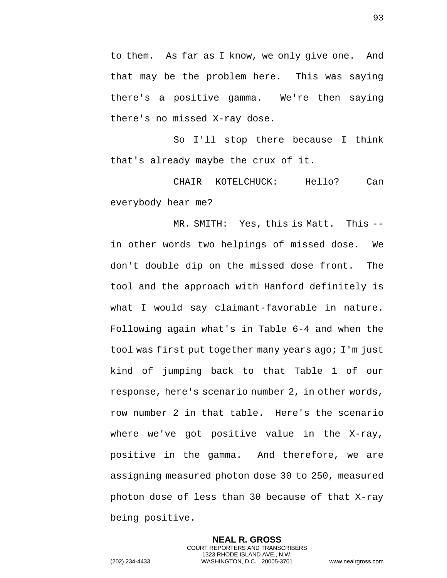to them. As far as I know, we only give one. And that may be the problem here. This was saying there's a positive gamma. We're then saying there's no missed X-ray dose.

So I'll stop there because I think that's already maybe the crux of it.

CHAIR KOTELCHUCK: Hello? Can everybody hear me?

MR. SMITH: Yes, this is Matt. This - in other words two helpings of missed dose. We don't double dip on the missed dose front. The tool and the approach with Hanford definitely is what I would say claimant-favorable in nature. Following again what's in Table 6-4 and when the tool was first put together many years ago; I'm just kind of jumping back to that Table 1 of our response, here's scenario number 2, in other words, row number 2 in that table. Here's the scenario where we've got positive value in the X-ray, positive in the gamma. And therefore, we are assigning measured photon dose 30 to 250, measured photon dose of less than 30 because of that X-ray being positive.

> **NEAL R. GROSS** COURT REPORTERS AND TRANSCRIBERS 1323 RHODE ISLAND AVE., N.W.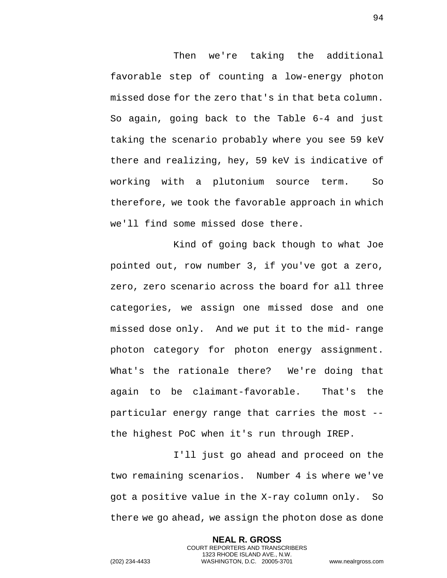Then we're taking the additional favorable step of counting a low-energy photon missed dose for the zero that's in that beta column. So again, going back to the Table 6-4 and just taking the scenario probably where you see 59 keV there and realizing, hey, 59 keV is indicative of working with a plutonium source term. So therefore, we took the favorable approach in which we'll find some missed dose there.

Kind of going back though to what Joe pointed out, row number 3, if you've got a zero, zero, zero scenario across the board for all three categories, we assign one missed dose and one missed dose only. And we put it to the mid- range photon category for photon energy assignment. What's the rationale there? We're doing that again to be claimant-favorable. That's the particular energy range that carries the most - the highest PoC when it's run through IREP.

I'll just go ahead and proceed on the two remaining scenarios. Number 4 is where we've got a positive value in the X-ray column only. So there we go ahead, we assign the photon dose as done

> **NEAL R. GROSS** COURT REPORTERS AND TRANSCRIBERS 1323 RHODE ISLAND AVE., N.W.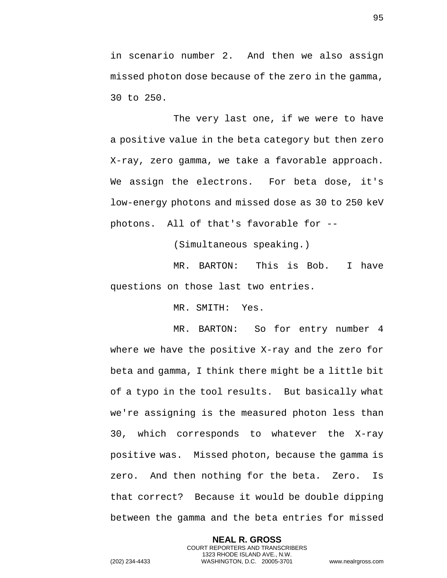in scenario number 2. And then we also assign missed photon dose because of the zero in the gamma, 30 to 250.

The very last one, if we were to have a positive value in the beta category but then zero X-ray, zero gamma, we take a favorable approach. We assign the electrons. For beta dose, it's low-energy photons and missed dose as 30 to 250 keV photons. All of that's favorable for --

(Simultaneous speaking.)

MR. BARTON: This is Bob. I have questions on those last two entries.

MR. SMITH: Yes.

MR. BARTON: So for entry number 4 where we have the positive X-ray and the zero for beta and gamma, I think there might be a little bit of a typo in the tool results. But basically what we're assigning is the measured photon less than 30, which corresponds to whatever the X-ray positive was. Missed photon, because the gamma is zero. And then nothing for the beta. Zero. Is that correct? Because it would be double dipping between the gamma and the beta entries for missed

> **NEAL R. GROSS** COURT REPORTERS AND TRANSCRIBERS 1323 RHODE ISLAND AVE., N.W.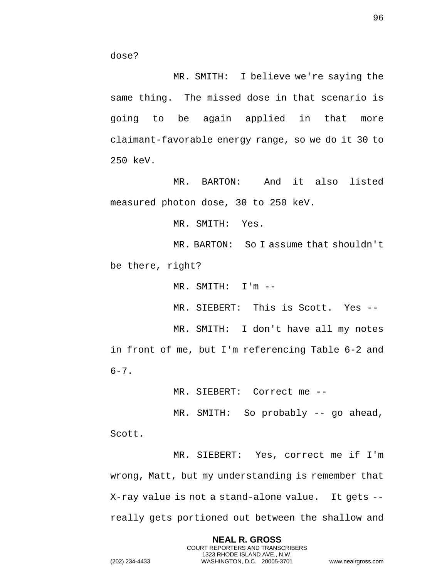MR. SMITH: I believe we're saying the same thing. The missed dose in that scenario is going to be again applied in that more claimant-favorable energy range, so we do it 30 to 250 keV.

MR. BARTON: And it also listed measured photon dose, 30 to 250 keV.

MR. SMITH: Yes.

MR. BARTON: So I assume that shouldn't be there, right?

MR. SMITH: I'm --

MR. SIEBERT: This is Scott. Yes --

MR. SMITH: I don't have all my notes in front of me, but I'm referencing Table 6-2 and  $6 - 7$ .

MR. SIEBERT: Correct me --

MR. SMITH: So probably -- go ahead,

Scott.

MR. SIEBERT: Yes, correct me if I'm wrong, Matt, but my understanding is remember that X-ray value is not a stand-alone value. It gets - really gets portioned out between the shallow and

> **NEAL R. GROSS** COURT REPORTERS AND TRANSCRIBERS 1323 RHODE ISLAND AVE., N.W.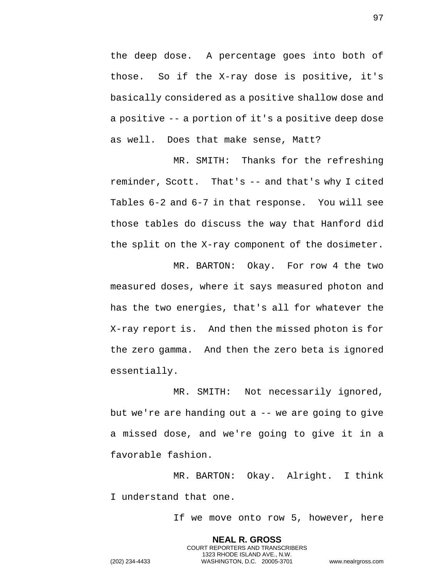the deep dose. A percentage goes into both of those. So if the X-ray dose is positive, it's basically considered as a positive shallow dose and a positive -- a portion of it's a positive deep dose as well. Does that make sense, Matt?

MR. SMITH: Thanks for the refreshing reminder, Scott. That's -- and that's why I cited Tables 6-2 and 6-7 in that response. You will see those tables do discuss the way that Hanford did the split on the X-ray component of the dosimeter.

MR. BARTON: Okay. For row 4 the two measured doses, where it says measured photon and has the two energies, that's all for whatever the X-ray report is. And then the missed photon is for the zero gamma. And then the zero beta is ignored essentially.

MR. SMITH: Not necessarily ignored, but we're are handing out a -- we are going to give a missed dose, and we're going to give it in a favorable fashion.

MR. BARTON: Okay. Alright. I think I understand that one.

If we move onto row 5, however, here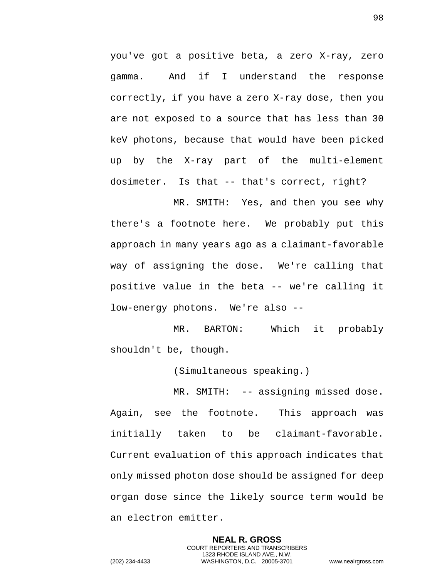you've got a positive beta, a zero X-ray, zero gamma. And if I understand the response correctly, if you have a zero X-ray dose, then you are not exposed to a source that has less than 30 keV photons, because that would have been picked up by the X-ray part of the multi-element dosimeter. Is that -- that's correct, right?

MR. SMITH: Yes, and then you see why there's a footnote here. We probably put this approach in many years ago as a claimant-favorable way of assigning the dose. We're calling that positive value in the beta -- we're calling it low-energy photons. We're also --

MR. BARTON: Which it probably shouldn't be, though.

(Simultaneous speaking.)

MR. SMITH: -- assigning missed dose. Again, see the footnote. This approach was initially taken to be claimant-favorable. Current evaluation of this approach indicates that only missed photon dose should be assigned for deep organ dose since the likely source term would be an electron emitter.

> **NEAL R. GROSS** COURT REPORTERS AND TRANSCRIBERS 1323 RHODE ISLAND AVE., N.W.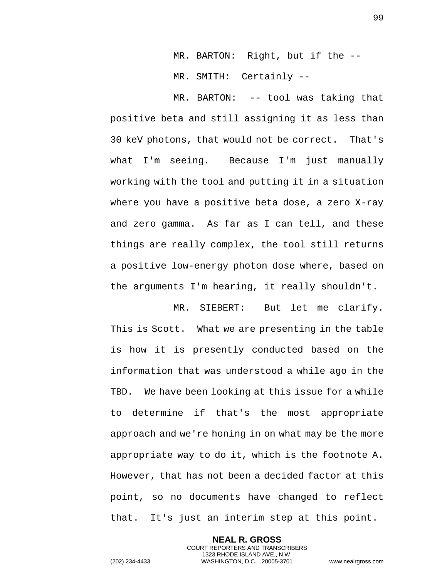MR. BARTON: Right, but if the --

MR. SMITH: Certainly --

MR. BARTON: -- tool was taking that positive beta and still assigning it as less than 30 keV photons, that would not be correct. That's what I'm seeing. Because I'm just manually working with the tool and putting it in a situation where you have a positive beta dose, a zero X-ray and zero gamma. As far as I can tell, and these things are really complex, the tool still returns a positive low-energy photon dose where, based on the arguments I'm hearing, it really shouldn't.

MR. SIEBERT: But let me clarify. This is Scott. What we are presenting in the table is how it is presently conducted based on the information that was understood a while ago in the TBD. We have been looking at this issue for a while to determine if that's the most appropriate approach and we're honing in on what may be the more appropriate way to do it, which is the footnote A. However, that has not been a decided factor at this point, so no documents have changed to reflect that. It's just an interim step at this point.

> **NEAL R. GROSS** COURT REPORTERS AND TRANSCRIBERS 1323 RHODE ISLAND AVE., N.W.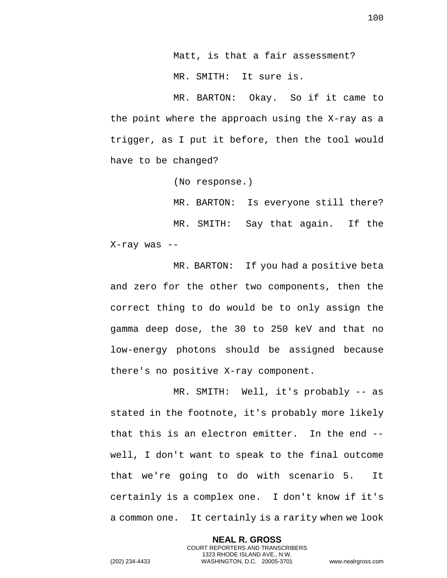Matt, is that a fair assessment? MR. SMITH: It sure is.

MR. BARTON: Okay. So if it came to the point where the approach using the X-ray as a trigger, as I put it before, then the tool would have to be changed?

(No response.)

MR. BARTON: Is everyone still there? MR. SMITH: Say that again. If the X-ray was --

MR. BARTON: If you had a positive beta and zero for the other two components, then the correct thing to do would be to only assign the gamma deep dose, the 30 to 250 keV and that no low-energy photons should be assigned because there's no positive X-ray component.

MR. SMITH: Well, it's probably -- as stated in the footnote, it's probably more likely that this is an electron emitter. In the end - well, I don't want to speak to the final outcome that we're going to do with scenario 5. It certainly is a complex one. I don't know if it's a common one. It certainly is a rarity when we look

> **NEAL R. GROSS** COURT REPORTERS AND TRANSCRIBERS 1323 RHODE ISLAND AVE., N.W.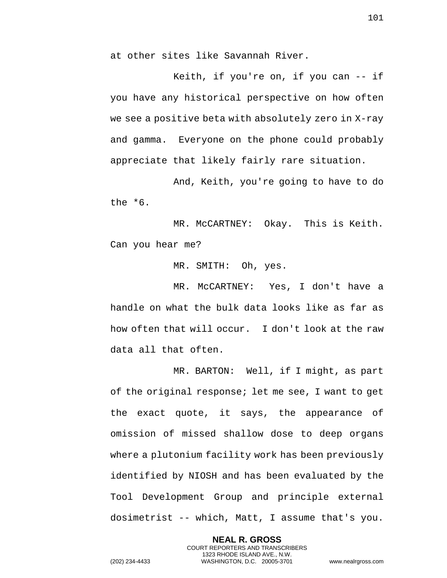at other sites like Savannah River.

Keith, if you're on, if you can -- if you have any historical perspective on how often we see a positive beta with absolutely zero in X-ray and gamma. Everyone on the phone could probably appreciate that likely fairly rare situation.

And, Keith, you're going to have to do the \*6.

MR. McCARTNEY: Okay. This is Keith. Can you hear me?

MR. SMITH: Oh, yes.

MR. McCARTNEY: Yes, I don't have a handle on what the bulk data looks like as far as how often that will occur. I don't look at the raw data all that often.

MR. BARTON: Well, if I might, as part of the original response; let me see, I want to get the exact quote, it says, the appearance of omission of missed shallow dose to deep organs where a plutonium facility work has been previously identified by NIOSH and has been evaluated by the Tool Development Group and principle external dosimetrist -- which, Matt, I assume that's you.

> **NEAL R. GROSS** COURT REPORTERS AND TRANSCRIBERS 1323 RHODE ISLAND AVE., N.W.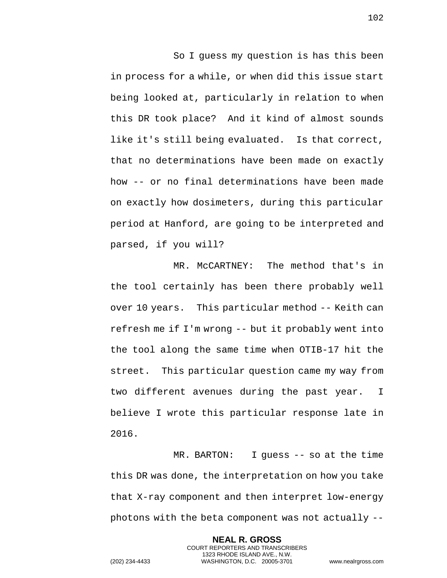So I guess my question is has this been in process for a while, or when did this issue start being looked at, particularly in relation to when this DR took place? And it kind of almost sounds like it's still being evaluated. Is that correct, that no determinations have been made on exactly how -- or no final determinations have been made on exactly how dosimeters, during this particular period at Hanford, are going to be interpreted and parsed, if you will?

MR. McCARTNEY: The method that's in the tool certainly has been there probably well over 10 years. This particular method -- Keith can refresh me if I'm wrong -- but it probably went into the tool along the same time when OTIB-17 hit the street. This particular question came my way from two different avenues during the past year. I believe I wrote this particular response late in 2016.

MR. BARTON: I guess -- so at the time this DR was done, the interpretation on how you take that X-ray component and then interpret low-energy photons with the beta component was not actually --

> **NEAL R. GROSS** COURT REPORTERS AND TRANSCRIBERS 1323 RHODE ISLAND AVE., N.W.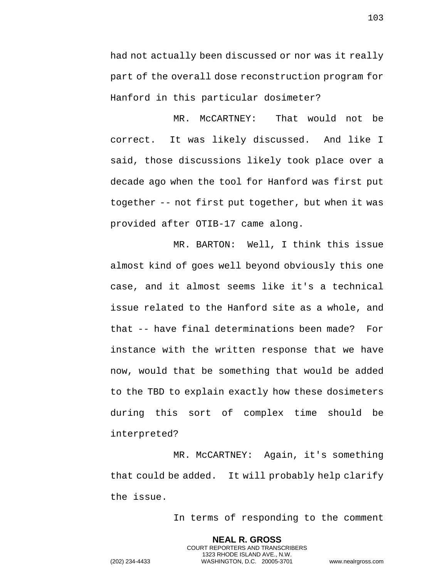had not actually been discussed or nor was it really part of the overall dose reconstruction program for Hanford in this particular dosimeter?

MR. McCARTNEY: That would not be correct. It was likely discussed. And like I said, those discussions likely took place over a decade ago when the tool for Hanford was first put together -- not first put together, but when it was provided after OTIB-17 came along.

MR. BARTON: Well, I think this issue almost kind of goes well beyond obviously this one case, and it almost seems like it's a technical issue related to the Hanford site as a whole, and that -- have final determinations been made? For instance with the written response that we have now, would that be something that would be added to the TBD to explain exactly how these dosimeters during this sort of complex time should be interpreted?

MR. McCARTNEY: Again, it's something that could be added. It will probably help clarify the issue.

> **NEAL R. GROSS** COURT REPORTERS AND TRANSCRIBERS 1323 RHODE ISLAND AVE., N.W.

In terms of responding to the comment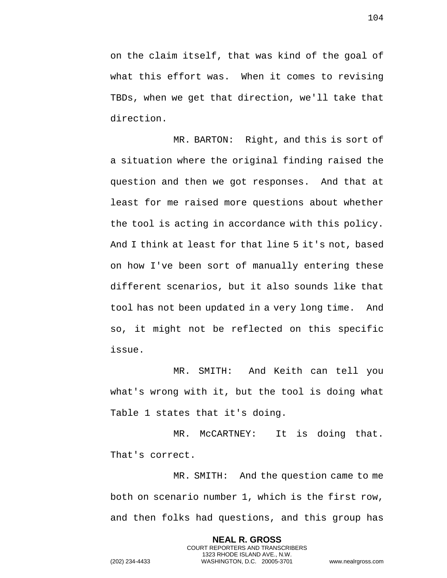on the claim itself, that was kind of the goal of what this effort was. When it comes to revising TBDs, when we get that direction, we'll take that direction.

MR. BARTON: Right, and this is sort of a situation where the original finding raised the question and then we got responses. And that at least for me raised more questions about whether the tool is acting in accordance with this policy. And I think at least for that line 5 it's not, based on how I've been sort of manually entering these different scenarios, but it also sounds like that tool has not been updated in a very long time. And so, it might not be reflected on this specific issue.

MR. SMITH: And Keith can tell you what's wrong with it, but the tool is doing what Table 1 states that it's doing.

MR. McCARTNEY: It is doing that. That's correct.

MR. SMITH: And the question came to me both on scenario number 1, which is the first row, and then folks had questions, and this group has

> **NEAL R. GROSS** COURT REPORTERS AND TRANSCRIBERS 1323 RHODE ISLAND AVE., N.W.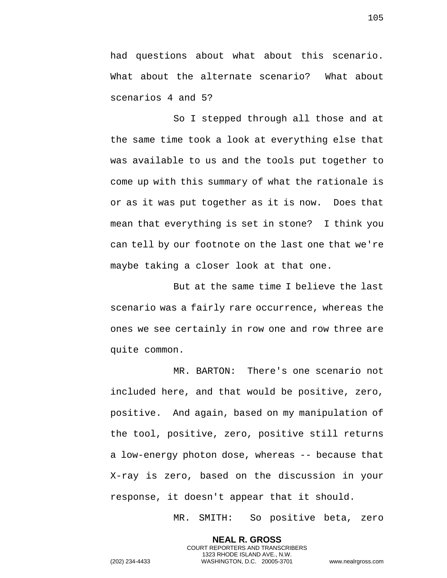had questions about what about this scenario. What about the alternate scenario? What about scenarios 4 and 5?

So I stepped through all those and at the same time took a look at everything else that was available to us and the tools put together to come up with this summary of what the rationale is or as it was put together as it is now. Does that mean that everything is set in stone? I think you can tell by our footnote on the last one that we're maybe taking a closer look at that one.

But at the same time I believe the last scenario was a fairly rare occurrence, whereas the ones we see certainly in row one and row three are quite common.

MR. BARTON: There's one scenario not included here, and that would be positive, zero, positive. And again, based on my manipulation of the tool, positive, zero, positive still returns a low-energy photon dose, whereas -- because that X-ray is zero, based on the discussion in your response, it doesn't appear that it should.

> **NEAL R. GROSS** COURT REPORTERS AND TRANSCRIBERS 1323 RHODE ISLAND AVE., N.W.

MR. SMITH: So positive beta, zero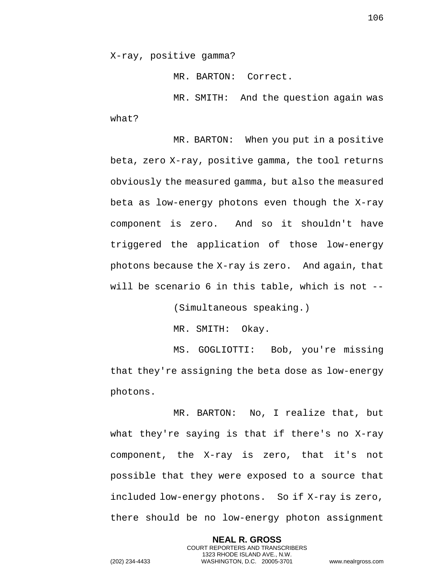X-ray, positive gamma?

MR. BARTON: Correct.

MR. SMITH: And the question again was what?

MR. BARTON: When you put in a positive beta, zero X-ray, positive gamma, the tool returns obviously the measured gamma, but also the measured beta as low-energy photons even though the X-ray component is zero. And so it shouldn't have triggered the application of those low-energy photons because the X-ray is zero. And again, that will be scenario 6 in this table, which is not --

(Simultaneous speaking.)

MR. SMITH: Okay.

MS. GOGLIOTTI: Bob, you're missing that they're assigning the beta dose as low-energy photons.

MR. BARTON: No, I realize that, but what they're saying is that if there's no X-ray component, the X-ray is zero, that it's not possible that they were exposed to a source that included low-energy photons. So if X-ray is zero, there should be no low-energy photon assignment

> **NEAL R. GROSS** COURT REPORTERS AND TRANSCRIBERS 1323 RHODE ISLAND AVE., N.W.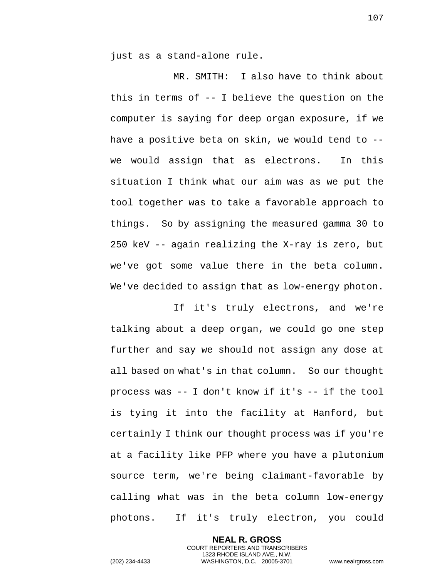just as a stand-alone rule.

MR. SMITH: I also have to think about this in terms of -- I believe the question on the computer is saying for deep organ exposure, if we have a positive beta on skin, we would tend to - we would assign that as electrons. In this situation I think what our aim was as we put the tool together was to take a favorable approach to things. So by assigning the measured gamma 30 to 250 keV -- again realizing the X-ray is zero, but we've got some value there in the beta column. We've decided to assign that as low-energy photon.

If it's truly electrons, and we're talking about a deep organ, we could go one step further and say we should not assign any dose at all based on what's in that column. So our thought process was -- I don't know if it's -- if the tool is tying it into the facility at Hanford, but certainly I think our thought process was if you're at a facility like PFP where you have a plutonium source term, we're being claimant-favorable by calling what was in the beta column low-energy photons. If it's truly electron, you could

> **NEAL R. GROSS** COURT REPORTERS AND TRANSCRIBERS 1323 RHODE ISLAND AVE., N.W.

107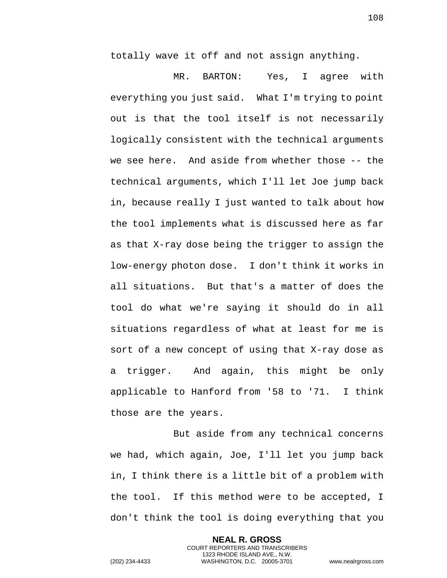totally wave it off and not assign anything.

MR. BARTON: Yes, I agree with everything you just said. What I'm trying to point out is that the tool itself is not necessarily logically consistent with the technical arguments we see here. And aside from whether those -- the technical arguments, which I'll let Joe jump back in, because really I just wanted to talk about how the tool implements what is discussed here as far as that X-ray dose being the trigger to assign the low-energy photon dose. I don't think it works in all situations. But that's a matter of does the tool do what we're saying it should do in all situations regardless of what at least for me is sort of a new concept of using that X-ray dose as a trigger. And again, this might be only applicable to Hanford from '58 to '71. I think those are the years.

But aside from any technical concerns we had, which again, Joe, I'll let you jump back in, I think there is a little bit of a problem with the tool. If this method were to be accepted, I don't think the tool is doing everything that you

> **NEAL R. GROSS** COURT REPORTERS AND TRANSCRIBERS 1323 RHODE ISLAND AVE., N.W.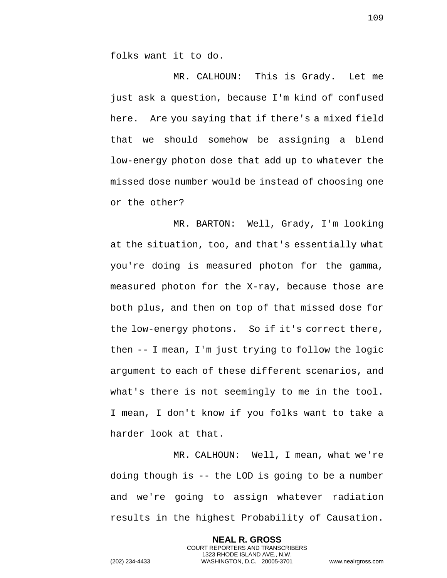folks want it to do.

MR. CALHOUN: This is Grady. Let me just ask a question, because I'm kind of confused here. Are you saying that if there's a mixed field that we should somehow be assigning a blend low-energy photon dose that add up to whatever the missed dose number would be instead of choosing one or the other?

MR. BARTON: Well, Grady, I'm looking at the situation, too, and that's essentially what you're doing is measured photon for the gamma, measured photon for the X-ray, because those are both plus, and then on top of that missed dose for the low-energy photons. So if it's correct there, then -- I mean, I'm just trying to follow the logic argument to each of these different scenarios, and what's there is not seemingly to me in the tool. I mean, I don't know if you folks want to take a harder look at that.

MR. CALHOUN: Well, I mean, what we're doing though is -- the LOD is going to be a number and we're going to assign whatever radiation results in the highest Probability of Causation.

> **NEAL R. GROSS** COURT REPORTERS AND TRANSCRIBERS 1323 RHODE ISLAND AVE., N.W.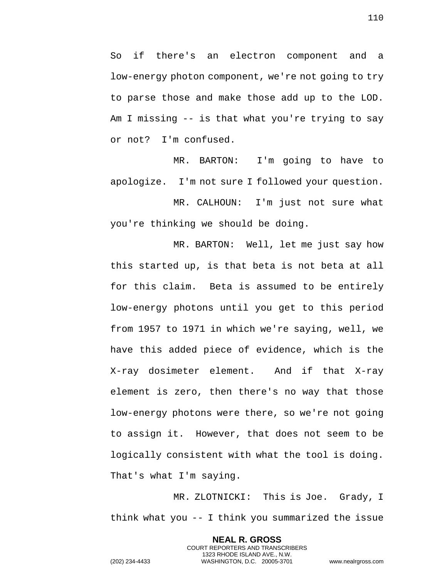So if there's an electron component and a low-energy photon component, we're not going to try to parse those and make those add up to the LOD. Am I missing -- is that what you're trying to say or not? I'm confused.

MR. BARTON: I'm going to have to apologize. I'm not sure I followed your question.

MR. CALHOUN: I'm just not sure what you're thinking we should be doing.

MR. BARTON: Well, let me just say how this started up, is that beta is not beta at all for this claim. Beta is assumed to be entirely low-energy photons until you get to this period from 1957 to 1971 in which we're saying, well, we have this added piece of evidence, which is the X-ray dosimeter element. And if that X-ray element is zero, then there's no way that those low-energy photons were there, so we're not going to assign it. However, that does not seem to be logically consistent with what the tool is doing. That's what I'm saying.

MR. ZLOTNICKI: This is Joe. Grady, I think what you -- I think you summarized the issue

> **NEAL R. GROSS** COURT REPORTERS AND TRANSCRIBERS 1323 RHODE ISLAND AVE., N.W.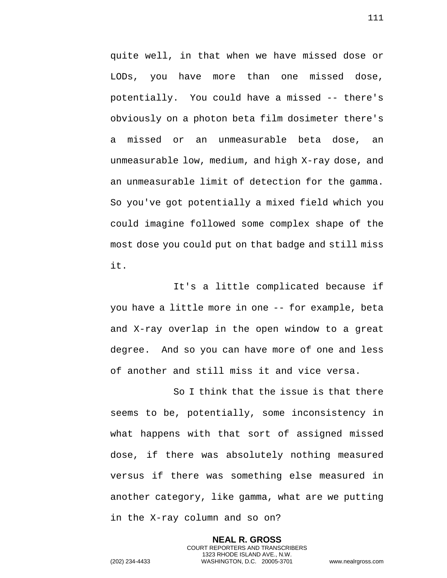quite well, in that when we have missed dose or LODs, you have more than one missed dose, potentially. You could have a missed -- there's obviously on a photon beta film dosimeter there's a missed or an unmeasurable beta dose, an unmeasurable low, medium, and high X-ray dose, and an unmeasurable limit of detection for the gamma. So you've got potentially a mixed field which you could imagine followed some complex shape of the most dose you could put on that badge and still miss it.

It's a little complicated because if you have a little more in one -- for example, beta and X-ray overlap in the open window to a great degree. And so you can have more of one and less of another and still miss it and vice versa.

So I think that the issue is that there seems to be, potentially, some inconsistency in what happens with that sort of assigned missed dose, if there was absolutely nothing measured versus if there was something else measured in another category, like gamma, what are we putting in the X-ray column and so on?

> **NEAL R. GROSS** COURT REPORTERS AND TRANSCRIBERS 1323 RHODE ISLAND AVE., N.W.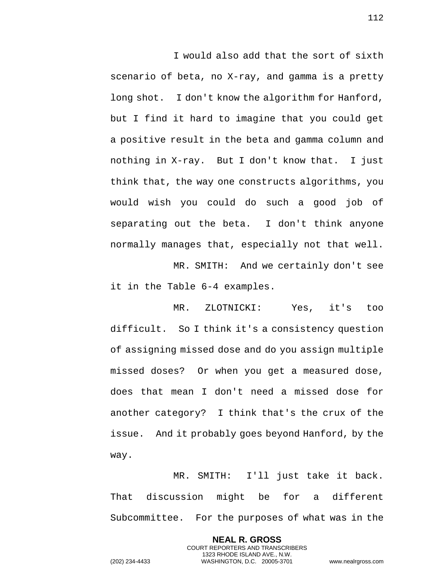I would also add that the sort of sixth scenario of beta, no X-ray, and gamma is a pretty long shot. I don't know the algorithm for Hanford, but I find it hard to imagine that you could get a positive result in the beta and gamma column and nothing in X-ray. But I don't know that. I just think that, the way one constructs algorithms, you would wish you could do such a good job of separating out the beta. I don't think anyone normally manages that, especially not that well.

MR. SMITH: And we certainly don't see it in the Table 6-4 examples.

MR. ZLOTNICKI: Yes, it's too difficult. So I think it's a consistency question of assigning missed dose and do you assign multiple missed doses? Or when you get a measured dose, does that mean I don't need a missed dose for another category? I think that's the crux of the issue. And it probably goes beyond Hanford, by the way.

MR. SMITH: I'll just take it back. That discussion might be for a different Subcommittee. For the purposes of what was in the

> **NEAL R. GROSS** COURT REPORTERS AND TRANSCRIBERS 1323 RHODE ISLAND AVE., N.W.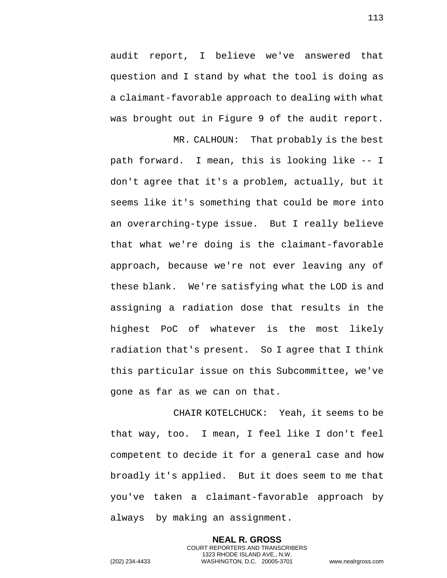audit report, I believe we've answered that question and I stand by what the tool is doing as a claimant-favorable approach to dealing with what was brought out in Figure 9 of the audit report.

MR. CALHOUN: That probably is the best path forward. I mean, this is looking like -- I don't agree that it's a problem, actually, but it seems like it's something that could be more into an overarching-type issue. But I really believe that what we're doing is the claimant-favorable approach, because we're not ever leaving any of these blank. We're satisfying what the LOD is and assigning a radiation dose that results in the highest PoC of whatever is the most likely radiation that's present. So I agree that I think this particular issue on this Subcommittee, we've gone as far as we can on that.

CHAIR KOTELCHUCK: Yeah, it seems to be that way, too. I mean, I feel like I don't feel competent to decide it for a general case and how broadly it's applied. But it does seem to me that you've taken a claimant-favorable approach by always by making an assignment.

> **NEAL R. GROSS** COURT REPORTERS AND TRANSCRIBERS 1323 RHODE ISLAND AVE., N.W.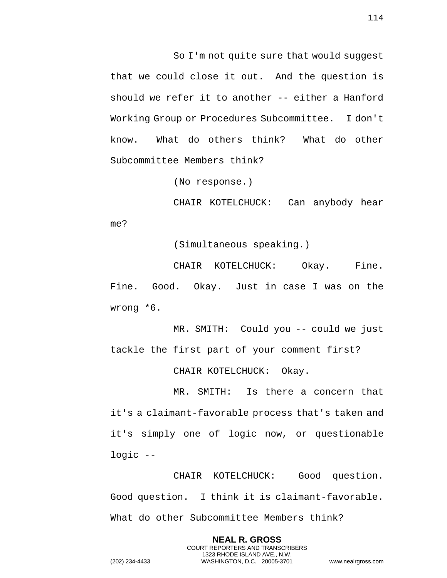So I'm not quite sure that would suggest that we could close it out. And the question is should we refer it to another -- either a Hanford Working Group or Procedures Subcommittee. I don't know. What do others think? What do other Subcommittee Members think?

(No response.)

CHAIR KOTELCHUCK: Can anybody hear me?

(Simultaneous speaking.)

CHAIR KOTELCHUCK: Okay. Fine. Fine. Good. Okay. Just in case I was on the wrong \*6.

MR. SMITH: Could you -- could we just tackle the first part of your comment first?

CHAIR KOTELCHUCK: Okay.

MR. SMITH: Is there a concern that it's a claimant-favorable process that's taken and it's simply one of logic now, or questionable logic --

CHAIR KOTELCHUCK: Good question. Good question. I think it is claimant-favorable. What do other Subcommittee Members think?

> **NEAL R. GROSS** COURT REPORTERS AND TRANSCRIBERS 1323 RHODE ISLAND AVE., N.W.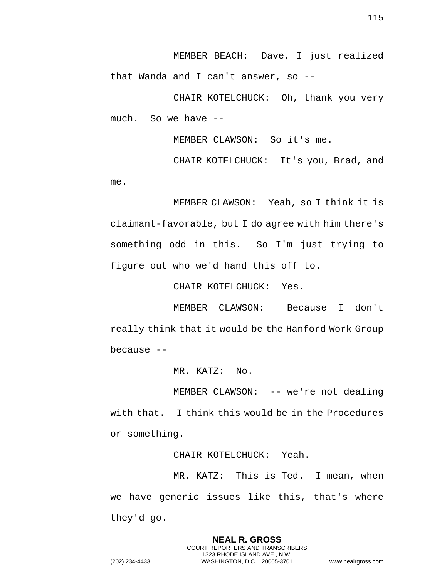MEMBER BEACH: Dave, I just realized that Wanda and I can't answer, so --

CHAIR KOTELCHUCK: Oh, thank you very much. So we have --

MEMBER CLAWSON: So it's me.

CHAIR KOTELCHUCK: It's you, Brad, and me.

MEMBER CLAWSON: Yeah, so I think it is claimant-favorable, but I do agree with him there's something odd in this. So I'm just trying to figure out who we'd hand this off to.

CHAIR KOTELCHUCK: Yes.

MEMBER CLAWSON: Because I don't really think that it would be the Hanford Work Group because --

MR. KATZ: No.

MEMBER CLAWSON: -- we're not dealing with that. I think this would be in the Procedures or something.

CHAIR KOTELCHUCK: Yeah.

MR. KATZ: This is Ted. I mean, when we have generic issues like this, that's where they'd go.

> **NEAL R. GROSS** COURT REPORTERS AND TRANSCRIBERS 1323 RHODE ISLAND AVE., N.W.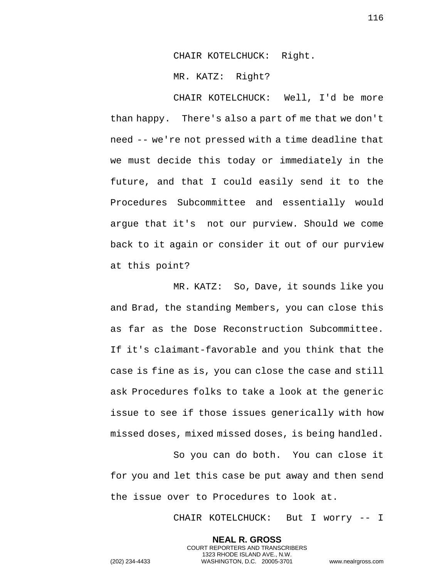CHAIR KOTELCHUCK: Right.

MR. KATZ: Right?

CHAIR KOTELCHUCK: Well, I'd be more than happy. There's also a part of me that we don't need -- we're not pressed with a time deadline that we must decide this today or immediately in the future, and that I could easily send it to the Procedures Subcommittee and essentially would argue that it's not our purview. Should we come back to it again or consider it out of our purview at this point?

MR. KATZ: So, Dave, it sounds like you and Brad, the standing Members, you can close this as far as the Dose Reconstruction Subcommittee. If it's claimant-favorable and you think that the case is fine as is, you can close the case and still ask Procedures folks to take a look at the generic issue to see if those issues generically with how missed doses, mixed missed doses, is being handled.

So you can do both. You can close it for you and let this case be put away and then send the issue over to Procedures to look at.

> **NEAL R. GROSS** COURT REPORTERS AND TRANSCRIBERS 1323 RHODE ISLAND AVE., N.W.

CHAIR KOTELCHUCK: But I worry -- I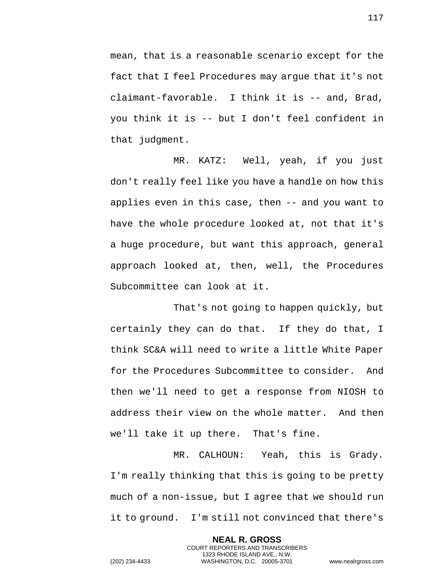mean, that is a reasonable scenario except for the fact that I feel Procedures may argue that it's not claimant-favorable. I think it is -- and, Brad, you think it is -- but I don't feel confident in that judgment.

MR. KATZ: Well, yeah, if you just don't really feel like you have a handle on how this applies even in this case, then -- and you want to have the whole procedure looked at, not that it's a huge procedure, but want this approach, general approach looked at, then, well, the Procedures Subcommittee can look at it.

That's not going to happen quickly, but certainly they can do that. If they do that, I think SC&A will need to write a little White Paper for the Procedures Subcommittee to consider. And then we'll need to get a response from NIOSH to address their view on the whole matter. And then we'll take it up there. That's fine.

MR. CALHOUN: Yeah, this is Grady. I'm really thinking that this is going to be pretty much of a non-issue, but I agree that we should run it to ground. I'm still not convinced that there's

> **NEAL R. GROSS** COURT REPORTERS AND TRANSCRIBERS 1323 RHODE ISLAND AVE., N.W.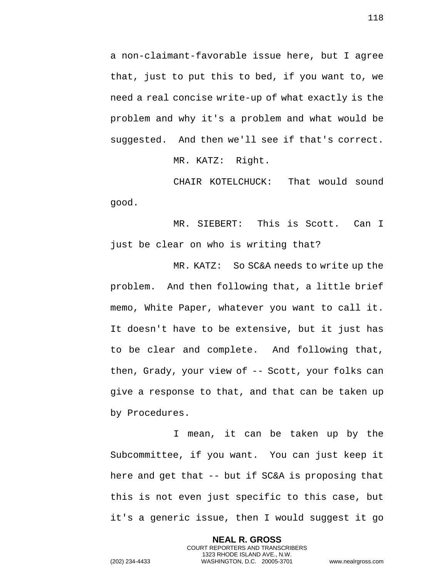a non-claimant-favorable issue here, but I agree that, just to put this to bed, if you want to, we need a real concise write-up of what exactly is the problem and why it's a problem and what would be suggested. And then we'll see if that's correct.

MR. KATZ: Right.

CHAIR KOTELCHUCK: That would sound good.

MR. SIEBERT: This is Scott. Can I just be clear on who is writing that?

MR. KATZ: So SC&A needs to write up the problem. And then following that, a little brief memo, White Paper, whatever you want to call it. It doesn't have to be extensive, but it just has to be clear and complete. And following that, then, Grady, your view of -- Scott, your folks can give a response to that, and that can be taken up by Procedures.

I mean, it can be taken up by the Subcommittee, if you want. You can just keep it here and get that -- but if SC&A is proposing that this is not even just specific to this case, but it's a generic issue, then I would suggest it go

> **NEAL R. GROSS** COURT REPORTERS AND TRANSCRIBERS 1323 RHODE ISLAND AVE., N.W.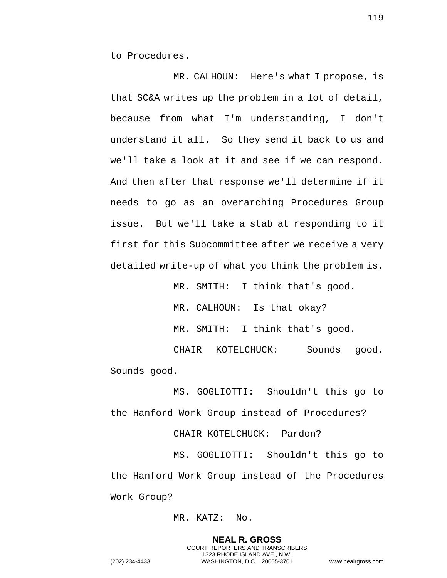to Procedures.

MR. CALHOUN: Here's what I propose, is that SC&A writes up the problem in a lot of detail, because from what I'm understanding, I don't understand it all. So they send it back to us and we'll take a look at it and see if we can respond. And then after that response we'll determine if it needs to go as an overarching Procedures Group issue. But we'll take a stab at responding to it first for this Subcommittee after we receive a very detailed write-up of what you think the problem is.

> MR. SMITH: I think that's good. MR. CALHOUN: Is that okay? MR. SMITH: I think that's good.

CHAIR KOTELCHUCK: Sounds good. Sounds good.

MS. GOGLIOTTI: Shouldn't this go to the Hanford Work Group instead of Procedures?

CHAIR KOTELCHUCK: Pardon?

MS. GOGLIOTTI: Shouldn't this go to the Hanford Work Group instead of the Procedures Work Group?

## MR. KATZ: No.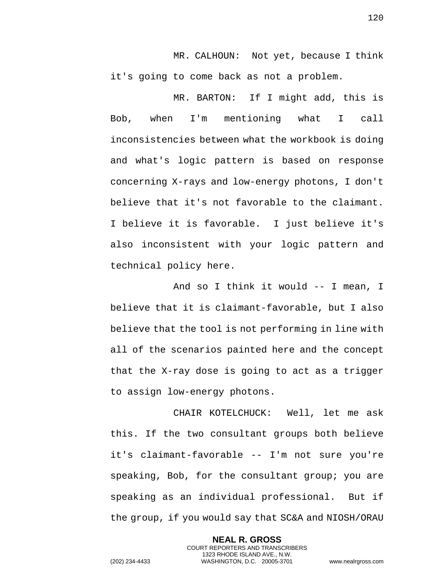MR. CALHOUN: Not yet, because I think it's going to come back as not a problem.

MR. BARTON: If I might add, this is Bob, when I'm mentioning what I call inconsistencies between what the workbook is doing and what's logic pattern is based on response concerning X-rays and low-energy photons, I don't believe that it's not favorable to the claimant. I believe it is favorable. I just believe it's also inconsistent with your logic pattern and technical policy here.

And so I think it would -- I mean, I believe that it is claimant-favorable, but I also believe that the tool is not performing in line with all of the scenarios painted here and the concept that the X-ray dose is going to act as a trigger to assign low-energy photons.

CHAIR KOTELCHUCK: Well, let me ask this. If the two consultant groups both believe it's claimant-favorable -- I'm not sure you're speaking, Bob, for the consultant group; you are speaking as an individual professional. But if the group, if you would say that SC&A and NIOSH/ORAU

> **NEAL R. GROSS** COURT REPORTERS AND TRANSCRIBERS 1323 RHODE ISLAND AVE., N.W.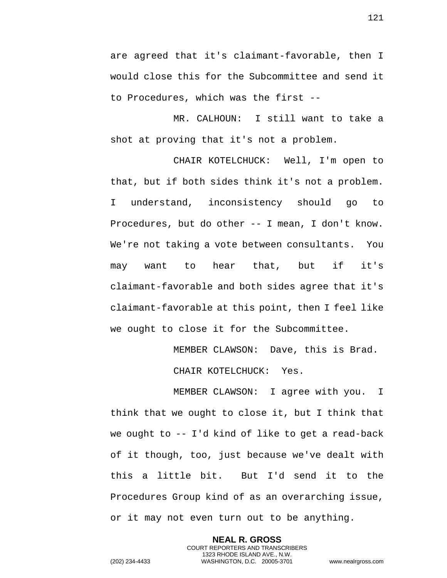are agreed that it's claimant-favorable, then I would close this for the Subcommittee and send it to Procedures, which was the first --

MR. CALHOUN: I still want to take a shot at proving that it's not a problem.

CHAIR KOTELCHUCK: Well, I'm open to that, but if both sides think it's not a problem. I understand, inconsistency should go to Procedures, but do other -- I mean, I don't know. We're not taking a vote between consultants. You may want to hear that, but if it's claimant-favorable and both sides agree that it's claimant-favorable at this point, then I feel like we ought to close it for the Subcommittee.

MEMBER CLAWSON: Dave, this is Brad.

CHAIR KOTELCHUCK: Yes.

MEMBER CLAWSON: I agree with you. I think that we ought to close it, but I think that we ought to -- I'd kind of like to get a read-back of it though, too, just because we've dealt with this a little bit. But I'd send it to the Procedures Group kind of as an overarching issue, or it may not even turn out to be anything.

> **NEAL R. GROSS** COURT REPORTERS AND TRANSCRIBERS 1323 RHODE ISLAND AVE., N.W.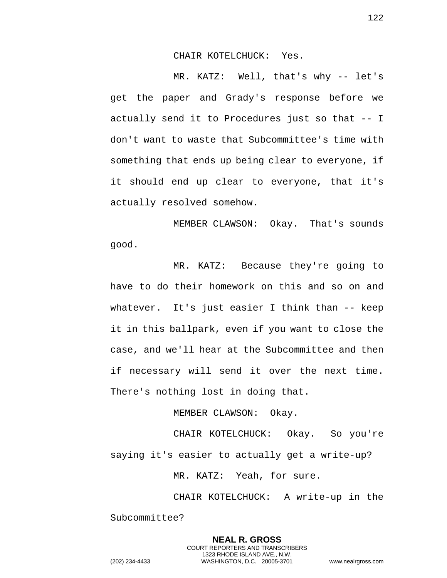CHAIR KOTELCHUCK: Yes.

MR. KATZ: Well, that's why -- let's get the paper and Grady's response before we actually send it to Procedures just so that -- I don't want to waste that Subcommittee's time with something that ends up being clear to everyone, if it should end up clear to everyone, that it's actually resolved somehow.

MEMBER CLAWSON: Okay. That's sounds good.

MR. KATZ: Because they're going to have to do their homework on this and so on and whatever. It's just easier I think than -- keep it in this ballpark, even if you want to close the case, and we'll hear at the Subcommittee and then if necessary will send it over the next time. There's nothing lost in doing that.

MEMBER CLAWSON: Okay.

CHAIR KOTELCHUCK: Okay. So you're saying it's easier to actually get a write-up?

MR. KATZ: Yeah, for sure.

CHAIR KOTELCHUCK: A write-up in the Subcommittee?

> **NEAL R. GROSS** COURT REPORTERS AND TRANSCRIBERS 1323 RHODE ISLAND AVE., N.W.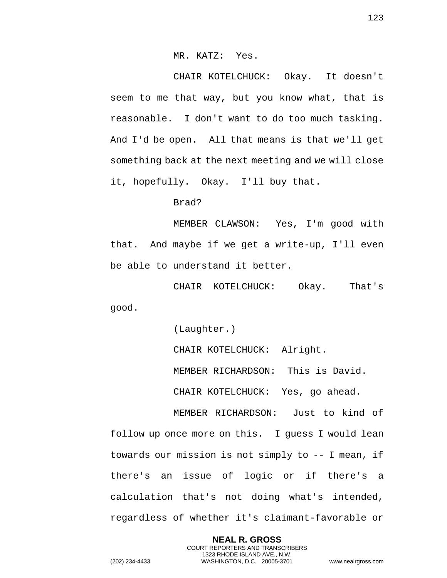## MR. KATZ: Yes.

CHAIR KOTELCHUCK: Okay. It doesn't seem to me that way, but you know what, that is reasonable. I don't want to do too much tasking. And I'd be open. All that means is that we'll get something back at the next meeting and we will close it, hopefully. Okay. I'll buy that.

Brad?

MEMBER CLAWSON: Yes, I'm good with that. And maybe if we get a write-up, I'll even be able to understand it better.

CHAIR KOTELCHUCK: Okay. That's good.

(Laughter.)

CHAIR KOTELCHUCK: Alright.

MEMBER RICHARDSON: This is David.

CHAIR KOTELCHUCK: Yes, go ahead.

MEMBER RICHARDSON: Just to kind of follow up once more on this. I guess I would lean towards our mission is not simply to -- I mean, if there's an issue of logic or if there's a calculation that's not doing what's intended, regardless of whether it's claimant-favorable or

> **NEAL R. GROSS** COURT REPORTERS AND TRANSCRIBERS 1323 RHODE ISLAND AVE., N.W.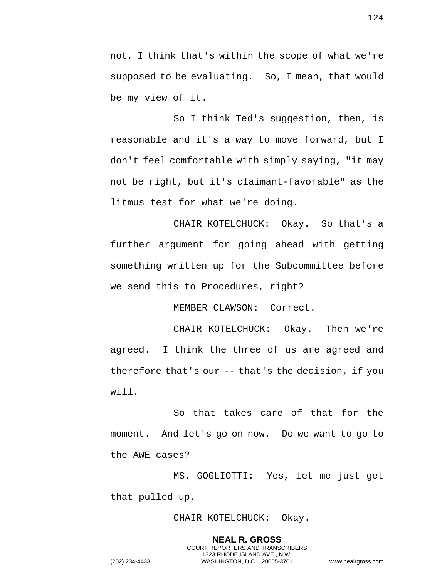not, I think that's within the scope of what we're supposed to be evaluating. So, I mean, that would be my view of it.

So I think Ted's suggestion, then, is reasonable and it's a way to move forward, but I don't feel comfortable with simply saying, "it may not be right, but it's claimant-favorable" as the litmus test for what we're doing.

CHAIR KOTELCHUCK: Okay. So that's a further argument for going ahead with getting something written up for the Subcommittee before we send this to Procedures, right?

MEMBER CLAWSON: Correct.

CHAIR KOTELCHUCK: Okay. Then we're agreed. I think the three of us are agreed and therefore that's our -- that's the decision, if you will.

So that takes care of that for the moment. And let's go on now. Do we want to go to the AWE cases?

MS. GOGLIOTTI: Yes, let me just get that pulled up.

CHAIR KOTELCHUCK: Okay.

**NEAL R. GROSS** COURT REPORTERS AND TRANSCRIBERS 1323 RHODE ISLAND AVE., N.W.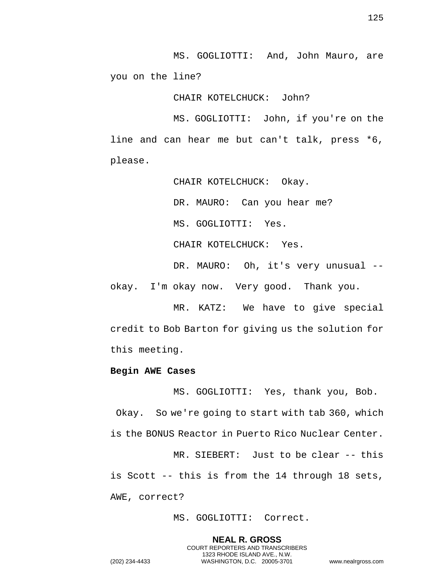MS. GOGLIOTTI: And, John Mauro, are you on the line?

CHAIR KOTELCHUCK: John?

MS. GOGLIOTTI: John, if you're on the line and can hear me but can't talk, press \*6, please.

CHAIR KOTELCHUCK: Okay.

DR. MAURO: Can you hear me?

MS. GOGLIOTTI: Yes.

CHAIR KOTELCHUCK: Yes.

DR. MAURO: Oh, it's very unusual - okay. I'm okay now. Very good. Thank you.

MR. KATZ: We have to give special credit to Bob Barton for giving us the solution for this meeting.

## **Begin AWE Cases**

MS. GOGLIOTTI: Yes, thank you, Bob. Okay. So we're going to start with tab 360, which is the BONUS Reactor in Puerto Rico Nuclear Center.

MR. SIEBERT: Just to be clear -- this is Scott -- this is from the 14 through 18 sets, AWE, correct?

MS. GOGLIOTTI: Correct.

**NEAL R. GROSS** COURT REPORTERS AND TRANSCRIBERS 1323 RHODE ISLAND AVE., N.W.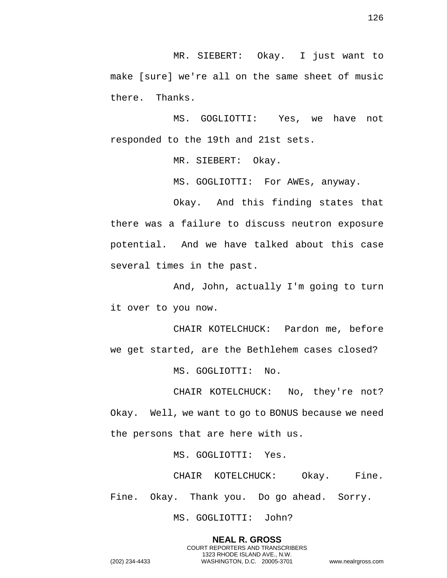MR. SIEBERT: Okay. I just want to make [sure] we're all on the same sheet of music there. Thanks.

MS. GOGLIOTTI: Yes, we have not responded to the 19th and 21st sets.

MR. SIEBERT: Okay.

MS. GOGLIOTTI: For AWEs, anyway.

Okay. And this finding states that there was a failure to discuss neutron exposure potential. And we have talked about this case several times in the past.

And, John, actually I'm going to turn it over to you now.

CHAIR KOTELCHUCK: Pardon me, before we get started, are the Bethlehem cases closed?

MS. GOGLIOTTI: No.

CHAIR KOTELCHUCK: No, they're not? Okay. Well, we want to go to BONUS because we need the persons that are here with us.

MS. GOGLIOTTI: Yes.

CHAIR KOTELCHUCK: Okay. Fine. Fine. Okay. Thank you. Do go ahead. Sorry.

> **NEAL R. GROSS** COURT REPORTERS AND TRANSCRIBERS 1323 RHODE ISLAND AVE., N.W.

MS. GOGLIOTTI: John?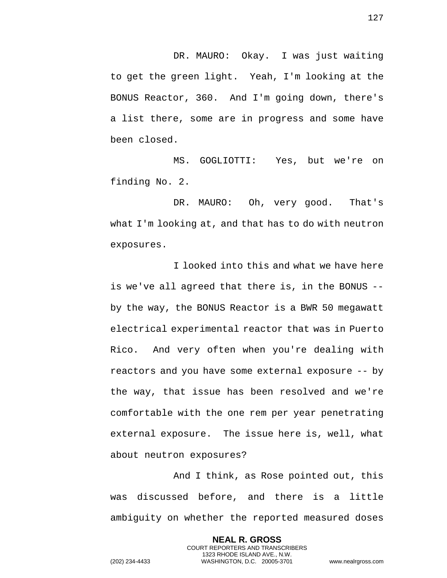DR. MAURO: Okay. I was just waiting to get the green light. Yeah, I'm looking at the BONUS Reactor, 360. And I'm going down, there's a list there, some are in progress and some have been closed.

MS. GOGLIOTTI: Yes, but we're on finding No. 2.

DR. MAURO: Oh, very good. That's what I'm looking at, and that has to do with neutron exposures.

I looked into this and what we have here is we've all agreed that there is, in the BONUS - by the way, the BONUS Reactor is a BWR 50 megawatt electrical experimental reactor that was in Puerto Rico. And very often when you're dealing with reactors and you have some external exposure -- by the way, that issue has been resolved and we're comfortable with the one rem per year penetrating external exposure. The issue here is, well, what about neutron exposures?

And I think, as Rose pointed out, this was discussed before, and there is a little ambiguity on whether the reported measured doses

> **NEAL R. GROSS** COURT REPORTERS AND TRANSCRIBERS 1323 RHODE ISLAND AVE., N.W.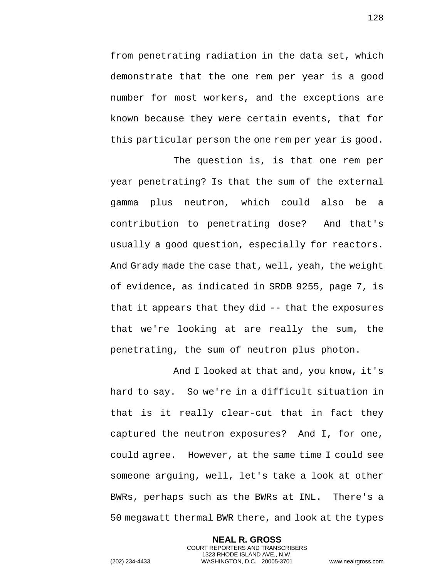from penetrating radiation in the data set, which demonstrate that the one rem per year is a good number for most workers, and the exceptions are known because they were certain events, that for this particular person the one rem per year is good.

The question is, is that one rem per year penetrating? Is that the sum of the external gamma plus neutron, which could also be a contribution to penetrating dose? And that's usually a good question, especially for reactors. And Grady made the case that, well, yeah, the weight of evidence, as indicated in SRDB 9255, page 7, is that it appears that they did -- that the exposures that we're looking at are really the sum, the penetrating, the sum of neutron plus photon.

And I looked at that and, you know, it's hard to say. So we're in a difficult situation in that is it really clear-cut that in fact they captured the neutron exposures? And I, for one, could agree. However, at the same time I could see someone arguing, well, let's take a look at other BWRs, perhaps such as the BWRs at INL. There's a 50 megawatt thermal BWR there, and look at the types

> **NEAL R. GROSS** COURT REPORTERS AND TRANSCRIBERS 1323 RHODE ISLAND AVE., N.W.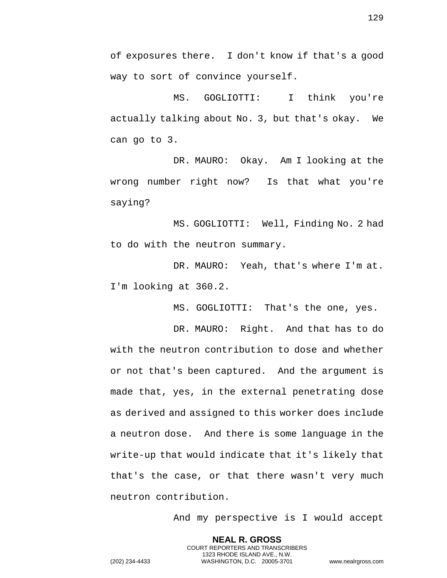of exposures there. I don't know if that's a good way to sort of convince yourself.

MS. GOGLIOTTI: I think you're actually talking about No. 3, but that's okay. We can go to 3.

DR. MAURO: Okay. Am I looking at the wrong number right now? Is that what you're saying?

MS. GOGLIOTTI: Well, Finding No. 2 had to do with the neutron summary.

DR. MAURO: Yeah, that's where I'm at. I'm looking at 360.2.

MS. GOGLIOTTI: That's the one, yes.

DR. MAURO: Right. And that has to do with the neutron contribution to dose and whether or not that's been captured. And the argument is made that, yes, in the external penetrating dose as derived and assigned to this worker does include a neutron dose. And there is some language in the write-up that would indicate that it's likely that that's the case, or that there wasn't very much neutron contribution.

> **NEAL R. GROSS** COURT REPORTERS AND TRANSCRIBERS 1323 RHODE ISLAND AVE., N.W.

And my perspective is I would accept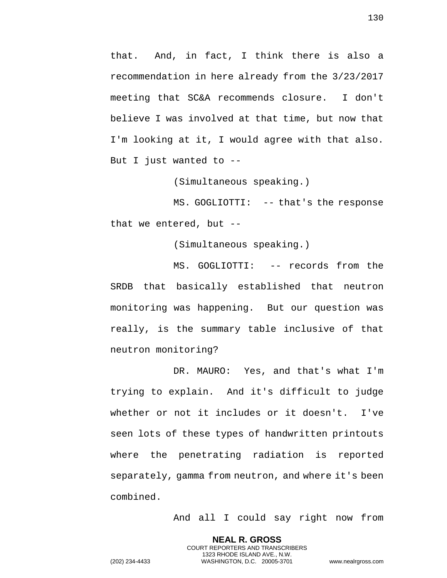that. And, in fact, I think there is also a recommendation in here already from the 3/23/2017 meeting that SC&A recommends closure. I don't believe I was involved at that time, but now that I'm looking at it, I would agree with that also. But I just wanted to --

(Simultaneous speaking.)

MS. GOGLIOTTI: -- that's the response that we entered, but --

(Simultaneous speaking.)

MS. GOGLIOTTI: -- records from the SRDB that basically established that neutron monitoring was happening. But our question was really, is the summary table inclusive of that neutron monitoring?

DR. MAURO: Yes, and that's what I'm trying to explain. And it's difficult to judge whether or not it includes or it doesn't. I've seen lots of these types of handwritten printouts where the penetrating radiation is reported separately, gamma from neutron, and where it's been combined.

> **NEAL R. GROSS** COURT REPORTERS AND TRANSCRIBERS 1323 RHODE ISLAND AVE., N.W.

And all I could say right now from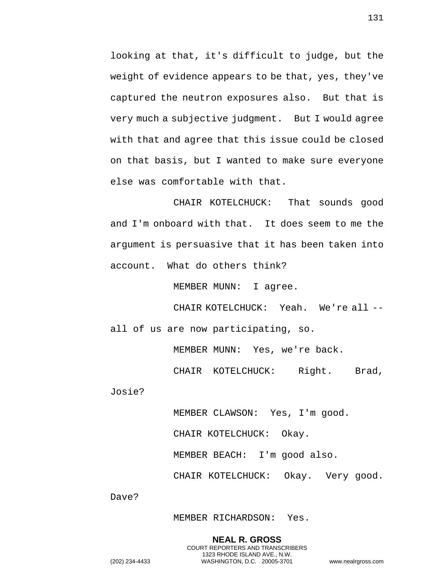looking at that, it's difficult to judge, but the weight of evidence appears to be that, yes, they've captured the neutron exposures also. But that is very much a subjective judgment. But I would agree with that and agree that this issue could be closed on that basis, but I wanted to make sure everyone else was comfortable with that.

CHAIR KOTELCHUCK: That sounds good and I'm onboard with that. It does seem to me the argument is persuasive that it has been taken into account. What do others think?

MEMBER MUNN: I agree.

CHAIR KOTELCHUCK: Yeah. We're all - all of us are now participating, so.

MEMBER MUNN: Yes, we're back.

CHAIR KOTELCHUCK: Right. Brad,

Josie?

MEMBER CLAWSON: Yes, I'm good.

CHAIR KOTELCHUCK: Okay.

MEMBER BEACH: I'm good also.

CHAIR KOTELCHUCK: Okay. Very good.

Dave?

MEMBER RICHARDSON: Yes.

**NEAL R. GROSS** COURT REPORTERS AND TRANSCRIBERS 1323 RHODE ISLAND AVE., N.W.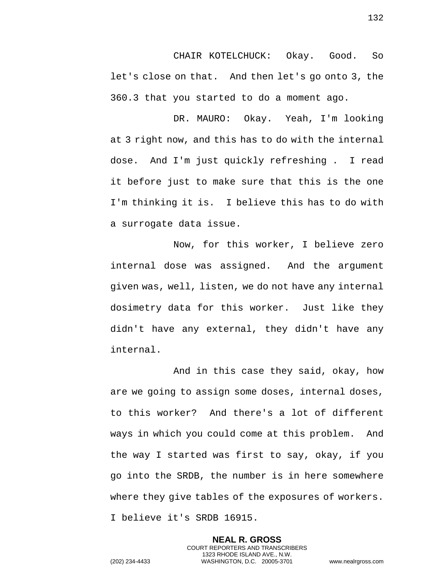CHAIR KOTELCHUCK: Okay. Good. So let's close on that. And then let's go onto 3, the 360.3 that you started to do a moment ago.

DR. MAURO: Okay. Yeah, I'm looking at 3 right now, and this has to do with the internal dose. And I'm just quickly refreshing . I read it before just to make sure that this is the one I'm thinking it is. I believe this has to do with a surrogate data issue.

Now, for this worker, I believe zero internal dose was assigned. And the argument given was, well, listen, we do not have any internal dosimetry data for this worker. Just like they didn't have any external, they didn't have any internal.

And in this case they said, okay, how are we going to assign some doses, internal doses, to this worker? And there's a lot of different ways in which you could come at this problem. And the way I started was first to say, okay, if you go into the SRDB, the number is in here somewhere where they give tables of the exposures of workers. I believe it's SRDB 16915.

> **NEAL R. GROSS** COURT REPORTERS AND TRANSCRIBERS 1323 RHODE ISLAND AVE., N.W.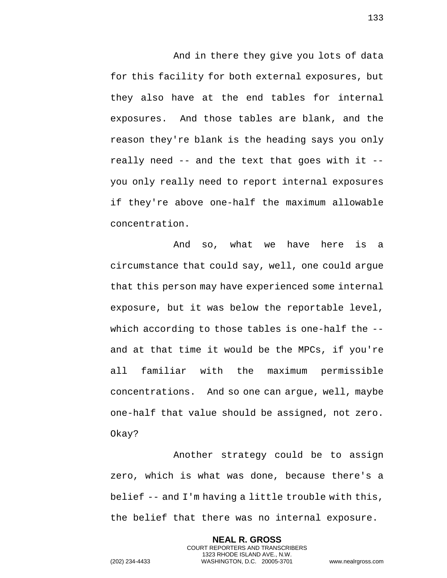And in there they give you lots of data for this facility for both external exposures, but they also have at the end tables for internal exposures. And those tables are blank, and the reason they're blank is the heading says you only really need -- and the text that goes with it - you only really need to report internal exposures if they're above one-half the maximum allowable concentration.

And so, what we have here is a circumstance that could say, well, one could argue that this person may have experienced some internal exposure, but it was below the reportable level, which according to those tables is one-half the -and at that time it would be the MPCs, if you're all familiar with the maximum permissible concentrations. And so one can argue, well, maybe one-half that value should be assigned, not zero. Okay?

Another strategy could be to assign zero, which is what was done, because there's a belief -- and I'm having a little trouble with this, the belief that there was no internal exposure.

> **NEAL R. GROSS** COURT REPORTERS AND TRANSCRIBERS 1323 RHODE ISLAND AVE., N.W.

133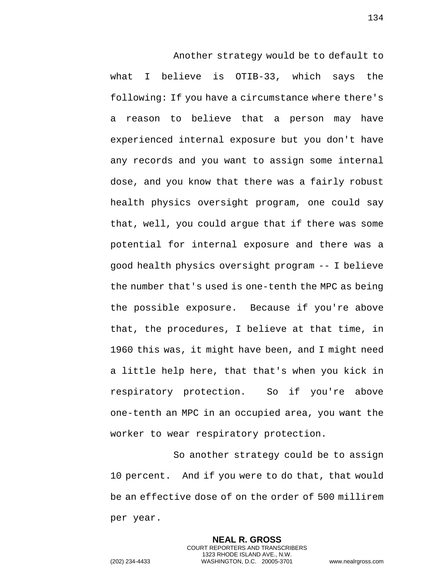Another strategy would be to default to what I believe is OTIB-33, which says the following: If you have a circumstance where there's a reason to believe that a person may have experienced internal exposure but you don't have any records and you want to assign some internal dose, and you know that there was a fairly robust health physics oversight program, one could say that, well, you could argue that if there was some potential for internal exposure and there was a good health physics oversight program -- I believe the number that's used is one-tenth the MPC as being the possible exposure. Because if you're above that, the procedures, I believe at that time, in 1960 this was, it might have been, and I might need a little help here, that that's when you kick in respiratory protection. So if you're above one-tenth an MPC in an occupied area, you want the worker to wear respiratory protection.

So another strategy could be to assign 10 percent. And if you were to do that, that would be an effective dose of on the order of 500 millirem per year.

> **NEAL R. GROSS** COURT REPORTERS AND TRANSCRIBERS 1323 RHODE ISLAND AVE., N.W.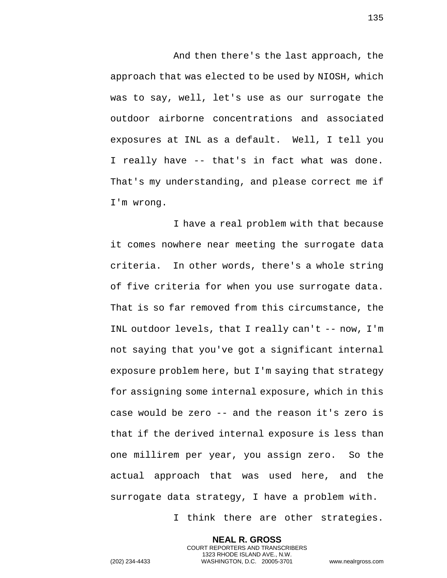And then there's the last approach, the approach that was elected to be used by NIOSH, which was to say, well, let's use as our surrogate the outdoor airborne concentrations and associated exposures at INL as a default. Well, I tell you I really have -- that's in fact what was done. That's my understanding, and please correct me if I'm wrong.

I have a real problem with that because it comes nowhere near meeting the surrogate data criteria. In other words, there's a whole string of five criteria for when you use surrogate data. That is so far removed from this circumstance, the INL outdoor levels, that I really can't -- now, I'm not saying that you've got a significant internal exposure problem here, but I'm saying that strategy for assigning some internal exposure, which in this case would be zero -- and the reason it's zero is that if the derived internal exposure is less than one millirem per year, you assign zero. So the actual approach that was used here, and the surrogate data strategy, I have a problem with.

I think there are other strategies.

**NEAL R. GROSS** COURT REPORTERS AND TRANSCRIBERS 1323 RHODE ISLAND AVE., N.W.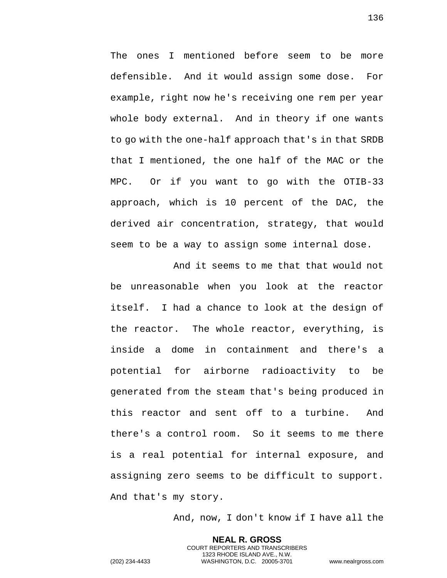The ones I mentioned before seem to be more defensible. And it would assign some dose. For example, right now he's receiving one rem per year whole body external. And in theory if one wants to go with the one-half approach that's in that SRDB that I mentioned, the one half of the MAC or the MPC. Or if you want to go with the OTIB-33 approach, which is 10 percent of the DAC, the derived air concentration, strategy, that would seem to be a way to assign some internal dose.

And it seems to me that that would not be unreasonable when you look at the reactor itself. I had a chance to look at the design of the reactor. The whole reactor, everything, is inside a dome in containment and there's a potential for airborne radioactivity to be generated from the steam that's being produced in this reactor and sent off to a turbine. And there's a control room. So it seems to me there is a real potential for internal exposure, and assigning zero seems to be difficult to support. And that's my story.

And, now, I don't know if I have all the

**NEAL R. GROSS** COURT REPORTERS AND TRANSCRIBERS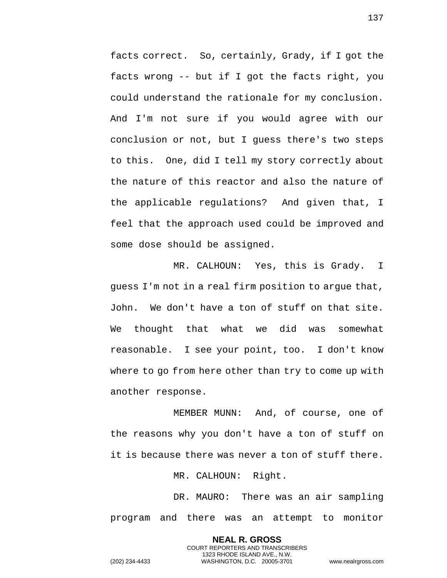facts correct. So, certainly, Grady, if I got the facts wrong -- but if I got the facts right, you could understand the rationale for my conclusion. And I'm not sure if you would agree with our conclusion or not, but I guess there's two steps to this. One, did I tell my story correctly about the nature of this reactor and also the nature of the applicable regulations? And given that, I feel that the approach used could be improved and some dose should be assigned.

MR. CALHOUN: Yes, this is Grady. I guess I'm not in a real firm position to argue that, John. We don't have a ton of stuff on that site. We thought that what we did was somewhat reasonable. I see your point, too. I don't know where to go from here other than try to come up with another response.

MEMBER MUNN: And, of course, one of the reasons why you don't have a ton of stuff on it is because there was never a ton of stuff there.

MR. CALHOUN: Right.

DR. MAURO: There was an air sampling program and there was an attempt to monitor

> **NEAL R. GROSS** COURT REPORTERS AND TRANSCRIBERS 1323 RHODE ISLAND AVE., N.W.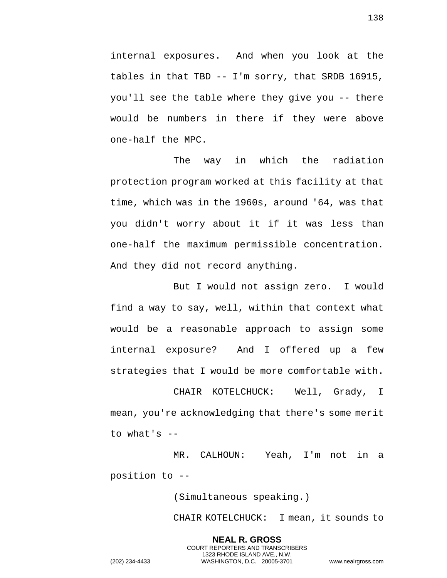internal exposures. And when you look at the tables in that TBD -- I'm sorry, that SRDB 16915, you'll see the table where they give you -- there would be numbers in there if they were above one-half the MPC.

The way in which the radiation protection program worked at this facility at that time, which was in the 1960s, around '64, was that you didn't worry about it if it was less than one-half the maximum permissible concentration. And they did not record anything.

But I would not assign zero. I would find a way to say, well, within that context what would be a reasonable approach to assign some internal exposure? And I offered up a few strategies that I would be more comfortable with.

CHAIR KOTELCHUCK: Well, Grady, I mean, you're acknowledging that there's some merit to what's --

MR. CALHOUN: Yeah, I'm not in a position to --

(Simultaneous speaking.)

**NEAL R. GROSS** COURT REPORTERS AND TRANSCRIBERS 1323 RHODE ISLAND AVE., N.W.

CHAIR KOTELCHUCK: I mean, it sounds to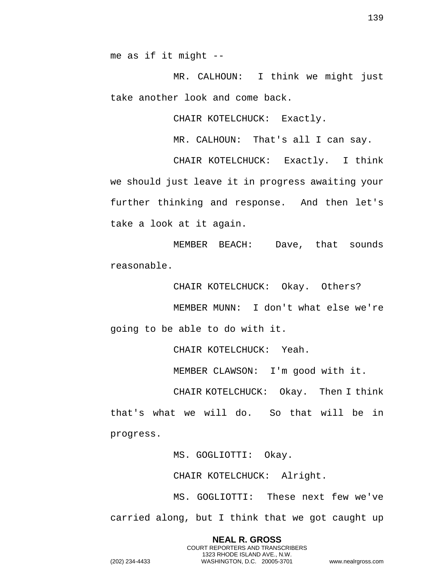me as if it might --

MR. CALHOUN: I think we might just take another look and come back.

CHAIR KOTELCHUCK: Exactly.

MR. CALHOUN: That's all I can say.

CHAIR KOTELCHUCK: Exactly. I think we should just leave it in progress awaiting your further thinking and response. And then let's take a look at it again.

MEMBER BEACH: Dave, that sounds reasonable.

CHAIR KOTELCHUCK: Okay. Others?

MEMBER MUNN: I don't what else we're going to be able to do with it.

CHAIR KOTELCHUCK: Yeah.

MEMBER CLAWSON: I'm good with it.

CHAIR KOTELCHUCK: Okay. Then I think that's what we will do. So that will be in progress.

MS. GOGLIOTTI: Okay.

CHAIR KOTELCHUCK: Alright.

MS. GOGLIOTTI: These next few we've carried along, but I think that we got caught up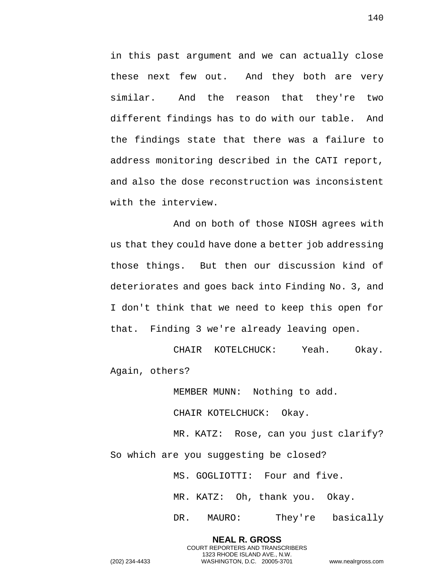in this past argument and we can actually close these next few out. And they both are very similar. And the reason that they're two different findings has to do with our table. And the findings state that there was a failure to address monitoring described in the CATI report, and also the dose reconstruction was inconsistent with the interview.

And on both of those NIOSH agrees with us that they could have done a better job addressing those things. But then our discussion kind of deteriorates and goes back into Finding No. 3, and I don't think that we need to keep this open for that. Finding 3 we're already leaving open.

CHAIR KOTELCHUCK: Yeah. Okay. Again, others?

MEMBER MUNN: Nothing to add.

CHAIR KOTELCHUCK: Okay.

MR. KATZ: Rose, can you just clarify? So which are you suggesting be closed?

> **NEAL R. GROSS** COURT REPORTERS AND TRANSCRIBERS 1323 RHODE ISLAND AVE., N.W.

MS. GOGLIOTTI: Four and five.

MR. KATZ: Oh, thank you. Okay.

DR. MAURO: They're basically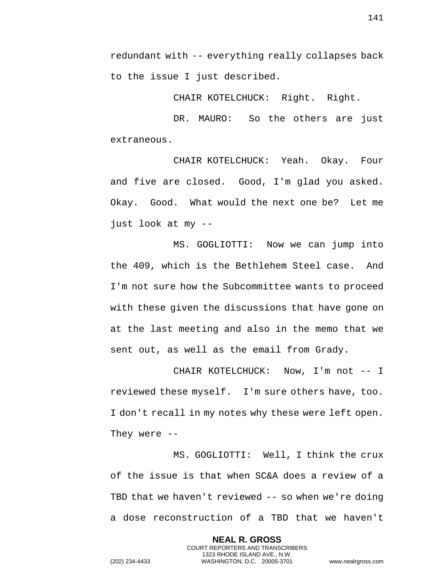redundant with -- everything really collapses back to the issue I just described.

CHAIR KOTELCHUCK: Right. Right.

DR. MAURO: So the others are just extraneous.

CHAIR KOTELCHUCK: Yeah. Okay. Four and five are closed. Good, I'm glad you asked. Okay. Good. What would the next one be? Let me just look at my --

MS. GOGLIOTTI: Now we can jump into the 409, which is the Bethlehem Steel case. And I'm not sure how the Subcommittee wants to proceed with these given the discussions that have gone on at the last meeting and also in the memo that we sent out, as well as the email from Grady.

CHAIR KOTELCHUCK: Now, I'm not -- I reviewed these myself. I'm sure others have, too. I don't recall in my notes why these were left open. They were --

MS. GOGLIOTTI: Well, I think the crux of the issue is that when SC&A does a review of a TBD that we haven't reviewed -- so when we're doing a dose reconstruction of a TBD that we haven't

> **NEAL R. GROSS** COURT REPORTERS AND TRANSCRIBERS 1323 RHODE ISLAND AVE., N.W.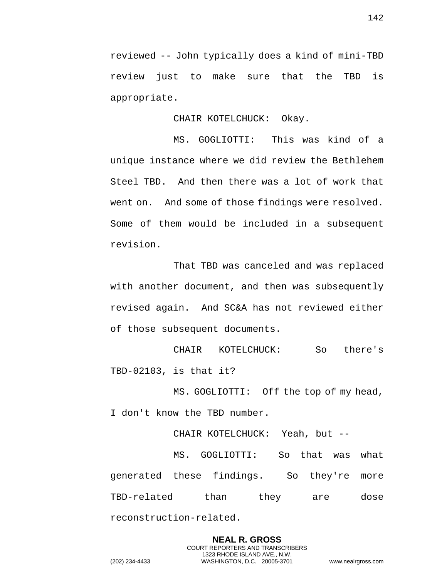reviewed -- John typically does a kind of mini-TBD review just to make sure that the TBD is appropriate.

CHAIR KOTELCHUCK: Okay.

MS. GOGLIOTTI: This was kind of a unique instance where we did review the Bethlehem Steel TBD. And then there was a lot of work that went on. And some of those findings were resolved. Some of them would be included in a subsequent revision.

That TBD was canceled and was replaced with another document, and then was subsequently revised again. And SC&A has not reviewed either of those subsequent documents.

CHAIR KOTELCHUCK: So there's TBD-02103, is that it?

MS. GOGLIOTTI: Off the top of my head,

I don't know the TBD number.

CHAIR KOTELCHUCK: Yeah, but --

MS. GOGLIOTTI: So that was what generated these findings. So they're more TBD-related than they are dose reconstruction-related.

> **NEAL R. GROSS** COURT REPORTERS AND TRANSCRIBERS 1323 RHODE ISLAND AVE., N.W.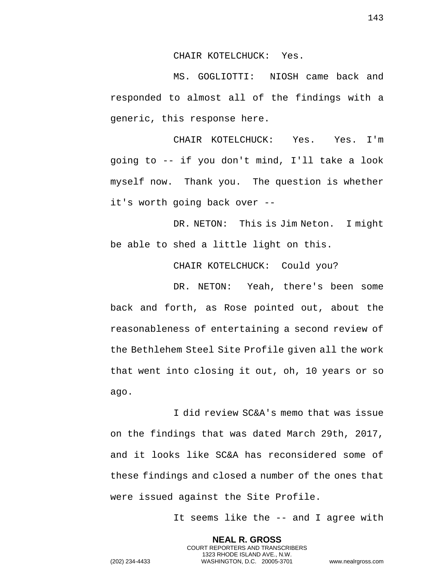CHAIR KOTELCHUCK: Yes.

MS. GOGLIOTTI: NIOSH came back and responded to almost all of the findings with a generic, this response here.

CHAIR KOTELCHUCK: Yes. Yes. I'm going to -- if you don't mind, I'll take a look myself now. Thank you. The question is whether it's worth going back over --

DR. NETON: This is Jim Neton. I might be able to shed a little light on this.

CHAIR KOTELCHUCK: Could you?

DR. NETON: Yeah, there's been some back and forth, as Rose pointed out, about the reasonableness of entertaining a second review of the Bethlehem Steel Site Profile given all the work that went into closing it out, oh, 10 years or so ago.

I did review SC&A's memo that was issue on the findings that was dated March 29th, 2017, and it looks like SC&A has reconsidered some of these findings and closed a number of the ones that were issued against the Site Profile.

> **NEAL R. GROSS** COURT REPORTERS AND TRANSCRIBERS 1323 RHODE ISLAND AVE., N.W.

It seems like the -- and I agree with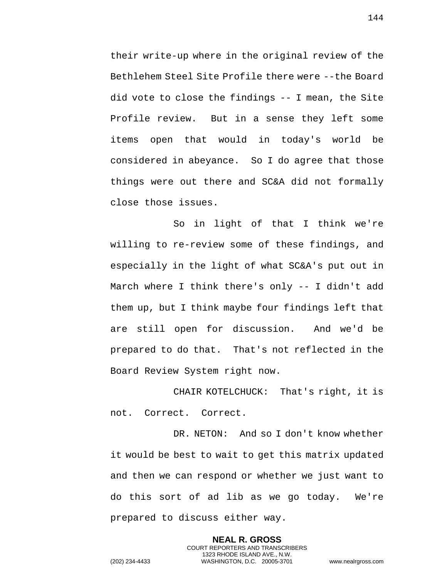their write-up where in the original review of the Bethlehem Steel Site Profile there were --the Board did vote to close the findings -- I mean, the Site Profile review. But in a sense they left some items open that would in today's world be considered in abeyance. So I do agree that those things were out there and SC&A did not formally close those issues.

So in light of that I think we're willing to re-review some of these findings, and especially in the light of what SC&A's put out in March where I think there's only -- I didn't add them up, but I think maybe four findings left that are still open for discussion. And we'd be prepared to do that. That's not reflected in the Board Review System right now.

CHAIR KOTELCHUCK: That's right, it is not. Correct. Correct.

DR. NETON: And so I don't know whether it would be best to wait to get this matrix updated and then we can respond or whether we just want to do this sort of ad lib as we go today. We're prepared to discuss either way.

> **NEAL R. GROSS** COURT REPORTERS AND TRANSCRIBERS 1323 RHODE ISLAND AVE., N.W.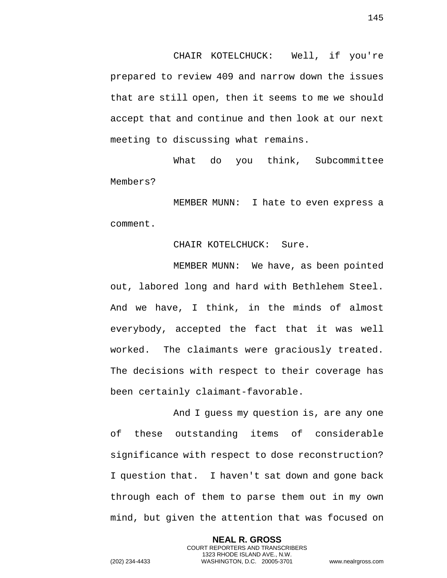CHAIR KOTELCHUCK: Well, if you're prepared to review 409 and narrow down the issues that are still open, then it seems to me we should accept that and continue and then look at our next meeting to discussing what remains.

What do you think, Subcommittee Members?

MEMBER MUNN: I hate to even express a comment.

## CHAIR KOTELCHUCK: Sure.

MEMBER MUNN: We have, as been pointed out, labored long and hard with Bethlehem Steel. And we have, I think, in the minds of almost everybody, accepted the fact that it was well worked. The claimants were graciously treated. The decisions with respect to their coverage has been certainly claimant-favorable.

And I guess my question is, are any one of these outstanding items of considerable significance with respect to dose reconstruction? I question that. I haven't sat down and gone back through each of them to parse them out in my own mind, but given the attention that was focused on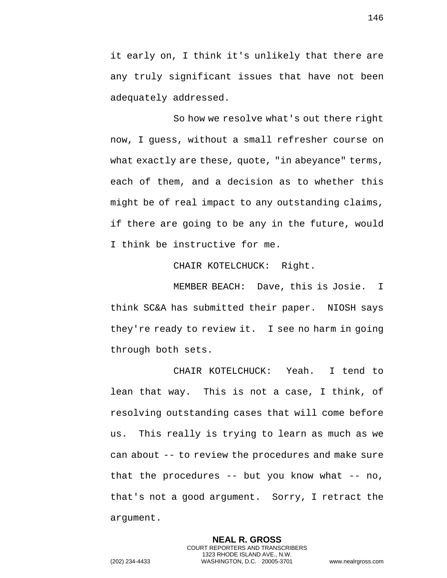it early on, I think it's unlikely that there are any truly significant issues that have not been adequately addressed.

So how we resolve what's out there right now, I guess, without a small refresher course on what exactly are these, quote, "in abeyance" terms, each of them, and a decision as to whether this might be of real impact to any outstanding claims, if there are going to be any in the future, would I think be instructive for me.

CHAIR KOTELCHUCK: Right.

MEMBER BEACH: Dave, this is Josie. I think SC&A has submitted their paper. NIOSH says they're ready to review it. I see no harm in going through both sets.

CHAIR KOTELCHUCK: Yeah. I tend to lean that way. This is not a case, I think, of resolving outstanding cases that will come before us. This really is trying to learn as much as we can about -- to review the procedures and make sure that the procedures  $-$ - but you know what  $-$ - no, that's not a good argument. Sorry, I retract the argument.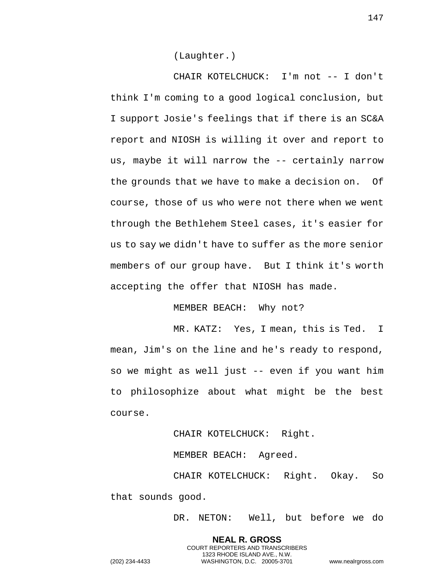(Laughter.)

CHAIR KOTELCHUCK: I'm not -- I don't think I'm coming to a good logical conclusion, but I support Josie's feelings that if there is an SC&A report and NIOSH is willing it over and report to us, maybe it will narrow the -- certainly narrow the grounds that we have to make a decision on. Of course, those of us who were not there when we went through the Bethlehem Steel cases, it's easier for us to say we didn't have to suffer as the more senior members of our group have. But I think it's worth accepting the offer that NIOSH has made.

MEMBER BEACH: Why not?

MR. KATZ: Yes, I mean, this is Ted. I mean, Jim's on the line and he's ready to respond, so we might as well just -- even if you want him to philosophize about what might be the best course.

CHAIR KOTELCHUCK: Right.

MEMBER BEACH: Agreed.

CHAIR KOTELCHUCK: Right. Okay. So that sounds good.

> **NEAL R. GROSS** COURT REPORTERS AND TRANSCRIBERS 1323 RHODE ISLAND AVE., N.W.

DR. NETON: Well, but before we do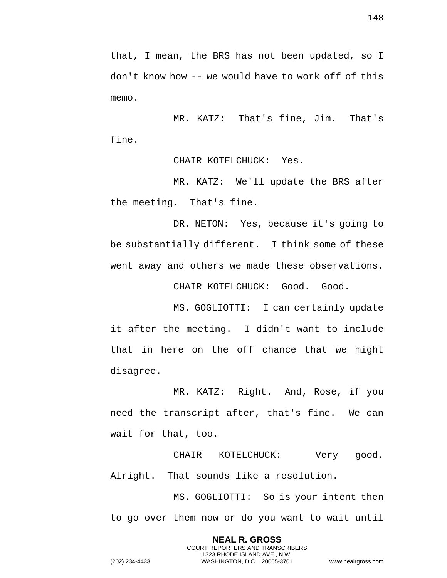that, I mean, the BRS has not been updated, so I don't know how -- we would have to work off of this memo.

MR. KATZ: That's fine, Jim. That's fine.

CHAIR KOTELCHUCK: Yes.

MR. KATZ: We'll update the BRS after the meeting. That's fine.

DR. NETON: Yes, because it's going to be substantially different. I think some of these went away and others we made these observations.

CHAIR KOTELCHUCK: Good. Good.

MS. GOGLIOTTI: I can certainly update it after the meeting. I didn't want to include that in here on the off chance that we might disagree.

MR. KATZ: Right. And, Rose, if you need the transcript after, that's fine. We can wait for that, too.

CHAIR KOTELCHUCK: Very good. Alright. That sounds like a resolution.

MS. GOGLIOTTI: So is your intent then to go over them now or do you want to wait until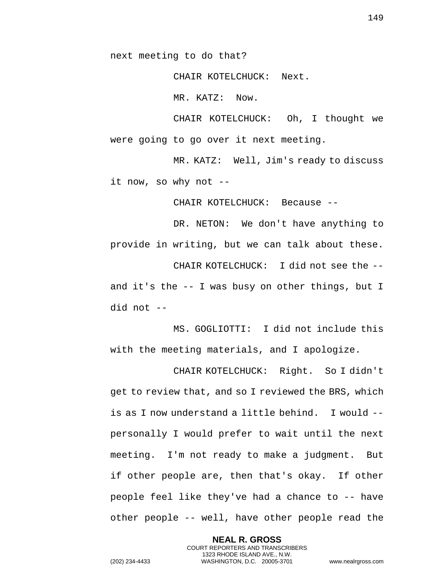next meeting to do that?

CHAIR KOTELCHUCK: Next.

MR. KATZ: Now.

CHAIR KOTELCHUCK: Oh, I thought we were going to go over it next meeting.

MR. KATZ: Well, Jim's ready to discuss it now, so why not --

CHAIR KOTELCHUCK: Because --

DR. NETON: We don't have anything to provide in writing, but we can talk about these. CHAIR KOTELCHUCK: I did not see the - and it's the -- I was busy on other things, but I did not --

MS. GOGLIOTTI: I did not include this with the meeting materials, and I apologize.

CHAIR KOTELCHUCK: Right. So I didn't get to review that, and so I reviewed the BRS, which is as I now understand a little behind. I would - personally I would prefer to wait until the next meeting. I'm not ready to make a judgment. But if other people are, then that's okay. If other people feel like they've had a chance to -- have other people -- well, have other people read the

> **NEAL R. GROSS** COURT REPORTERS AND TRANSCRIBERS 1323 RHODE ISLAND AVE., N.W.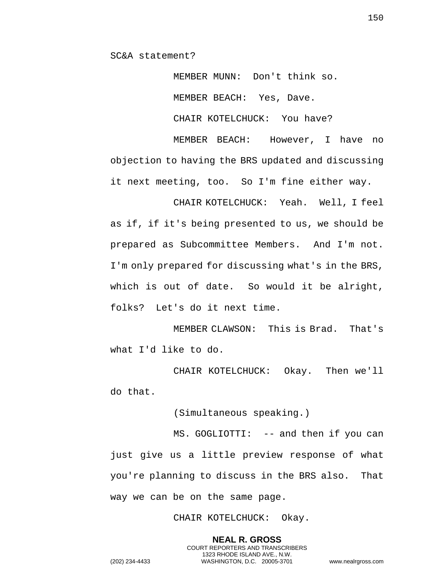SC&A statement?

MEMBER MUNN: Don't think so. MEMBER BEACH: Yes, Dave. CHAIR KOTELCHUCK: You have?

MEMBER BEACH: However, I have no objection to having the BRS updated and discussing it next meeting, too. So I'm fine either way.

CHAIR KOTELCHUCK: Yeah. Well, I feel as if, if it's being presented to us, we should be prepared as Subcommittee Members. And I'm not. I'm only prepared for discussing what's in the BRS, which is out of date. So would it be alright, folks? Let's do it next time.

MEMBER CLAWSON: This is Brad. That's what I'd like to do.

CHAIR KOTELCHUCK: Okay. Then we'll do that.

(Simultaneous speaking.)

MS. GOGLIOTTI: -- and then if you can just give us a little preview response of what you're planning to discuss in the BRS also. That way we can be on the same page.

CHAIR KOTELCHUCK: Okay.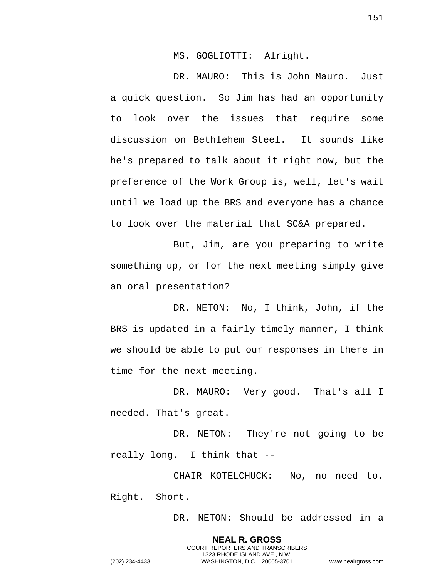MS. GOGLIOTTI: Alright.

DR. MAURO: This is John Mauro. Just a quick question. So Jim has had an opportunity to look over the issues that require some discussion on Bethlehem Steel. It sounds like he's prepared to talk about it right now, but the preference of the Work Group is, well, let's wait until we load up the BRS and everyone has a chance to look over the material that SC&A prepared.

But, Jim, are you preparing to write something up, or for the next meeting simply give an oral presentation?

DR. NETON: No, I think, John, if the BRS is updated in a fairly timely manner, I think we should be able to put our responses in there in time for the next meeting.

DR. MAURO: Very good. That's all I needed. That's great.

DR. NETON: They're not going to be really long. I think that --

CHAIR KOTELCHUCK: No, no need to. Right. Short.

> **NEAL R. GROSS** COURT REPORTERS AND TRANSCRIBERS 1323 RHODE ISLAND AVE., N.W.

DR. NETON: Should be addressed in a

151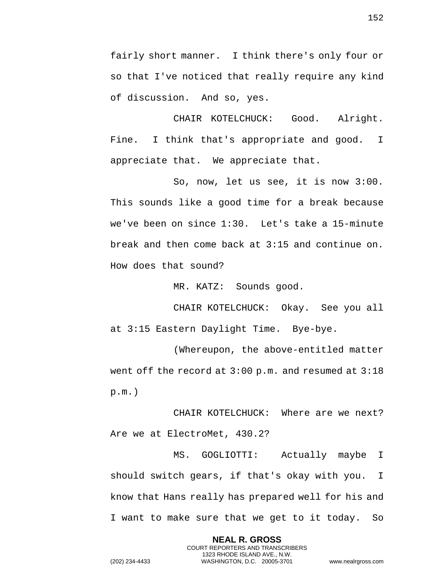fairly short manner. I think there's only four or so that I've noticed that really require any kind of discussion. And so, yes.

CHAIR KOTELCHUCK: Good. Alright. Fine. I think that's appropriate and good. I appreciate that. We appreciate that.

So, now, let us see, it is now 3:00. This sounds like a good time for a break because we've been on since 1:30. Let's take a 15-minute break and then come back at 3:15 and continue on. How does that sound?

MR. KATZ: Sounds good.

CHAIR KOTELCHUCK: Okay. See you all at 3:15 Eastern Daylight Time. Bye-bye.

(Whereupon, the above-entitled matter went off the record at 3:00 p.m. and resumed at 3:18 p.m.)

CHAIR KOTELCHUCK: Where are we next? Are we at ElectroMet, 430.2?

MS. GOGLIOTTI: Actually maybe I should switch gears, if that's okay with you. I know that Hans really has prepared well for his and I want to make sure that we get to it today. So

> **NEAL R. GROSS** COURT REPORTERS AND TRANSCRIBERS 1323 RHODE ISLAND AVE., N.W.

152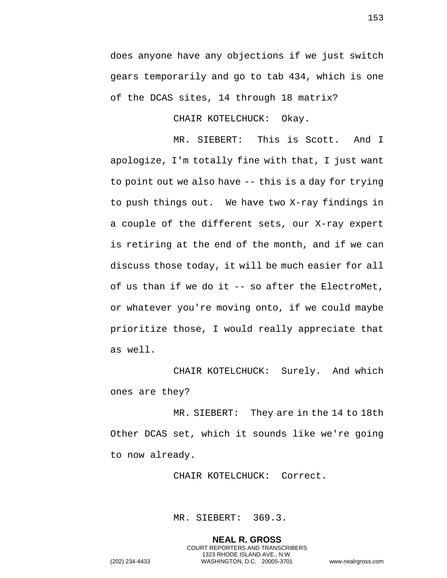does anyone have any objections if we just switch gears temporarily and go to tab 434, which is one of the DCAS sites, 14 through 18 matrix?

CHAIR KOTELCHUCK: Okay.

MR. SIEBERT: This is Scott. And I apologize, I'm totally fine with that, I just want to point out we also have -- this is a day for trying to push things out. We have two X-ray findings in a couple of the different sets, our X-ray expert is retiring at the end of the month, and if we can discuss those today, it will be much easier for all of us than if we do it -- so after the ElectroMet, or whatever you're moving onto, if we could maybe prioritize those, I would really appreciate that as well.

CHAIR KOTELCHUCK: Surely. And which ones are they?

MR. SIEBERT: They are in the 14 to 18th Other DCAS set, which it sounds like we're going to now already.

CHAIR KOTELCHUCK: Correct.

MR. SIEBERT: 369.3.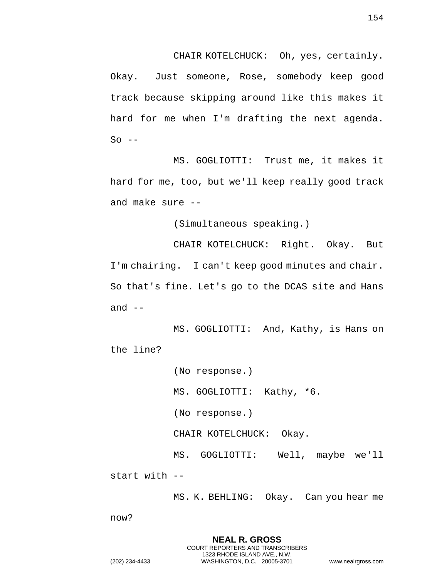CHAIR KOTELCHUCK: Oh, yes, certainly. Okay. Just someone, Rose, somebody keep good track because skipping around like this makes it hard for me when I'm drafting the next agenda.  $So$   $--$ 

MS. GOGLIOTTI: Trust me, it makes it hard for me, too, but we'll keep really good track and make sure --

(Simultaneous speaking.)

CHAIR KOTELCHUCK: Right. Okay. But I'm chairing. I can't keep good minutes and chair. So that's fine. Let's go to the DCAS site and Hans and  $--$ 

MS. GOGLIOTTI: And, Kathy, is Hans on the line?

> (No response.) MS. GOGLIOTTI: Kathy, \*6. (No response.) CHAIR KOTELCHUCK: Okay. MS. GOGLIOTTI: Well, maybe we'll

start with --

MS. K. BEHLING: Okay. Can you hear me

now?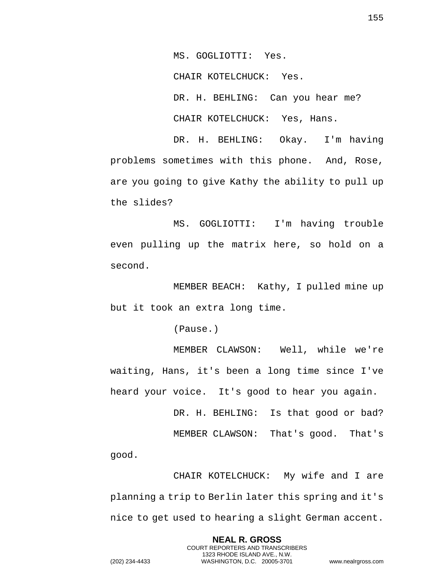MS. GOGLIOTTI: Yes.

CHAIR KOTELCHUCK: Yes.

DR. H. BEHLING: Can you hear me?

CHAIR KOTELCHUCK: Yes, Hans.

DR. H. BEHLING: Okay. I'm having problems sometimes with this phone. And, Rose, are you going to give Kathy the ability to pull up the slides?

MS. GOGLIOTTI: I'm having trouble even pulling up the matrix here, so hold on a second.

MEMBER BEACH: Kathy, I pulled mine up but it took an extra long time.

(Pause.)

MEMBER CLAWSON: Well, while we're waiting, Hans, it's been a long time since I've heard your voice. It's good to hear you again.

> DR. H. BEHLING: Is that good or bad? MEMBER CLAWSON: That's good. That's

good.

CHAIR KOTELCHUCK: My wife and I are planning a trip to Berlin later this spring and it's nice to get used to hearing a slight German accent.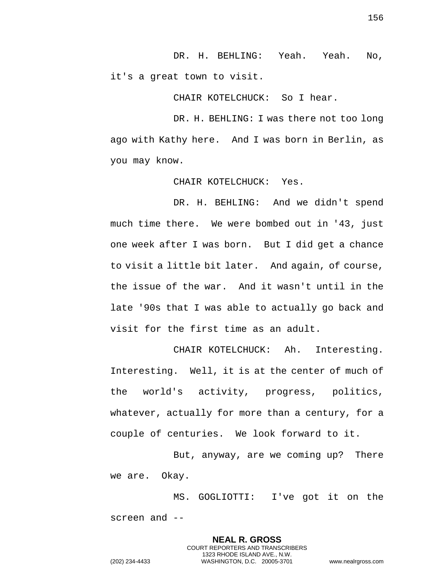DR. H. BEHLING: Yeah. Yeah. No, it's a great town to visit.

CHAIR KOTELCHUCK: So I hear.

DR. H. BEHLING: I was there not too long ago with Kathy here. And I was born in Berlin, as you may know.

CHAIR KOTELCHUCK: Yes.

DR. H. BEHLING: And we didn't spend much time there. We were bombed out in '43, just one week after I was born. But I did get a chance to visit a little bit later. And again, of course, the issue of the war. And it wasn't until in the late '90s that I was able to actually go back and visit for the first time as an adult.

CHAIR KOTELCHUCK: Ah. Interesting. Interesting. Well, it is at the center of much of the world's activity, progress, politics, whatever, actually for more than a century, for a couple of centuries. We look forward to it.

But, anyway, are we coming up? There we are. Okay.

MS. GOGLIOTTI: I've got it on the screen and --

> **NEAL R. GROSS** COURT REPORTERS AND TRANSCRIBERS 1323 RHODE ISLAND AVE., N.W.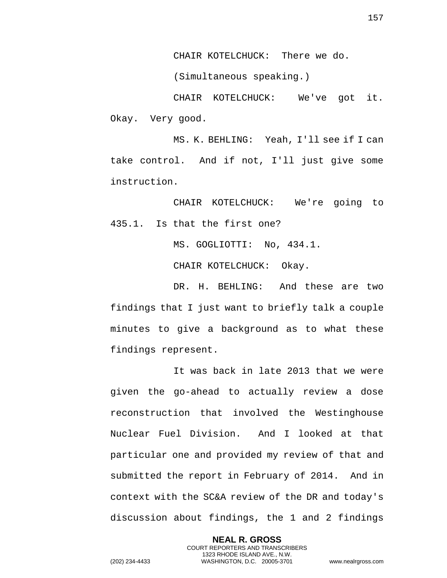CHAIR KOTELCHUCK: There we do.

(Simultaneous speaking.)

CHAIR KOTELCHUCK: We've got it. Okay. Very good.

MS. K. BEHLING: Yeah, I'll see if I can take control. And if not, I'll just give some instruction.

CHAIR KOTELCHUCK: We're going to 435.1. Is that the first one?

MS. GOGLIOTTI: No, 434.1.

CHAIR KOTELCHUCK: Okay.

DR. H. BEHLING: And these are two findings that I just want to briefly talk a couple minutes to give a background as to what these findings represent.

It was back in late 2013 that we were given the go-ahead to actually review a dose reconstruction that involved the Westinghouse Nuclear Fuel Division. And I looked at that particular one and provided my review of that and submitted the report in February of 2014. And in context with the SC&A review of the DR and today's discussion about findings, the 1 and 2 findings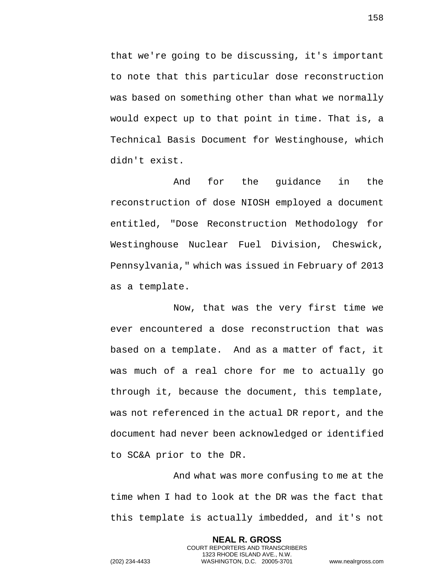that we're going to be discussing, it's important to note that this particular dose reconstruction was based on something other than what we normally would expect up to that point in time. That is, a Technical Basis Document for Westinghouse, which didn't exist.

And for the guidance in the reconstruction of dose NIOSH employed a document entitled, "Dose Reconstruction Methodology for Westinghouse Nuclear Fuel Division, Cheswick, Pennsylvania," which was issued in February of 2013 as a template.

Now, that was the very first time we ever encountered a dose reconstruction that was based on a template. And as a matter of fact, it was much of a real chore for me to actually go through it, because the document, this template, was not referenced in the actual DR report, and the document had never been acknowledged or identified to SC&A prior to the DR.

And what was more confusing to me at the time when I had to look at the DR was the fact that this template is actually imbedded, and it's not

> **NEAL R. GROSS** COURT REPORTERS AND TRANSCRIBERS 1323 RHODE ISLAND AVE., N.W.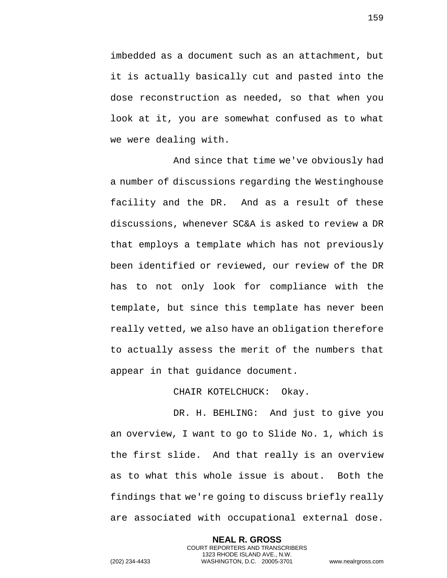imbedded as a document such as an attachment, but it is actually basically cut and pasted into the dose reconstruction as needed, so that when you look at it, you are somewhat confused as to what we were dealing with.

And since that time we've obviously had a number of discussions regarding the Westinghouse facility and the DR. And as a result of these discussions, whenever SC&A is asked to review a DR that employs a template which has not previously been identified or reviewed, our review of the DR has to not only look for compliance with the template, but since this template has never been really vetted, we also have an obligation therefore to actually assess the merit of the numbers that appear in that guidance document.

CHAIR KOTELCHUCK: Okay.

DR. H. BEHLING: And just to give you an overview, I want to go to Slide No. 1, which is the first slide. And that really is an overview as to what this whole issue is about. Both the findings that we're going to discuss briefly really are associated with occupational external dose.

> **NEAL R. GROSS** COURT REPORTERS AND TRANSCRIBERS 1323 RHODE ISLAND AVE., N.W.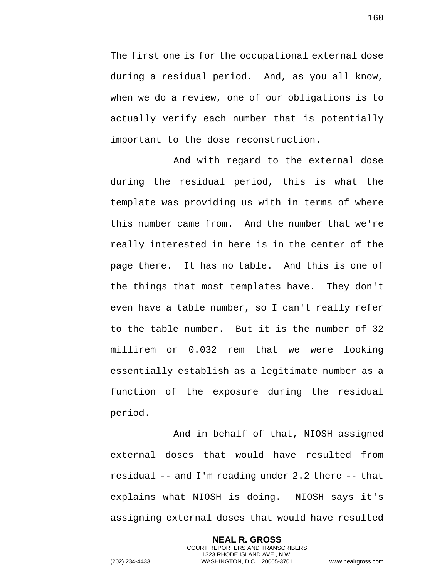The first one is for the occupational external dose during a residual period. And, as you all know, when we do a review, one of our obligations is to actually verify each number that is potentially important to the dose reconstruction.

And with regard to the external dose during the residual period, this is what the template was providing us with in terms of where this number came from. And the number that we're really interested in here is in the center of the page there. It has no table. And this is one of the things that most templates have. They don't even have a table number, so I can't really refer to the table number. But it is the number of 32 millirem or 0.032 rem that we were looking essentially establish as a legitimate number as a function of the exposure during the residual period.

And in behalf of that, NIOSH assigned external doses that would have resulted from residual -- and I'm reading under 2.2 there -- that explains what NIOSH is doing. NIOSH says it's assigning external doses that would have resulted

**NEAL R. GROSS** COURT REPORTERS AND TRANSCRIBERS 1323 RHODE ISLAND AVE., N.W. (202) 234-4433 WASHINGTON, D.C. 20005-3701 www.nealrgross.com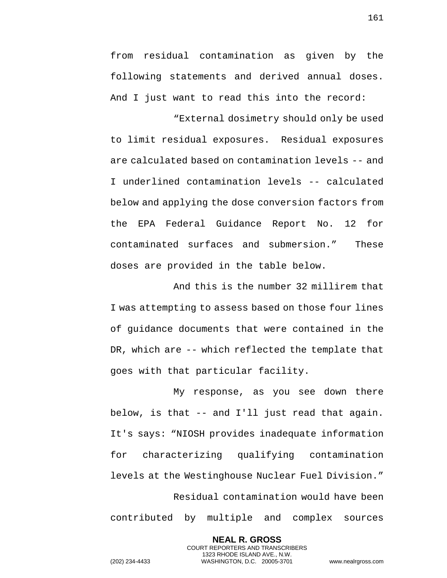from residual contamination as given by the following statements and derived annual doses. And I just want to read this into the record: "External dosimetry should only be used

to limit residual exposures. Residual exposures are calculated based on contamination levels -- and I underlined contamination levels -- calculated below and applying the dose conversion factors from the EPA Federal Guidance Report No. 12 for contaminated surfaces and submersion." These doses are provided in the table below.

And this is the number 32 millirem that I was attempting to assess based on those four lines of guidance documents that were contained in the DR, which are -- which reflected the template that goes with that particular facility.

My response, as you see down there below, is that -- and I'll just read that again. It's says: "NIOSH provides inadequate information for characterizing qualifying contamination levels at the Westinghouse Nuclear Fuel Division." Residual contamination would have been contributed by multiple and complex sources

> **NEAL R. GROSS** COURT REPORTERS AND TRANSCRIBERS 1323 RHODE ISLAND AVE., N.W.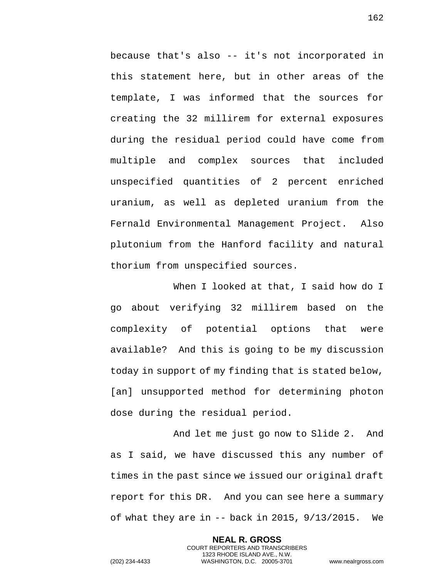because that's also -- it's not incorporated in this statement here, but in other areas of the template, I was informed that the sources for creating the 32 millirem for external exposures during the residual period could have come from multiple and complex sources that included unspecified quantities of 2 percent enriched uranium, as well as depleted uranium from the Fernald Environmental Management Project. Also plutonium from the Hanford facility and natural thorium from unspecified sources.

When I looked at that, I said how do I go about verifying 32 millirem based on the complexity of potential options that were available? And this is going to be my discussion today in support of my finding that is stated below, [an] unsupported method for determining photon dose during the residual period.

And let me just go now to Slide 2. And as I said, we have discussed this any number of times in the past since we issued our original draft report for this DR. And you can see here a summary of what they are in -- back in 2015, 9/13/2015. We

> **NEAL R. GROSS** COURT REPORTERS AND TRANSCRIBERS 1323 RHODE ISLAND AVE., N.W.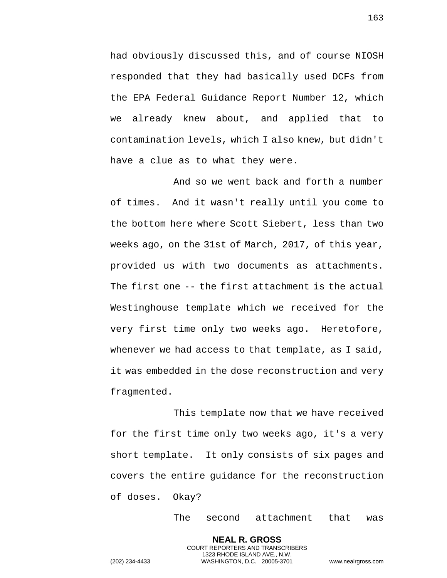had obviously discussed this, and of course NIOSH responded that they had basically used DCFs from the EPA Federal Guidance Report Number 12, which we already knew about, and applied that to contamination levels, which I also knew, but didn't have a clue as to what they were.

And so we went back and forth a number of times. And it wasn't really until you come to the bottom here where Scott Siebert, less than two weeks ago, on the 31st of March, 2017, of this year, provided us with two documents as attachments. The first one -- the first attachment is the actual Westinghouse template which we received for the very first time only two weeks ago. Heretofore, whenever we had access to that template, as I said, it was embedded in the dose reconstruction and very fragmented.

This template now that we have received for the first time only two weeks ago, it's a very short template. It only consists of six pages and covers the entire guidance for the reconstruction of doses. Okay?

> **NEAL R. GROSS** COURT REPORTERS AND TRANSCRIBERS 1323 RHODE ISLAND AVE., N.W.

The second attachment that was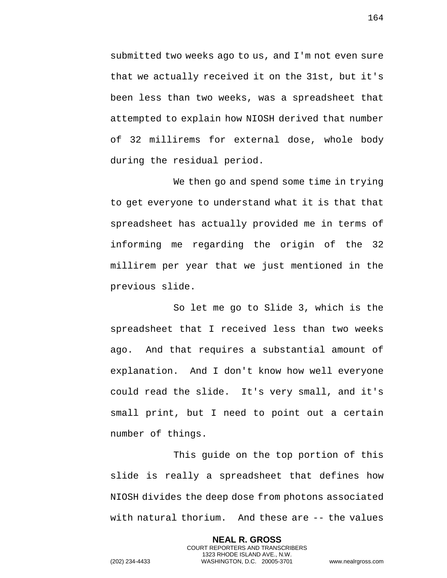submitted two weeks ago to us, and I'm not even sure that we actually received it on the 31st, but it's been less than two weeks, was a spreadsheet that attempted to explain how NIOSH derived that number of 32 millirems for external dose, whole body during the residual period.

We then go and spend some time in trying to get everyone to understand what it is that that spreadsheet has actually provided me in terms of informing me regarding the origin of the 32 millirem per year that we just mentioned in the previous slide.

So let me go to Slide 3, which is the spreadsheet that I received less than two weeks ago. And that requires a substantial amount of explanation. And I don't know how well everyone could read the slide. It's very small, and it's small print, but I need to point out a certain number of things.

This guide on the top portion of this slide is really a spreadsheet that defines how NIOSH divides the deep dose from photons associated with natural thorium. And these are -- the values

> **NEAL R. GROSS** COURT REPORTERS AND TRANSCRIBERS 1323 RHODE ISLAND AVE., N.W.

164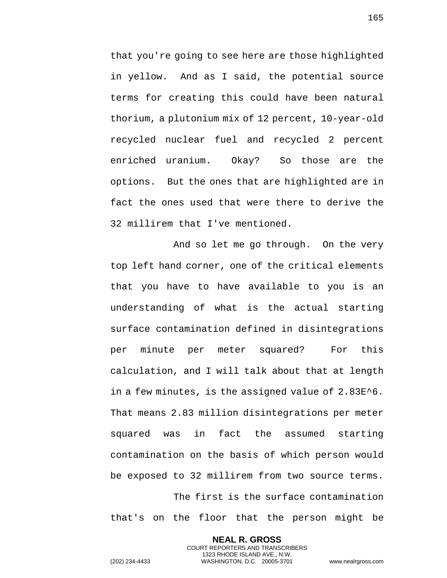that you're going to see here are those highlighted in yellow. And as I said, the potential source terms for creating this could have been natural thorium, a plutonium mix of 12 percent, 10-year-old recycled nuclear fuel and recycled 2 percent enriched uranium. Okay? So those are the options. But the ones that are highlighted are in fact the ones used that were there to derive the 32 millirem that I've mentioned.

And so let me go through. On the very top left hand corner, one of the critical elements that you have to have available to you is an understanding of what is the actual starting surface contamination defined in disintegrations per minute per meter squared? For this calculation, and I will talk about that at length in a few minutes, is the assigned value of 2.83E^6. That means 2.83 million disintegrations per meter squared was in fact the assumed starting contamination on the basis of which person would be exposed to 32 millirem from two source terms. The first is the surface contamination

that's on the floor that the person might be

**NEAL R. GROSS** COURT REPORTERS AND TRANSCRIBERS 1323 RHODE ISLAND AVE., N.W.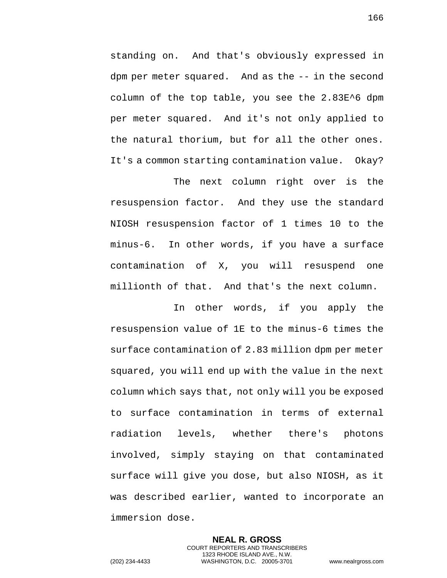standing on. And that's obviously expressed in dpm per meter squared. And as the -- in the second column of the top table, you see the 2.83E^6 dpm per meter squared. And it's not only applied to the natural thorium, but for all the other ones. It's a common starting contamination value. Okay?

The next column right over is the resuspension factor. And they use the standard NIOSH resuspension factor of 1 times 10 to the minus-6. In other words, if you have a surface contamination of X, you will resuspend one millionth of that. And that's the next column.

In other words, if you apply the resuspension value of 1E to the minus-6 times the surface contamination of 2.83 million dpm per meter squared, you will end up with the value in the next column which says that, not only will you be exposed to surface contamination in terms of external radiation levels, whether there's photons involved, simply staying on that contaminated surface will give you dose, but also NIOSH, as it was described earlier, wanted to incorporate an immersion dose.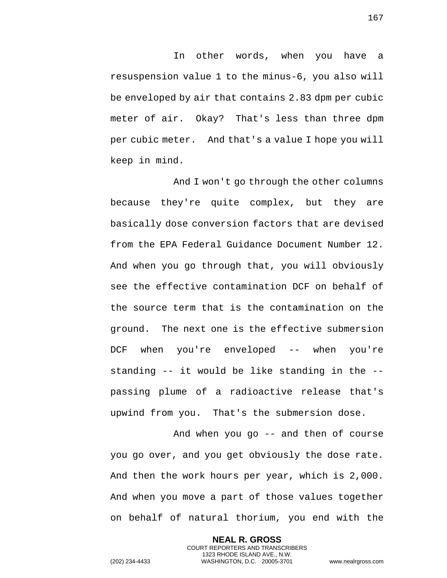In other words, when you have a resuspension value 1 to the minus-6, you also will be enveloped by air that contains 2.83 dpm per cubic meter of air. Okay? That's less than three dpm per cubic meter. And that's a value I hope you will keep in mind.

And I won't go through the other columns because they're quite complex, but they are basically dose conversion factors that are devised from the EPA Federal Guidance Document Number 12. And when you go through that, you will obviously see the effective contamination DCF on behalf of the source term that is the contamination on the ground. The next one is the effective submersion DCF when you're enveloped -- when you're standing -- it would be like standing in the - passing plume of a radioactive release that's upwind from you. That's the submersion dose.

And when you go -- and then of course you go over, and you get obviously the dose rate. And then the work hours per year, which is 2,000. And when you move a part of those values together on behalf of natural thorium, you end with the

> **NEAL R. GROSS** COURT REPORTERS AND TRANSCRIBERS 1323 RHODE ISLAND AVE., N.W.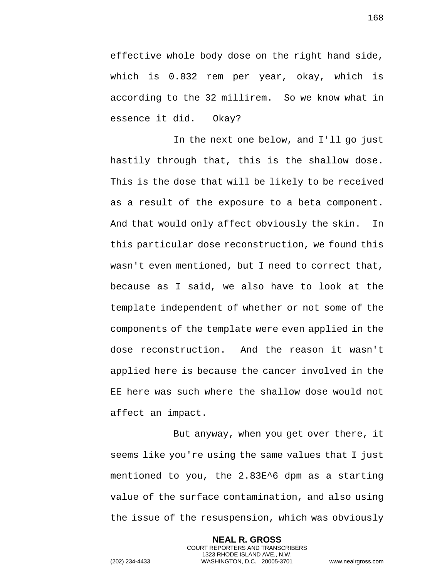effective whole body dose on the right hand side, which is 0.032 rem per year, okay, which is according to the 32 millirem. So we know what in essence it did. Okay?

In the next one below, and I'll go just hastily through that, this is the shallow dose. This is the dose that will be likely to be received as a result of the exposure to a beta component. And that would only affect obviously the skin. In this particular dose reconstruction, we found this wasn't even mentioned, but I need to correct that, because as I said, we also have to look at the template independent of whether or not some of the components of the template were even applied in the dose reconstruction. And the reason it wasn't applied here is because the cancer involved in the EE here was such where the shallow dose would not affect an impact.

But anyway, when you get over there, it seems like you're using the same values that I just mentioned to you, the 2.83E^6 dpm as a starting value of the surface contamination, and also using the issue of the resuspension, which was obviously

> **NEAL R. GROSS** COURT REPORTERS AND TRANSCRIBERS 1323 RHODE ISLAND AVE., N.W.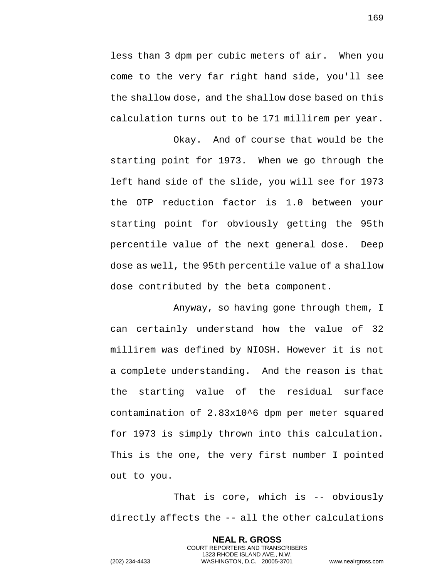less than 3 dpm per cubic meters of air. When you come to the very far right hand side, you'll see the shallow dose, and the shallow dose based on this calculation turns out to be 171 millirem per year.

Okay. And of course that would be the starting point for 1973. When we go through the left hand side of the slide, you will see for 1973 the OTP reduction factor is 1.0 between your starting point for obviously getting the 95th percentile value of the next general dose. Deep dose as well, the 95th percentile value of a shallow dose contributed by the beta component.

Anyway, so having gone through them, I can certainly understand how the value of 32 millirem was defined by NIOSH. However it is not a complete understanding. And the reason is that the starting value of the residual surface contamination of 2.83x10^6 dpm per meter squared for 1973 is simply thrown into this calculation. This is the one, the very first number I pointed out to you.

That is core, which is -- obviously directly affects the -- all the other calculations

> **NEAL R. GROSS** COURT REPORTERS AND TRANSCRIBERS 1323 RHODE ISLAND AVE., N.W.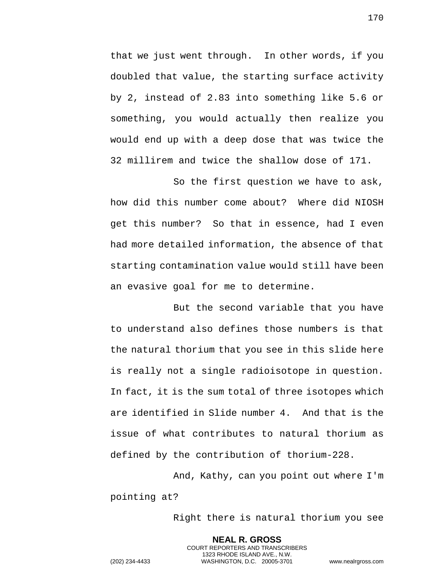that we just went through. In other words, if you doubled that value, the starting surface activity by 2, instead of 2.83 into something like 5.6 or something, you would actually then realize you would end up with a deep dose that was twice the 32 millirem and twice the shallow dose of 171.

So the first question we have to ask, how did this number come about? Where did NIOSH get this number? So that in essence, had I even had more detailed information, the absence of that starting contamination value would still have been an evasive goal for me to determine.

But the second variable that you have to understand also defines those numbers is that the natural thorium that you see in this slide here is really not a single radioisotope in question. In fact, it is the sum total of three isotopes which are identified in Slide number 4. And that is the issue of what contributes to natural thorium as defined by the contribution of thorium-228.

And, Kathy, can you point out where I'm pointing at?

> **NEAL R. GROSS** COURT REPORTERS AND TRANSCRIBERS 1323 RHODE ISLAND AVE., N.W.

Right there is natural thorium you see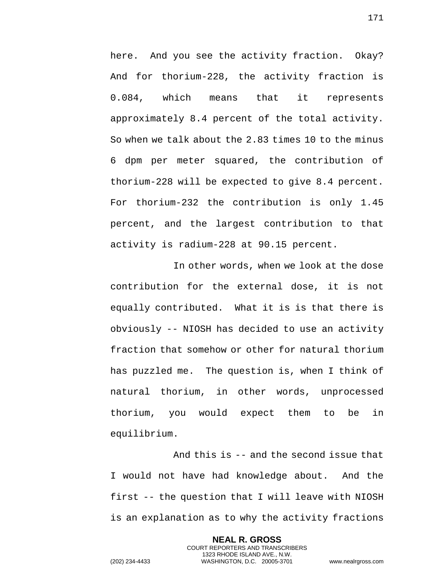here. And you see the activity fraction. Okay? And for thorium-228, the activity fraction is 0.084, which means that it represents approximately 8.4 percent of the total activity. So when we talk about the 2.83 times 10 to the minus 6 dpm per meter squared, the contribution of thorium-228 will be expected to give 8.4 percent. For thorium-232 the contribution is only 1.45 percent, and the largest contribution to that activity is radium-228 at 90.15 percent.

In other words, when we look at the dose contribution for the external dose, it is not equally contributed. What it is is that there is obviously -- NIOSH has decided to use an activity fraction that somehow or other for natural thorium has puzzled me. The question is, when I think of natural thorium, in other words, unprocessed thorium, you would expect them to be in equilibrium.

And this is -- and the second issue that I would not have had knowledge about. And the first -- the question that I will leave with NIOSH is an explanation as to why the activity fractions

> **NEAL R. GROSS** COURT REPORTERS AND TRANSCRIBERS 1323 RHODE ISLAND AVE., N.W.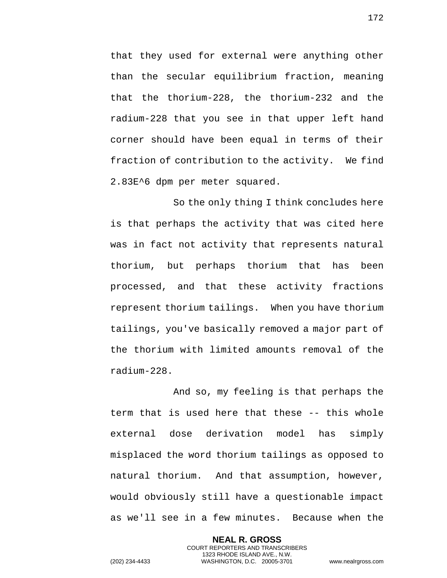that they used for external were anything other than the secular equilibrium fraction, meaning that the thorium-228, the thorium-232 and the radium-228 that you see in that upper left hand corner should have been equal in terms of their fraction of contribution to the activity. We find 2.83E^6 dpm per meter squared.

So the only thing I think concludes here is that perhaps the activity that was cited here was in fact not activity that represents natural thorium, but perhaps thorium that has been processed, and that these activity fractions represent thorium tailings. When you have thorium tailings, you've basically removed a major part of the thorium with limited amounts removal of the radium-228.

And so, my feeling is that perhaps the term that is used here that these -- this whole external dose derivation model has simply misplaced the word thorium tailings as opposed to natural thorium. And that assumption, however, would obviously still have a questionable impact as we'll see in a few minutes. Because when the

> **NEAL R. GROSS** COURT REPORTERS AND TRANSCRIBERS 1323 RHODE ISLAND AVE., N.W.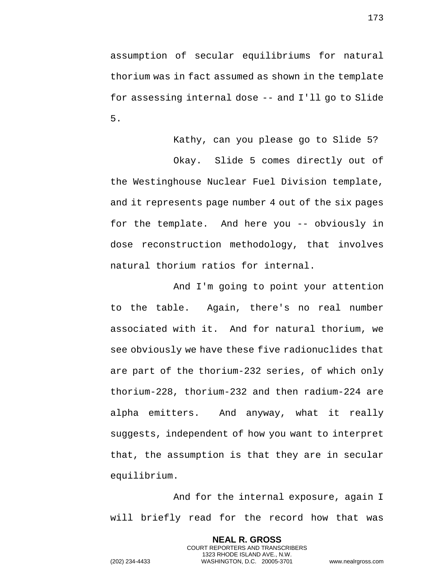assumption of secular equilibriums for natural thorium was in fact assumed as shown in the template for assessing internal dose -- and I'll go to Slide 5.

Kathy, can you please go to Slide 5?

Okay. Slide 5 comes directly out of the Westinghouse Nuclear Fuel Division template, and it represents page number 4 out of the six pages for the template. And here you -- obviously in dose reconstruction methodology, that involves natural thorium ratios for internal.

And I'm going to point your attention to the table. Again, there's no real number associated with it. And for natural thorium, we see obviously we have these five radionuclides that are part of the thorium-232 series, of which only thorium-228, thorium-232 and then radium-224 are alpha emitters. And anyway, what it really suggests, independent of how you want to interpret that, the assumption is that they are in secular equilibrium.

And for the internal exposure, again I will briefly read for the record how that was

> **NEAL R. GROSS** COURT REPORTERS AND TRANSCRIBERS 1323 RHODE ISLAND AVE., N.W.

173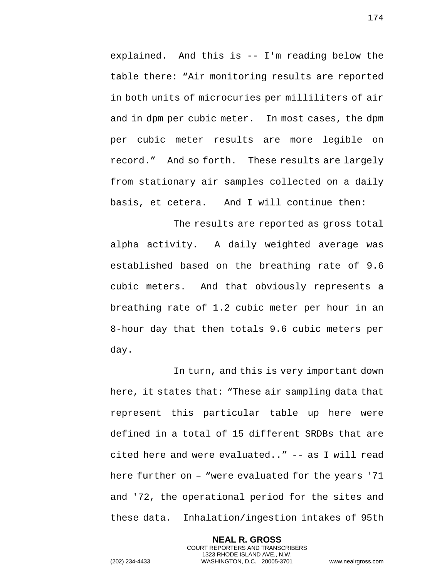explained. And this is -- I'm reading below the table there: "Air monitoring results are reported in both units of microcuries per milliliters of air and in dpm per cubic meter. In most cases, the dpm per cubic meter results are more legible on record." And so forth. These results are largely from stationary air samples collected on a daily basis, et cetera. And I will continue then:

The results are reported as gross total alpha activity. A daily weighted average was established based on the breathing rate of 9.6 cubic meters. And that obviously represents a breathing rate of 1.2 cubic meter per hour in an 8-hour day that then totals 9.6 cubic meters per day.

In turn, and this is very important down here, it states that: "These air sampling data that represent this particular table up here were defined in a total of 15 different SRDBs that are cited here and were evaluated.." -- as I will read here further on – "were evaluated for the years '71 and '72, the operational period for the sites and these data. Inhalation/ingestion intakes of 95th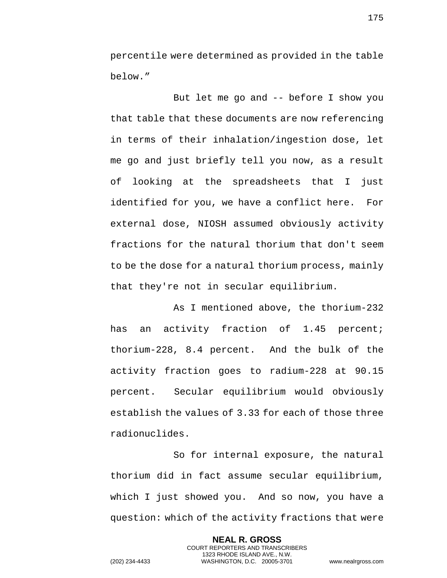percentile were determined as provided in the table below."

But let me go and -- before I show you that table that these documents are now referencing in terms of their inhalation/ingestion dose, let me go and just briefly tell you now, as a result of looking at the spreadsheets that I just identified for you, we have a conflict here. For external dose, NIOSH assumed obviously activity fractions for the natural thorium that don't seem to be the dose for a natural thorium process, mainly that they're not in secular equilibrium.

As I mentioned above, the thorium-232 has an activity fraction of 1.45 percent; thorium-228, 8.4 percent. And the bulk of the activity fraction goes to radium-228 at 90.15 percent. Secular equilibrium would obviously establish the values of 3.33 for each of those three radionuclides.

So for internal exposure, the natural thorium did in fact assume secular equilibrium, which I just showed you. And so now, you have a question: which of the activity fractions that were

> **NEAL R. GROSS** COURT REPORTERS AND TRANSCRIBERS 1323 RHODE ISLAND AVE., N.W.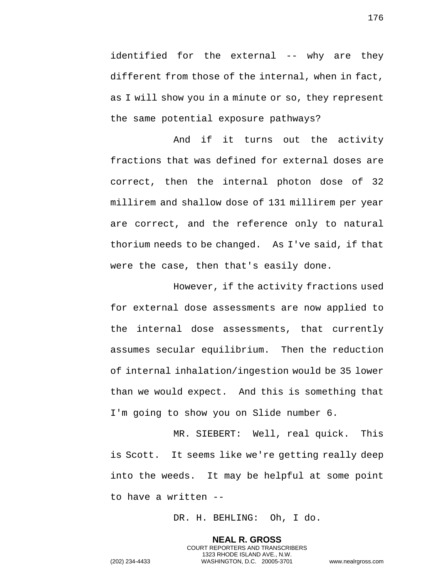identified for the external -- why are they different from those of the internal, when in fact, as I will show you in a minute or so, they represent the same potential exposure pathways?

And if it turns out the activity fractions that was defined for external doses are correct, then the internal photon dose of 32 millirem and shallow dose of 131 millirem per year are correct, and the reference only to natural thorium needs to be changed. As I've said, if that were the case, then that's easily done.

However, if the activity fractions used for external dose assessments are now applied to the internal dose assessments, that currently assumes secular equilibrium. Then the reduction of internal inhalation/ingestion would be 35 lower than we would expect. And this is something that I'm going to show you on Slide number 6.

MR. SIEBERT: Well, real quick. This is Scott. It seems like we're getting really deep into the weeds. It may be helpful at some point to have a written --

DR. H. BEHLING: Oh, I do.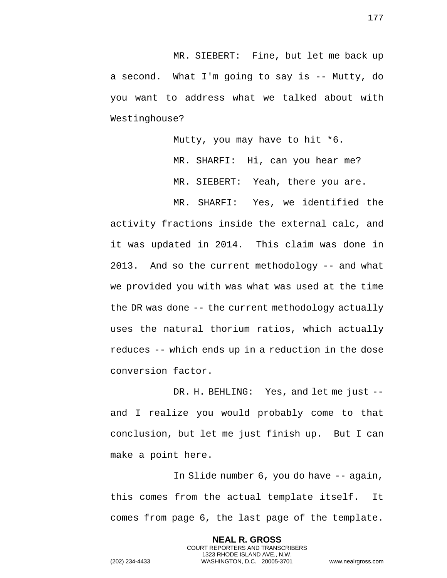MR. SIEBERT: Fine, but let me back up a second. What I'm going to say is -- Mutty, do you want to address what we talked about with Westinghouse?

Mutty, you may have to hit \*6.

MR. SHARFI: Hi, can you hear me? MR. SIEBERT: Yeah, there you are.

MR. SHARFI: Yes, we identified the

activity fractions inside the external calc, and it was updated in 2014. This claim was done in 2013. And so the current methodology -- and what we provided you with was what was used at the time the DR was done -- the current methodology actually uses the natural thorium ratios, which actually reduces -- which ends up in a reduction in the dose conversion factor.

DR. H. BEHLING: Yes, and let me just - and I realize you would probably come to that conclusion, but let me just finish up. But I can make a point here.

In Slide number 6, you do have -- again, this comes from the actual template itself. It comes from page 6, the last page of the template.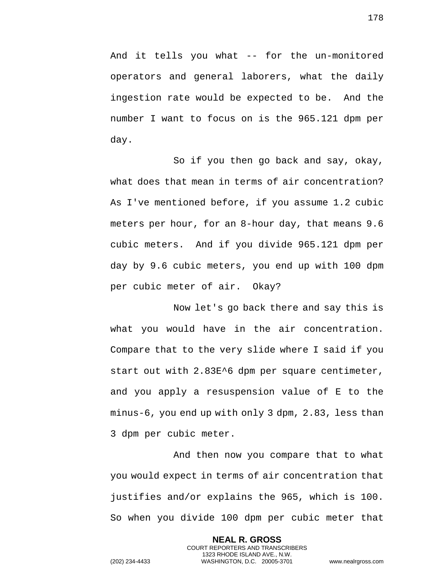And it tells you what -- for the un-monitored operators and general laborers, what the daily ingestion rate would be expected to be. And the number I want to focus on is the 965.121 dpm per day.

So if you then go back and say, okay, what does that mean in terms of air concentration? As I've mentioned before, if you assume 1.2 cubic meters per hour, for an 8-hour day, that means 9.6 cubic meters. And if you divide 965.121 dpm per day by 9.6 cubic meters, you end up with 100 dpm per cubic meter of air. Okay?

Now let's go back there and say this is what you would have in the air concentration. Compare that to the very slide where I said if you start out with 2.83E^6 dpm per square centimeter, and you apply a resuspension value of E to the minus-6, you end up with only 3 dpm, 2.83, less than 3 dpm per cubic meter.

And then now you compare that to what you would expect in terms of air concentration that justifies and/or explains the 965, which is 100. So when you divide 100 dpm per cubic meter that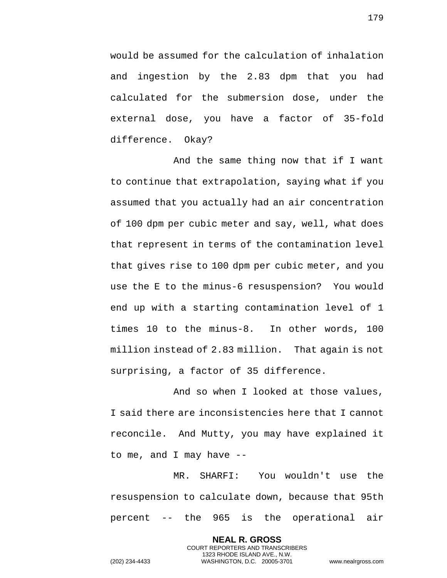would be assumed for the calculation of inhalation and ingestion by the 2.83 dpm that you had calculated for the submersion dose, under the external dose, you have a factor of 35-fold difference. Okay?

And the same thing now that if I want to continue that extrapolation, saying what if you assumed that you actually had an air concentration of 100 dpm per cubic meter and say, well, what does that represent in terms of the contamination level that gives rise to 100 dpm per cubic meter, and you use the E to the minus-6 resuspension? You would end up with a starting contamination level of 1 times 10 to the minus-8. In other words, 100 million instead of 2.83 million. That again is not surprising, a factor of 35 difference.

And so when I looked at those values, I said there are inconsistencies here that I cannot reconcile. And Mutty, you may have explained it to me, and I may have --

MR. SHARFI: You wouldn't use the resuspension to calculate down, because that 95th percent -- the 965 is the operational air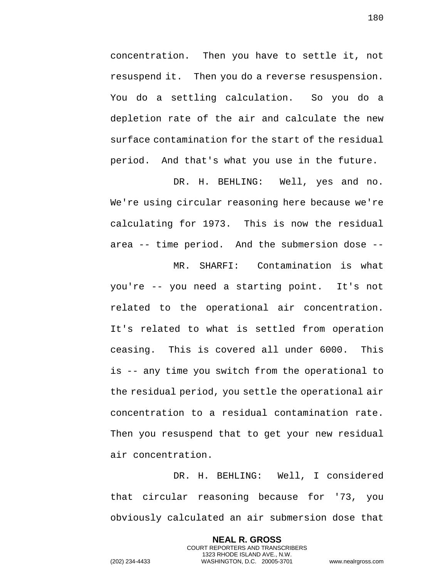concentration. Then you have to settle it, not resuspend it. Then you do a reverse resuspension. You do a settling calculation. So you do a depletion rate of the air and calculate the new surface contamination for the start of the residual period. And that's what you use in the future.

DR. H. BEHLING: Well, yes and no. We're using circular reasoning here because we're calculating for 1973. This is now the residual area -- time period. And the submersion dose --

MR. SHARFI: Contamination is what you're -- you need a starting point. It's not related to the operational air concentration. It's related to what is settled from operation ceasing. This is covered all under 6000. This is -- any time you switch from the operational to the residual period, you settle the operational air concentration to a residual contamination rate. Then you resuspend that to get your new residual air concentration.

DR. H. BEHLING: Well, I considered that circular reasoning because for '73, you obviously calculated an air submersion dose that

> **NEAL R. GROSS** COURT REPORTERS AND TRANSCRIBERS 1323 RHODE ISLAND AVE., N.W.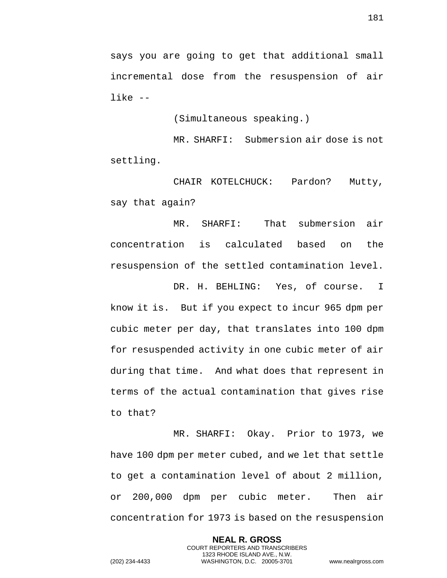says you are going to get that additional small incremental dose from the resuspension of air like --

(Simultaneous speaking.)

MR. SHARFI: Submersion air dose is not settling.

CHAIR KOTELCHUCK: Pardon? Mutty, say that again?

MR. SHARFI: That submersion air concentration is calculated based on the resuspension of the settled contamination level.

DR. H. BEHLING: Yes, of course. I know it is. But if you expect to incur 965 dpm per cubic meter per day, that translates into 100 dpm for resuspended activity in one cubic meter of air during that time. And what does that represent in terms of the actual contamination that gives rise to that?

MR. SHARFI: Okay. Prior to 1973, we have 100 dpm per meter cubed, and we let that settle to get a contamination level of about 2 million, or 200,000 dpm per cubic meter. Then air concentration for 1973 is based on the resuspension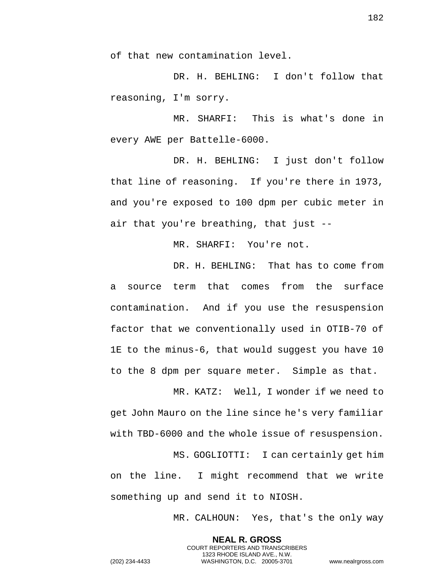of that new contamination level.

DR. H. BEHLING: I don't follow that reasoning, I'm sorry.

MR. SHARFI: This is what's done in every AWE per Battelle-6000.

DR. H. BEHLING: I just don't follow that line of reasoning. If you're there in 1973, and you're exposed to 100 dpm per cubic meter in air that you're breathing, that just --

MR. SHARFI: You're not.

DR. H. BEHLING: That has to come from a source term that comes from the surface contamination. And if you use the resuspension factor that we conventionally used in OTIB-70 of 1E to the minus-6, that would suggest you have 10 to the 8 dpm per square meter. Simple as that.

MR. KATZ: Well, I wonder if we need to get John Mauro on the line since he's very familiar with TBD-6000 and the whole issue of resuspension.

MS. GOGLIOTTI: I can certainly get him on the line. I might recommend that we write something up and send it to NIOSH.

> **NEAL R. GROSS** COURT REPORTERS AND TRANSCRIBERS 1323 RHODE ISLAND AVE., N.W.

MR. CALHOUN: Yes, that's the only way

182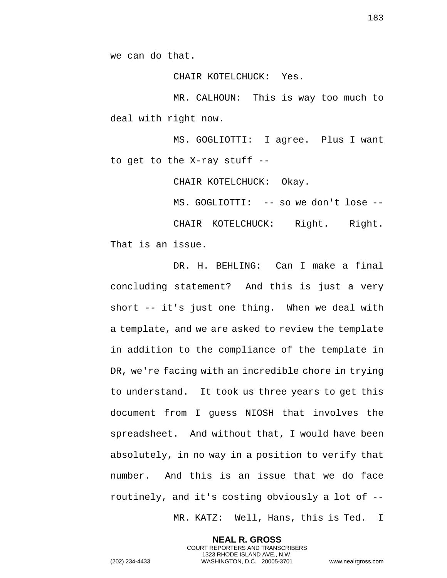we can do that.

CHAIR KOTELCHUCK: Yes.

MR. CALHOUN: This is way too much to deal with right now.

MS. GOGLIOTTI: I agree. Plus I want to get to the X-ray stuff --

CHAIR KOTELCHUCK: Okay.

MS. GOGLIOTTI: -- so we don't lose --

CHAIR KOTELCHUCK: Right. Right. That is an issue.

DR. H. BEHLING: Can I make a final concluding statement? And this is just a very short -- it's just one thing. When we deal with a template, and we are asked to review the template in addition to the compliance of the template in DR, we're facing with an incredible chore in trying to understand. It took us three years to get this document from I guess NIOSH that involves the spreadsheet. And without that, I would have been absolutely, in no way in a position to verify that number. And this is an issue that we do face routinely, and it's costing obviously a lot of --

MR. KATZ: Well, Hans, this is Ted. I

**NEAL R. GROSS** COURT REPORTERS AND TRANSCRIBERS 1323 RHODE ISLAND AVE., N.W. (202) 234-4433 WASHINGTON, D.C. 20005-3701 www.nealrgross.com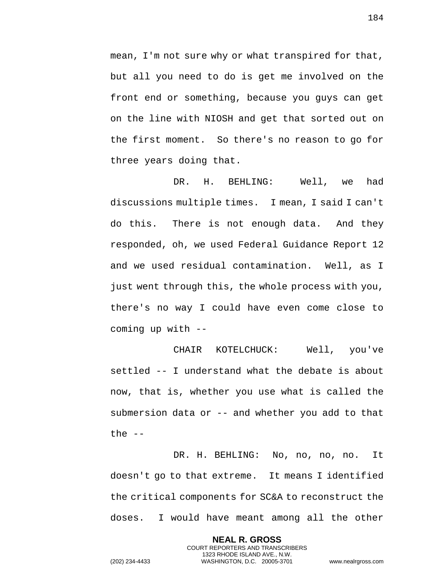mean, I'm not sure why or what transpired for that, but all you need to do is get me involved on the front end or something, because you guys can get on the line with NIOSH and get that sorted out on the first moment. So there's no reason to go for three years doing that.

DR. H. BEHLING: Well, we had discussions multiple times. I mean, I said I can't do this. There is not enough data. And they responded, oh, we used Federal Guidance Report 12 and we used residual contamination. Well, as I just went through this, the whole process with you, there's no way I could have even come close to coming up with --

CHAIR KOTELCHUCK: Well, you've settled -- I understand what the debate is about now, that is, whether you use what is called the submersion data or -- and whether you add to that the  $--$ 

DR. H. BEHLING: No, no, no, no. It doesn't go to that extreme. It means I identified the critical components for SC&A to reconstruct the doses. I would have meant among all the other

> **NEAL R. GROSS** COURT REPORTERS AND TRANSCRIBERS 1323 RHODE ISLAND AVE., N.W.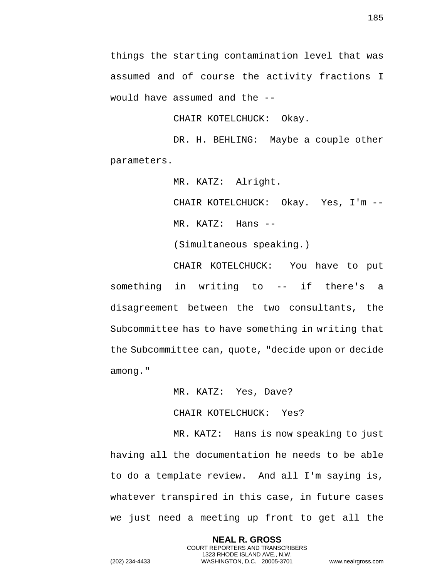things the starting contamination level that was assumed and of course the activity fractions I would have assumed and the --

CHAIR KOTELCHUCK: Okay.

DR. H. BEHLING: Maybe a couple other parameters.

MR. KATZ: Alright.

CHAIR KOTELCHUCK: Okay. Yes, I'm -- MR. KATZ: Hans --

(Simultaneous speaking.)

CHAIR KOTELCHUCK: You have to put something in writing to -- if there's a disagreement between the two consultants, the Subcommittee has to have something in writing that the Subcommittee can, quote, "decide upon or decide among."

MR. KATZ: Yes, Dave?

CHAIR KOTELCHUCK: Yes?

MR. KATZ: Hans is now speaking to just having all the documentation he needs to be able to do a template review. And all I'm saying is, whatever transpired in this case, in future cases we just need a meeting up front to get all the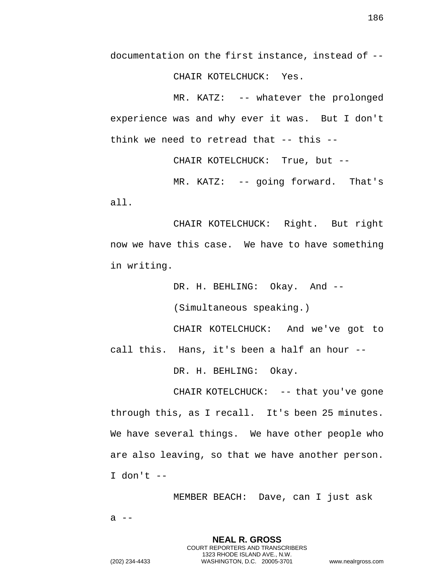documentation on the first instance, instead of -- CHAIR KOTELCHUCK: Yes.

MR. KATZ: -- whatever the prolonged experience was and why ever it was. But I don't think we need to retread that -- this --

CHAIR KOTELCHUCK: True, but --

MR. KATZ: -- going forward. That's all.

CHAIR KOTELCHUCK: Right. But right now we have this case. We have to have something in writing.

DR. H. BEHLING: Okay. And --

(Simultaneous speaking.)

CHAIR KOTELCHUCK: And we've got to call this. Hans, it's been a half an hour --

DR. H. BEHLING: Okay.

CHAIR KOTELCHUCK: -- that you've gone through this, as I recall. It's been 25 minutes. We have several things. We have other people who are also leaving, so that we have another person. I don't --

> **NEAL R. GROSS** COURT REPORTERS AND TRANSCRIBERS 1323 RHODE ISLAND AVE., N.W.

MEMBER BEACH: Dave, can I just ask

 $a$  --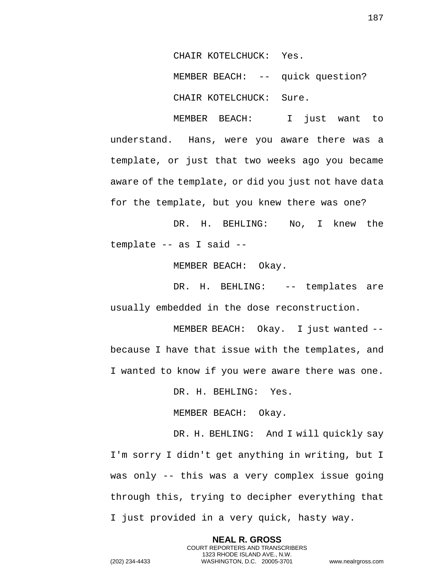CHAIR KOTELCHUCK: Yes.

MEMBER BEACH: -- quick question?

CHAIR KOTELCHUCK: Sure.

MEMBER BEACH: I just want to understand. Hans, were you aware there was a template, or just that two weeks ago you became aware of the template, or did you just not have data for the template, but you knew there was one?

DR. H. BEHLING: No, I knew the template -- as I said --

MEMBER BEACH: Okay.

DR. H. BEHLING: -- templates are usually embedded in the dose reconstruction.

MEMBER BEACH: Okay. I just wanted - because I have that issue with the templates, and I wanted to know if you were aware there was one.

DR. H. BEHLING: Yes.

MEMBER BEACH: Okay.

DR. H. BEHLING: And I will quickly say I'm sorry I didn't get anything in writing, but I was only -- this was a very complex issue going through this, trying to decipher everything that I just provided in a very quick, hasty way.

> **NEAL R. GROSS** COURT REPORTERS AND TRANSCRIBERS 1323 RHODE ISLAND AVE., N.W.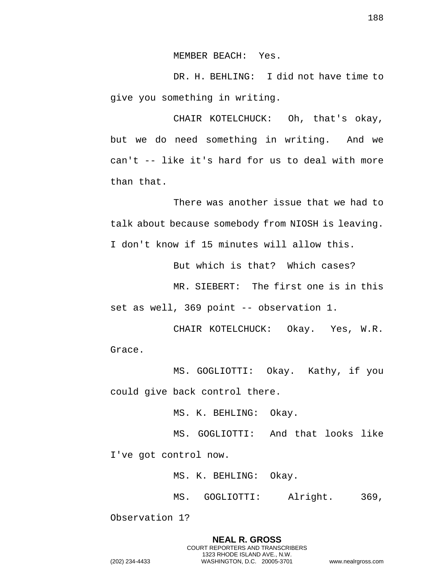MEMBER BEACH: Yes.

DR. H. BEHLING: I did not have time to give you something in writing.

CHAIR KOTELCHUCK: Oh, that's okay, but we do need something in writing. And we can't -- like it's hard for us to deal with more than that.

There was another issue that we had to talk about because somebody from NIOSH is leaving. I don't know if 15 minutes will allow this.

But which is that? Which cases?

MR. SIEBERT: The first one is in this set as well, 369 point -- observation 1.

CHAIR KOTELCHUCK: Okay. Yes, W.R. Grace.

MS. GOGLIOTTI: Okay. Kathy, if you could give back control there.

MS. K. BEHLING: Okay.

MS. GOGLIOTTI: And that looks like I've got control now.

MS. K. BEHLING: Okay.

MS. GOGLIOTTI: Alright. 369,

Observation 1?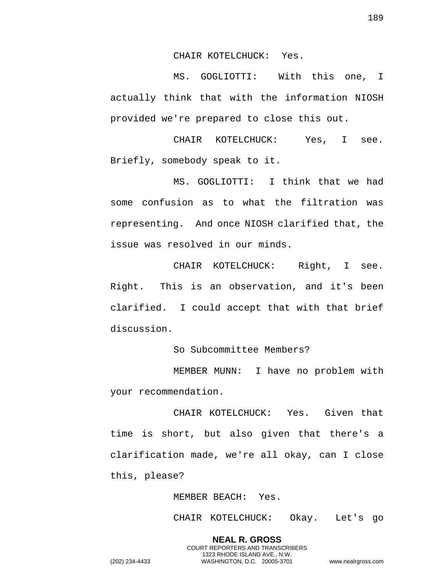CHAIR KOTELCHUCK: Yes.

MS. GOGLIOTTI: With this one, I actually think that with the information NIOSH provided we're prepared to close this out.

CHAIR KOTELCHUCK: Yes, I see. Briefly, somebody speak to it.

MS. GOGLIOTTI: I think that we had some confusion as to what the filtration was representing. And once NIOSH clarified that, the issue was resolved in our minds.

CHAIR KOTELCHUCK: Right, I see. Right. This is an observation, and it's been clarified. I could accept that with that brief discussion.

So Subcommittee Members?

MEMBER MUNN: I have no problem with your recommendation.

CHAIR KOTELCHUCK: Yes. Given that time is short, but also given that there's a clarification made, we're all okay, can I close this, please?

MEMBER BEACH: Yes.

CHAIR KOTELCHUCK: Okay. Let's go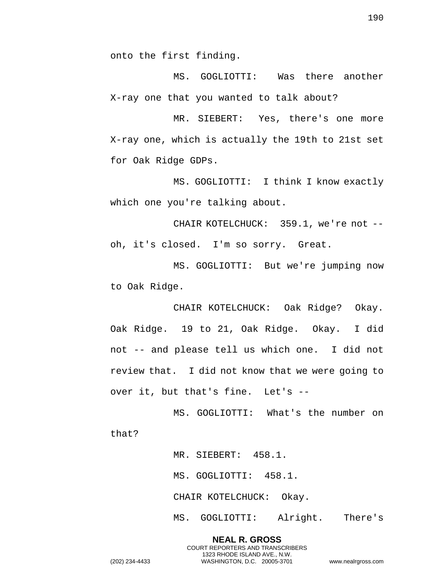onto the first finding.

MS. GOGLIOTTI: Was there another X-ray one that you wanted to talk about?

MR. SIEBERT: Yes, there's one more X-ray one, which is actually the 19th to 21st set for Oak Ridge GDPs.

MS. GOGLIOTTI: I think I know exactly which one you're talking about.

CHAIR KOTELCHUCK: 359.1, we're not - oh, it's closed. I'm so sorry. Great.

MS. GOGLIOTTI: But we're jumping now to Oak Ridge.

CHAIR KOTELCHUCK: Oak Ridge? Okay. Oak Ridge. 19 to 21, Oak Ridge. Okay. I did not -- and please tell us which one. I did not review that. I did not know that we were going to over it, but that's fine. Let's --

MS. GOGLIOTTI: What's the number on that?

> MR. SIEBERT: 458.1. MS. GOGLIOTTI: 458.1. CHAIR KOTELCHUCK: Okay. MS. GOGLIOTTI: Alright. There's

**NEAL R. GROSS** COURT REPORTERS AND TRANSCRIBERS 1323 RHODE ISLAND AVE., N.W. (202) 234-4433 WASHINGTON, D.C. 20005-3701 www.nealrgross.com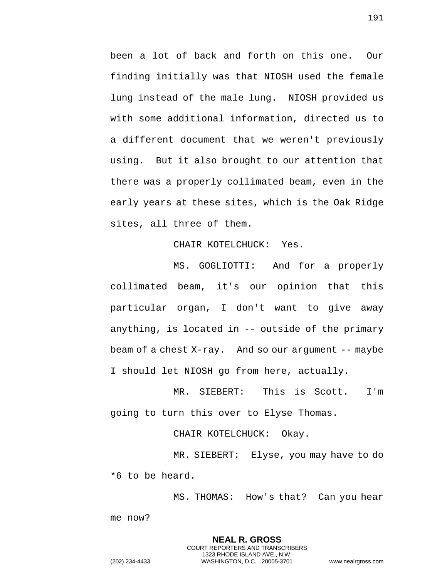been a lot of back and forth on this one. Our finding initially was that NIOSH used the female lung instead of the male lung. NIOSH provided us with some additional information, directed us to a different document that we weren't previously using. But it also brought to our attention that there was a properly collimated beam, even in the early years at these sites, which is the Oak Ridge sites, all three of them.

## CHAIR KOTELCHUCK: Yes.

MS. GOGLIOTTI: And for a properly collimated beam, it's our opinion that this particular organ, I don't want to give away anything, is located in -- outside of the primary beam of a chest X-ray. And so our argument -- maybe I should let NIOSH go from here, actually.

MR. SIEBERT: This is Scott. I'm going to turn this over to Elyse Thomas.

CHAIR KOTELCHUCK: Okay.

MR. SIEBERT: Elyse, you may have to do \*6 to be heard.

> **NEAL R. GROSS** COURT REPORTERS AND TRANSCRIBERS 1323 RHODE ISLAND AVE., N.W.

MS. THOMAS: How's that? Can you hear me now?

191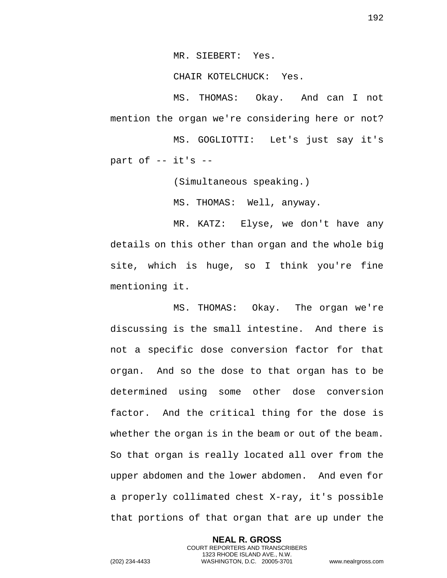MR. SIEBERT: Yes.

CHAIR KOTELCHUCK: Yes.

MS. THOMAS: Okay. And can I not mention the organ we're considering here or not?

MS. GOGLIOTTI: Let's just say it's part of  $-$  it's  $-$ 

(Simultaneous speaking.)

MS. THOMAS: Well, anyway.

MR. KATZ: Elyse, we don't have any details on this other than organ and the whole big site, which is huge, so I think you're fine mentioning it.

MS. THOMAS: Okay. The organ we're discussing is the small intestine. And there is not a specific dose conversion factor for that organ. And so the dose to that organ has to be determined using some other dose conversion factor. And the critical thing for the dose is whether the organ is in the beam or out of the beam. So that organ is really located all over from the upper abdomen and the lower abdomen. And even for a properly collimated chest X-ray, it's possible that portions of that organ that are up under the

> **NEAL R. GROSS** COURT REPORTERS AND TRANSCRIBERS 1323 RHODE ISLAND AVE., N.W.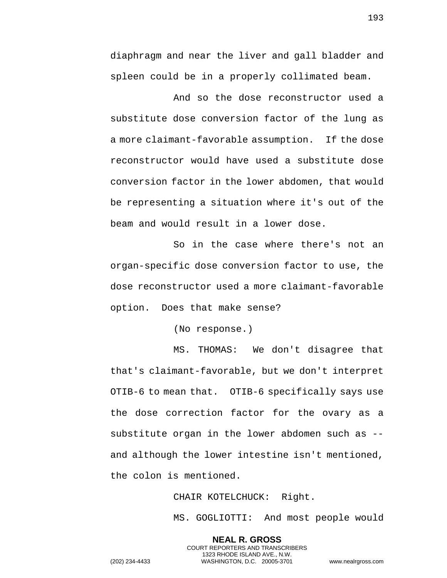diaphragm and near the liver and gall bladder and spleen could be in a properly collimated beam.

And so the dose reconstructor used a substitute dose conversion factor of the lung as a more claimant-favorable assumption. If the dose reconstructor would have used a substitute dose conversion factor in the lower abdomen, that would be representing a situation where it's out of the beam and would result in a lower dose.

So in the case where there's not an organ-specific dose conversion factor to use, the dose reconstructor used a more claimant-favorable option. Does that make sense?

(No response.)

MS. THOMAS: We don't disagree that that's claimant-favorable, but we don't interpret OTIB-6 to mean that. OTIB-6 specifically says use the dose correction factor for the ovary as a substitute organ in the lower abdomen such as - and although the lower intestine isn't mentioned, the colon is mentioned.

CHAIR KOTELCHUCK: Right.

**NEAL R. GROSS** COURT REPORTERS AND TRANSCRIBERS 1323 RHODE ISLAND AVE., N.W.

MS. GOGLIOTTI: And most people would

193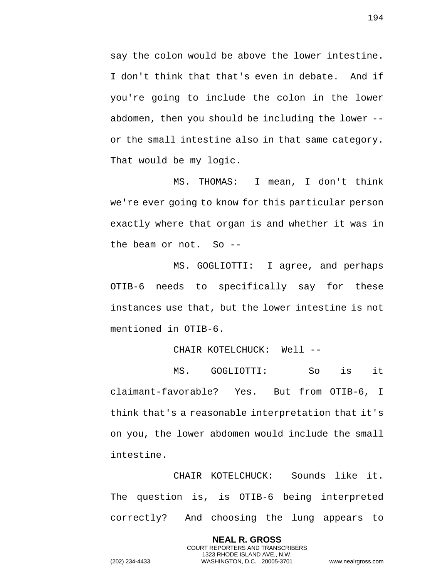say the colon would be above the lower intestine. I don't think that that's even in debate. And if you're going to include the colon in the lower abdomen, then you should be including the lower - or the small intestine also in that same category. That would be my logic.

MS. THOMAS: I mean, I don't think we're ever going to know for this particular person exactly where that organ is and whether it was in the beam or not. So --

MS. GOGLIOTTI: I agree, and perhaps OTIB-6 needs to specifically say for these instances use that, but the lower intestine is not mentioned in OTIB-6.

## CHAIR KOTELCHUCK: Well --

MS. GOGLIOTTI: So is it claimant-favorable? Yes. But from OTIB-6, I think that's a reasonable interpretation that it's on you, the lower abdomen would include the small intestine.

CHAIR KOTELCHUCK: Sounds like it. The question is, is OTIB-6 being interpreted correctly? And choosing the lung appears to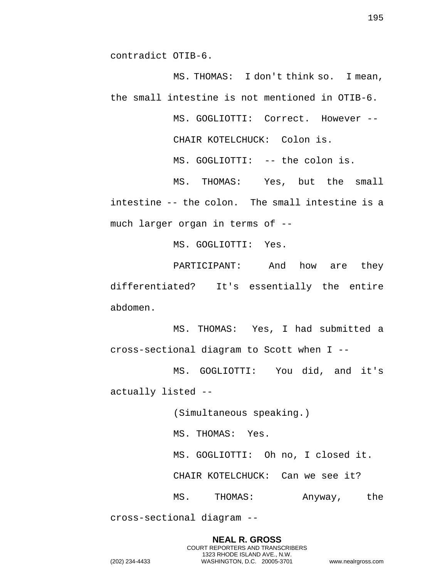contradict OTIB-6.

MS. THOMAS: I don't think so. I mean, the small intestine is not mentioned in OTIB-6.

MS. GOGLIOTTI: Correct. However --

CHAIR KOTELCHUCK: Colon is.

MS. GOGLIOTTI: -- the colon is.

MS. THOMAS: Yes, but the small intestine -- the colon. The small intestine is a much larger organ in terms of --

MS. GOGLIOTTI: Yes.

PARTICIPANT: And how are they differentiated? It's essentially the entire abdomen.

MS. THOMAS: Yes, I had submitted a cross-sectional diagram to Scott when I --

MS. GOGLIOTTI: You did, and it's actually listed --

(Simultaneous speaking.)

MS. THOMAS: Yes.

MS. GOGLIOTTI: Oh no, I closed it.

CHAIR KOTELCHUCK: Can we see it?

MS. THOMAS: Anyway, the

cross-sectional diagram --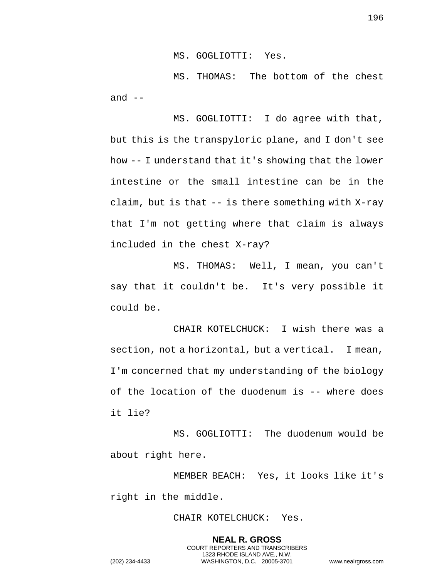MS. GOGLIOTTI: Yes.

MS. THOMAS: The bottom of the chest and  $--$ 

MS. GOGLIOTTI: I do agree with that, but this is the transpyloric plane, and I don't see how -- I understand that it's showing that the lower intestine or the small intestine can be in the claim, but is that -- is there something with X-ray that I'm not getting where that claim is always included in the chest X-ray?

MS. THOMAS: Well, I mean, you can't say that it couldn't be. It's very possible it could be.

CHAIR KOTELCHUCK: I wish there was a section, not a horizontal, but a vertical. I mean, I'm concerned that my understanding of the biology of the location of the duodenum is -- where does it lie?

MS. GOGLIOTTI: The duodenum would be about right here.

MEMBER BEACH: Yes, it looks like it's right in the middle.

CHAIR KOTELCHUCK: Yes.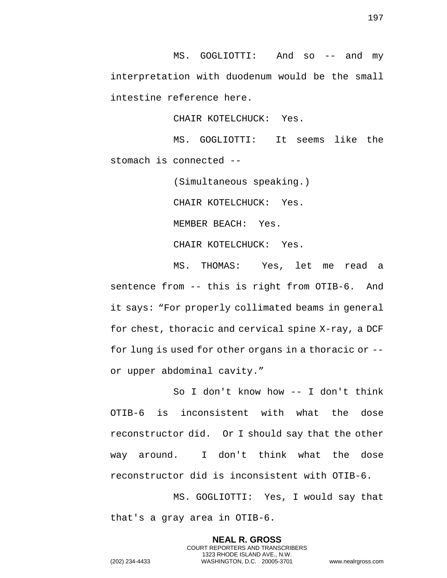MS. GOGLIOTTI: And so -- and my interpretation with duodenum would be the small intestine reference here.

CHAIR KOTELCHUCK: Yes.

MS. GOGLIOTTI: It seems like the stomach is connected --

(Simultaneous speaking.)

CHAIR KOTELCHUCK: Yes.

MEMBER BEACH: Yes.

CHAIR KOTELCHUCK: Yes.

MS. THOMAS: Yes, let me read a sentence from -- this is right from OTIB-6. And it says: "For properly collimated beams in general for chest, thoracic and cervical spine X-ray, a DCF for lung is used for other organs in a thoracic or - or upper abdominal cavity."

So I don't know how -- I don't think OTIB-6 is inconsistent with what the dose reconstructor did. Or I should say that the other way around. I don't think what the dose reconstructor did is inconsistent with OTIB-6.

MS. GOGLIOTTI: Yes, I would say that that's a gray area in OTIB-6.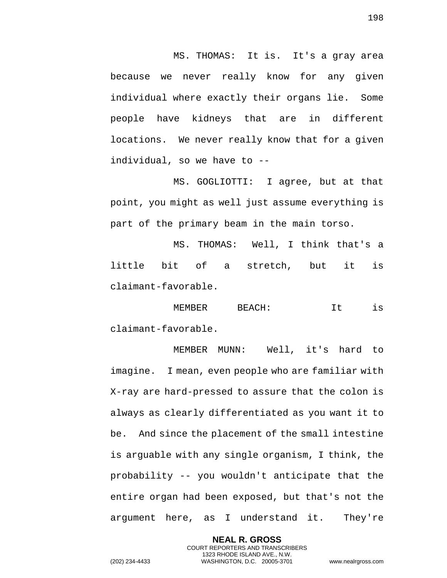MS. THOMAS: It is. It's a gray area because we never really know for any given individual where exactly their organs lie. Some people have kidneys that are in different locations. We never really know that for a given individual, so we have to --

MS. GOGLIOTTI: I agree, but at that point, you might as well just assume everything is part of the primary beam in the main torso.

MS. THOMAS: Well, I think that's a little bit of a stretch, but it is claimant-favorable.

MEMBER BEACH: It is claimant-favorable.

MEMBER MUNN: Well, it's hard to imagine. I mean, even people who are familiar with X-ray are hard-pressed to assure that the colon is always as clearly differentiated as you want it to be. And since the placement of the small intestine is arguable with any single organism, I think, the probability -- you wouldn't anticipate that the entire organ had been exposed, but that's not the argument here, as I understand it. They're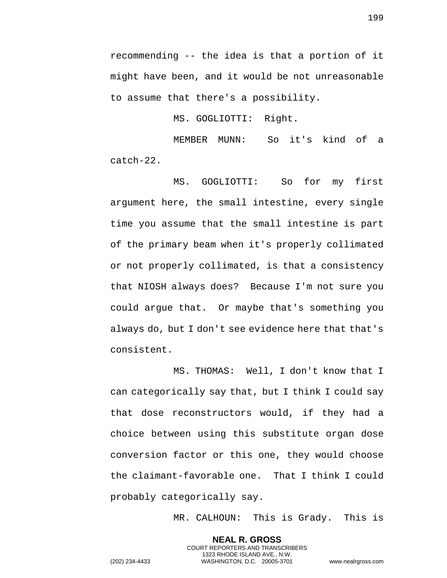recommending -- the idea is that a portion of it might have been, and it would be not unreasonable to assume that there's a possibility.

MS. GOGLIOTTI: Right.

MEMBER MUNN: So it's kind of a catch-22.

MS. GOGLIOTTI: So for my first argument here, the small intestine, every single time you assume that the small intestine is part of the primary beam when it's properly collimated or not properly collimated, is that a consistency that NIOSH always does? Because I'm not sure you could argue that. Or maybe that's something you always do, but I don't see evidence here that that's consistent.

MS. THOMAS: Well, I don't know that I can categorically say that, but I think I could say that dose reconstructors would, if they had a choice between using this substitute organ dose conversion factor or this one, they would choose the claimant-favorable one. That I think I could probably categorically say.

> **NEAL R. GROSS** COURT REPORTERS AND TRANSCRIBERS 1323 RHODE ISLAND AVE., N.W.

MR. CALHOUN: This is Grady. This is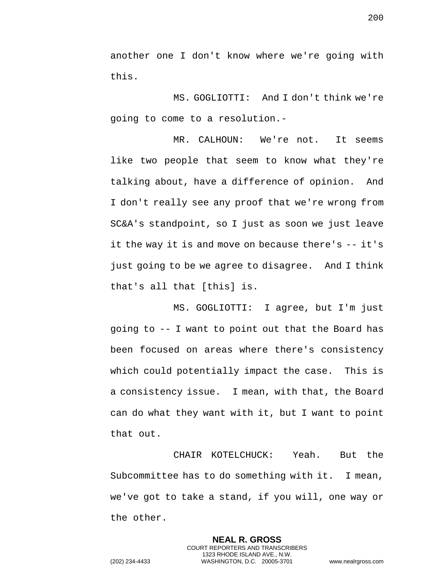another one I don't know where we're going with this.

MS. GOGLIOTTI: And I don't think we're going to come to a resolution.-

MR. CALHOUN: We're not. It seems like two people that seem to know what they're talking about, have a difference of opinion. And I don't really see any proof that we're wrong from SC&A's standpoint, so I just as soon we just leave it the way it is and move on because there's -- it's just going to be we agree to disagree. And I think that's all that [this] is.

MS. GOGLIOTTI: I agree, but I'm just going to -- I want to point out that the Board has been focused on areas where there's consistency which could potentially impact the case. This is a consistency issue. I mean, with that, the Board can do what they want with it, but I want to point that out.

CHAIR KOTELCHUCK: Yeah. But the Subcommittee has to do something with it. I mean, we've got to take a stand, if you will, one way or the other.

> **NEAL R. GROSS** COURT REPORTERS AND TRANSCRIBERS 1323 RHODE ISLAND AVE., N.W.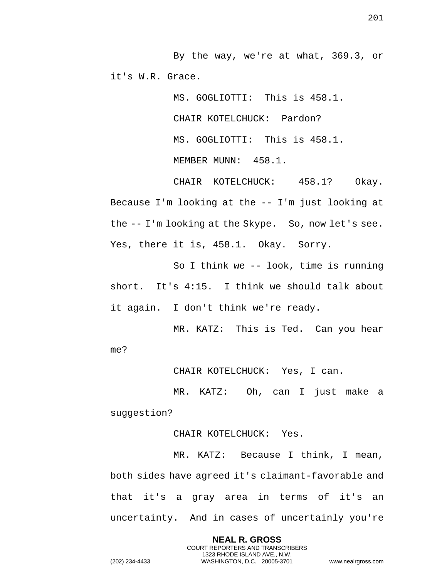By the way, we're at what, 369.3, or it's W.R. Grace.

> MS. GOGLIOTTI: This is 458.1. CHAIR KOTELCHUCK: Pardon? MS. GOGLIOTTI: This is 458.1. MEMBER MUNN: 458.1.

CHAIR KOTELCHUCK: 458.1? Okay. Because I'm looking at the -- I'm just looking at the -- I'm looking at the Skype. So, now let's see. Yes, there it is, 458.1. Okay. Sorry.

So I think we -- look, time is running short. It's 4:15. I think we should talk about it again. I don't think we're ready.

MR. KATZ: This is Ted. Can you hear me?

CHAIR KOTELCHUCK: Yes, I can.

MR. KATZ: Oh, can I just make a suggestion?

CHAIR KOTELCHUCK: Yes.

MR. KATZ: Because I think, I mean, both sides have agreed it's claimant-favorable and that it's a gray area in terms of it's an uncertainty. And in cases of uncertainly you're

> **NEAL R. GROSS** COURT REPORTERS AND TRANSCRIBERS 1323 RHODE ISLAND AVE., N.W.

201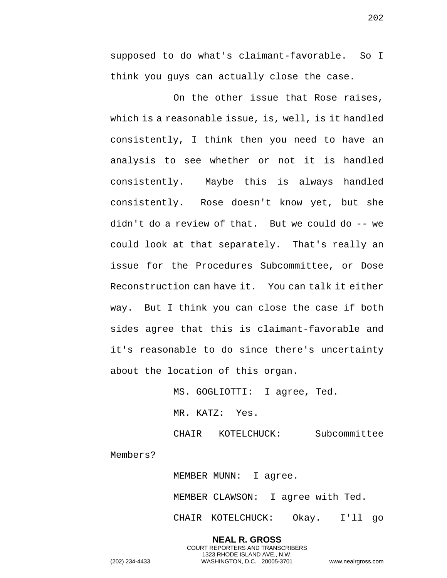supposed to do what's claimant-favorable. So I think you guys can actually close the case.

On the other issue that Rose raises, which is a reasonable issue, is, well, is it handled consistently, I think then you need to have an analysis to see whether or not it is handled consistently. Maybe this is always handled consistently. Rose doesn't know yet, but she didn't do a review of that. But we could do -- we could look at that separately. That's really an issue for the Procedures Subcommittee, or Dose Reconstruction can have it. You can talk it either way. But I think you can close the case if both sides agree that this is claimant-favorable and it's reasonable to do since there's uncertainty about the location of this organ.

> MS. GOGLIOTTI: I agree, Ted. MR. KATZ: Yes. CHAIR KOTELCHUCK: Subcommittee

Members?

MEMBER MUNN: I agree. MEMBER CLAWSON: I agree with Ted. CHAIR KOTELCHUCK: Okay. I'll go

**NEAL R. GROSS** COURT REPORTERS AND TRANSCRIBERS 1323 RHODE ISLAND AVE., N.W. (202) 234-4433 WASHINGTON, D.C. 20005-3701 www.nealrgross.com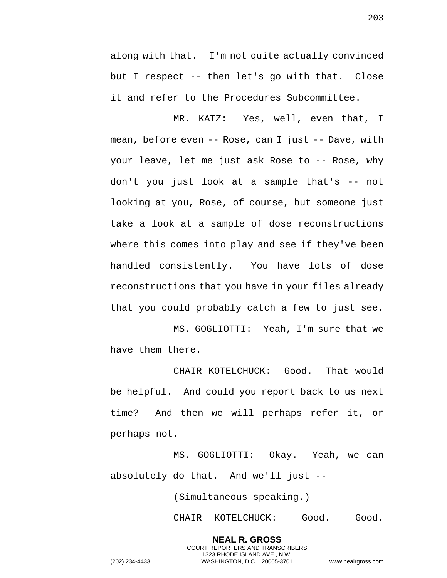along with that. I'm not quite actually convinced but I respect -- then let's go with that. Close it and refer to the Procedures Subcommittee.

MR. KATZ: Yes, well, even that, I mean, before even -- Rose, can I just -- Dave, with your leave, let me just ask Rose to -- Rose, why don't you just look at a sample that's -- not looking at you, Rose, of course, but someone just take a look at a sample of dose reconstructions where this comes into play and see if they've been handled consistently. You have lots of dose reconstructions that you have in your files already that you could probably catch a few to just see.

MS. GOGLIOTTI: Yeah, I'm sure that we have them there.

CHAIR KOTELCHUCK: Good. That would be helpful. And could you report back to us next time? And then we will perhaps refer it, or perhaps not.

MS. GOGLIOTTI: Okay. Yeah, we can absolutely do that. And we'll just --

(Simultaneous speaking.)

**NEAL R. GROSS** COURT REPORTERS AND TRANSCRIBERS 1323 RHODE ISLAND AVE., N.W.

CHAIR KOTELCHUCK: Good. Good.

203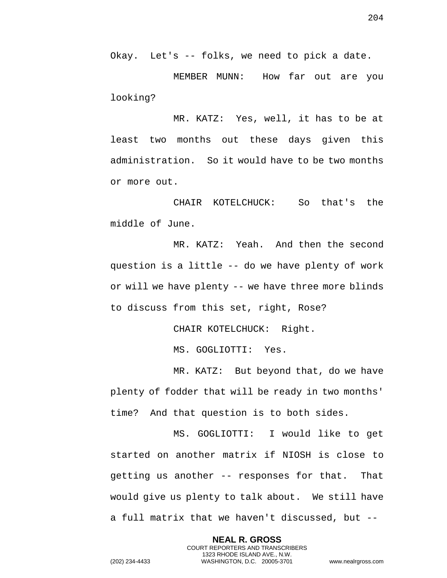Okay. Let's -- folks, we need to pick a date.

MEMBER MUNN: How far out are you looking?

MR. KATZ: Yes, well, it has to be at least two months out these days given this administration. So it would have to be two months or more out.

CHAIR KOTELCHUCK: So that's the middle of June.

MR. KATZ: Yeah. And then the second question is a little -- do we have plenty of work or will we have plenty -- we have three more blinds to discuss from this set, right, Rose?

CHAIR KOTELCHUCK: Right.

MS. GOGLIOTTI: Yes.

MR. KATZ: But beyond that, do we have plenty of fodder that will be ready in two months' time? And that question is to both sides.

MS. GOGLIOTTI: I would like to get started on another matrix if NIOSH is close to getting us another -- responses for that. That would give us plenty to talk about. We still have a full matrix that we haven't discussed, but --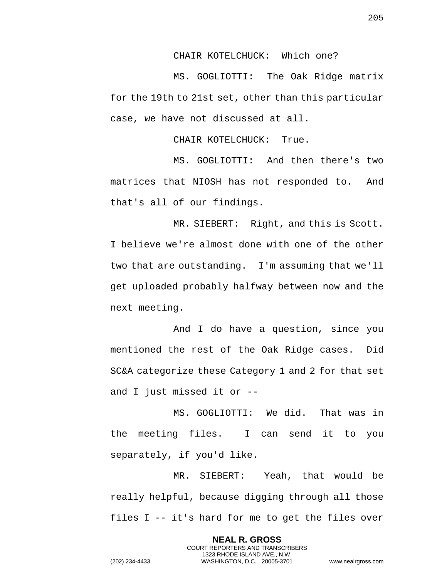CHAIR KOTELCHUCK: Which one?

MS. GOGLIOTTI: The Oak Ridge matrix for the 19th to 21st set, other than this particular case, we have not discussed at all.

CHAIR KOTELCHUCK: True.

MS. GOGLIOTTI: And then there's two matrices that NIOSH has not responded to. And that's all of our findings.

MR. SIEBERT: Right, and this is Scott. I believe we're almost done with one of the other two that are outstanding. I'm assuming that we'll get uploaded probably halfway between now and the next meeting.

And I do have a question, since you mentioned the rest of the Oak Ridge cases. Did SC&A categorize these Category 1 and 2 for that set and I just missed it or --

MS. GOGLIOTTI: We did. That was in the meeting files. I can send it to you separately, if you'd like.

MR. SIEBERT: Yeah, that would be really helpful, because digging through all those files I -- it's hard for me to get the files over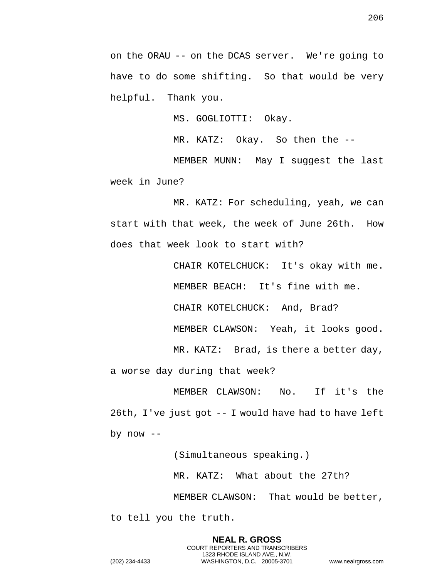on the ORAU -- on the DCAS server. We're going to have to do some shifting. So that would be very helpful. Thank you.

MS. GOGLIOTTI: Okay.

MR. KATZ: Okay. So then the --

MEMBER MUNN: May I suggest the last week in June?

MR. KATZ: For scheduling, yeah, we can start with that week, the week of June 26th. How does that week look to start with?

> CHAIR KOTELCHUCK: It's okay with me. MEMBER BEACH: It's fine with me. CHAIR KOTELCHUCK: And, Brad? MEMBER CLAWSON: Yeah, it looks good.

> MR. KATZ: Brad, is there a better day,

a worse day during that week?

MEMBER CLAWSON: No. If it's the 26th, I've just got -- I would have had to have left by  $now --$ 

(Simultaneous speaking.)

MR. KATZ: What about the 27th?

MEMBER CLAWSON: That would be better,

to tell you the truth.

**NEAL R. GROSS** COURT REPORTERS AND TRANSCRIBERS 1323 RHODE ISLAND AVE., N.W. (202) 234-4433 WASHINGTON, D.C. 20005-3701 www.nealrgross.com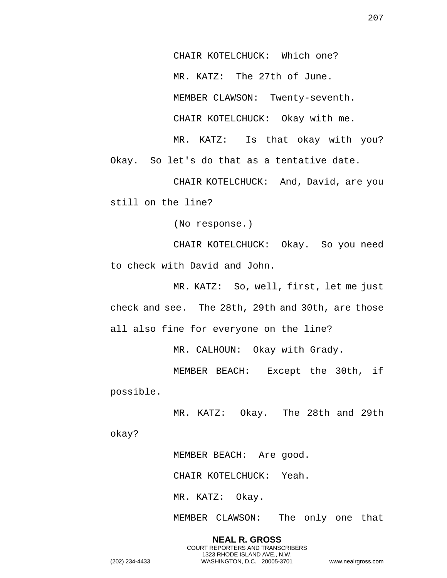CHAIR KOTELCHUCK: Which one? MR. KATZ: The 27th of June. MEMBER CLAWSON: Twenty-seventh. CHAIR KOTELCHUCK: Okay with me. MR. KATZ: Is that okay with you?

Okay. So let's do that as a tentative date.

CHAIR KOTELCHUCK: And, David, are you still on the line?

(No response.)

CHAIR KOTELCHUCK: Okay. So you need to check with David and John.

MR. KATZ: So, well, first, let me just check and see. The 28th, 29th and 30th, are those all also fine for everyone on the line?

MR. CALHOUN: Okay with Grady.

MEMBER BEACH: Except the 30th, if possible.

MR. KATZ: Okay. The 28th and 29th

okay?

MEMBER BEACH: Are good.

CHAIR KOTELCHUCK: Yeah.

MR. KATZ: Okay.

MEMBER CLAWSON: The only one that

**NEAL R. GROSS** COURT REPORTERS AND TRANSCRIBERS 1323 RHODE ISLAND AVE., N.W. (202) 234-4433 WASHINGTON, D.C. 20005-3701 www.nealrgross.com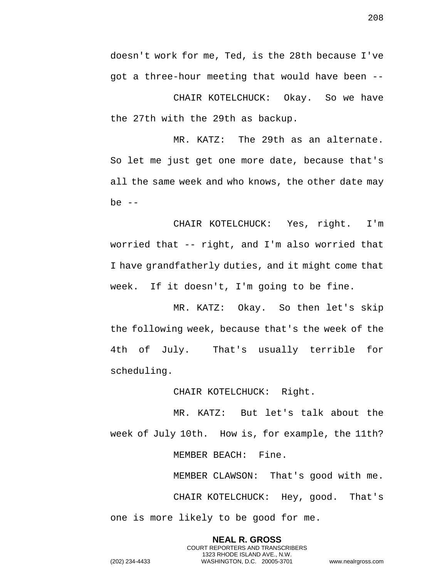doesn't work for me, Ted, is the 28th because I've got a three-hour meeting that would have been --

CHAIR KOTELCHUCK: Okay. So we have the 27th with the 29th as backup.

MR. KATZ: The 29th as an alternate. So let me just get one more date, because that's all the same week and who knows, the other date may be  $--$ 

CHAIR KOTELCHUCK: Yes, right. I'm worried that -- right, and I'm also worried that I have grandfatherly duties, and it might come that week. If it doesn't, I'm going to be fine.

MR. KATZ: Okay. So then let's skip the following week, because that's the week of the 4th of July. That's usually terrible for scheduling.

CHAIR KOTELCHUCK: Right.

MR. KATZ: But let's talk about the week of July 10th. How is, for example, the 11th? MEMBER BEACH: Fine.

MEMBER CLAWSON: That's good with me. CHAIR KOTELCHUCK: Hey, good. That's one is more likely to be good for me.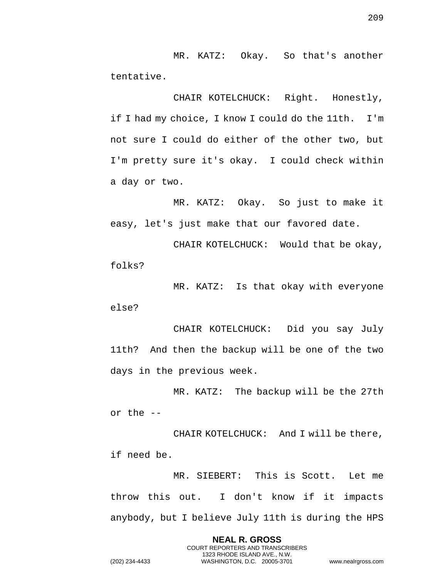MR. KATZ: Okay. So that's another tentative.

CHAIR KOTELCHUCK: Right. Honestly, if I had my choice, I know I could do the 11th. I'm not sure I could do either of the other two, but I'm pretty sure it's okay. I could check within a day or two.

MR. KATZ: Okay. So just to make it easy, let's just make that our favored date.

CHAIR KOTELCHUCK: Would that be okay, folks?

MR. KATZ: Is that okay with everyone else?

CHAIR KOTELCHUCK: Did you say July 11th? And then the backup will be one of the two days in the previous week.

MR. KATZ: The backup will be the 27th or the --

CHAIR KOTELCHUCK: And I will be there, if need be.

MR. SIEBERT: This is Scott. Let me throw this out. I don't know if it impacts anybody, but I believe July 11th is during the HPS

> **NEAL R. GROSS** COURT REPORTERS AND TRANSCRIBERS 1323 RHODE ISLAND AVE., N.W.

209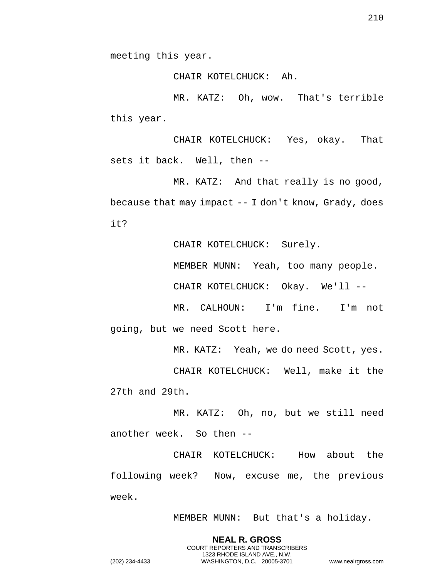CHAIR KOTELCHUCK: Ah.

MR. KATZ: Oh, wow. That's terrible this year.

CHAIR KOTELCHUCK: Yes, okay. That sets it back. Well, then --

MR. KATZ: And that really is no good, because that may impact -- I don't know, Grady, does it?

CHAIR KOTELCHUCK: Surely.

MEMBER MUNN: Yeah, too many people.

CHAIR KOTELCHUCK: Okay. We'll --

MR. CALHOUN: I'm fine. I'm not going, but we need Scott here.

MR. KATZ: Yeah, we do need Scott, yes.

CHAIR KOTELCHUCK: Well, make it the 27th and 29th.

MR. KATZ: Oh, no, but we still need another week. So then --

CHAIR KOTELCHUCK: How about the following week? Now, excuse me, the previous week.

> **NEAL R. GROSS** COURT REPORTERS AND TRANSCRIBERS 1323 RHODE ISLAND AVE., N.W.

MEMBER MUNN: But that's a holiday.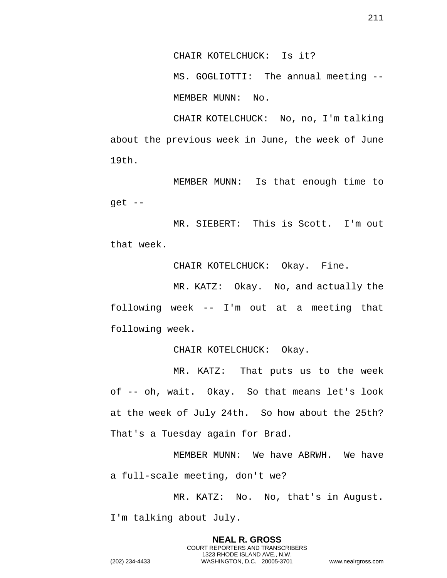CHAIR KOTELCHUCK: Is it?

MS. GOGLIOTTI: The annual meeting -- MEMBER MUNN: No.

CHAIR KOTELCHUCK: No, no, I'm talking about the previous week in June, the week of June 19th.

MEMBER MUNN: Is that enough time to get --

MR. SIEBERT: This is Scott. I'm out that week.

CHAIR KOTELCHUCK: Okay. Fine.

MR. KATZ: Okay. No, and actually the following week -- I'm out at a meeting that following week.

CHAIR KOTELCHUCK: Okay.

MR. KATZ: That puts us to the week of -- oh, wait. Okay. So that means let's look at the week of July 24th. So how about the 25th? That's a Tuesday again for Brad.

MEMBER MUNN: We have ABRWH. We have a full-scale meeting, don't we?

MR. KATZ: No. No, that's in August. I'm talking about July.

> **NEAL R. GROSS** COURT REPORTERS AND TRANSCRIBERS 1323 RHODE ISLAND AVE., N.W.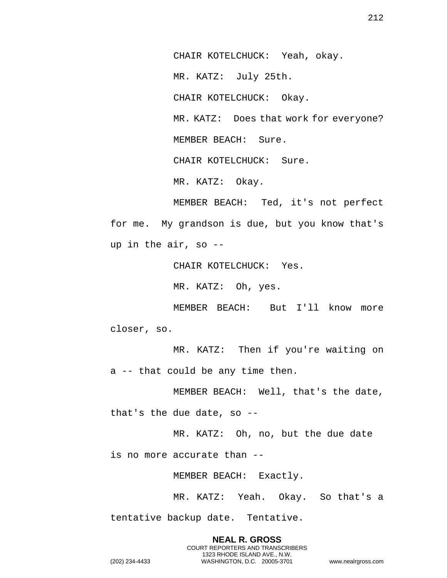CHAIR KOTELCHUCK: Yeah, okay. MR. KATZ: July 25th. CHAIR KOTELCHUCK: Okay. MR. KATZ: Does that work for everyone? MEMBER BEACH: Sure. CHAIR KOTELCHUCK: Sure. MR. KATZ: Okay.

MEMBER BEACH: Ted, it's not perfect for me. My grandson is due, but you know that's up in the air, so --

CHAIR KOTELCHUCK: Yes.

MR. KATZ: Oh, yes.

MEMBER BEACH: But I'll know more closer, so.

MR. KATZ: Then if you're waiting on a -- that could be any time then.

MEMBER BEACH: Well, that's the date,

that's the due date, so --

MR. KATZ: Oh, no, but the due date

is no more accurate than --

MEMBER BEACH: Exactly.

**NEAL R. GROSS** COURT REPORTERS AND TRANSCRIBERS 1323 RHODE ISLAND AVE., N.W.

MR. KATZ: Yeah. Okay. So that's a

tentative backup date. Tentative.

212